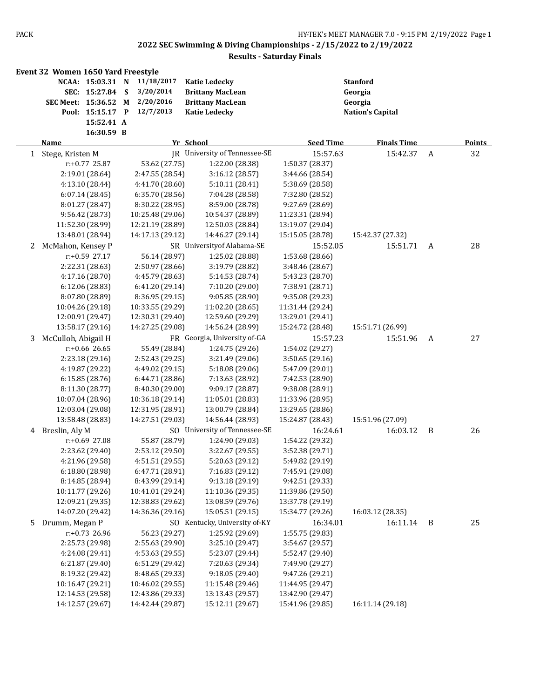|                | Event 32 Women 1650 Yard Freestyle |            |                  |                               |                  |                         |   |               |
|----------------|------------------------------------|------------|------------------|-------------------------------|------------------|-------------------------|---|---------------|
|                | NCAA: 15:03.31 N                   |            | 11/18/2017       | <b>Katie Ledecky</b>          |                  | <b>Stanford</b>         |   |               |
|                | SEC: 15:27.84                      |            | 3/20/2014<br>S   | <b>Brittany MacLean</b>       |                  | Georgia                 |   |               |
|                | SEC Meet: 15:36.52 M               |            | 2/20/2016        | <b>Brittany MacLean</b>       |                  | Georgia                 |   |               |
|                | Pool: 15:15.17 P                   |            | 12/7/2013        | <b>Katie Ledecky</b>          |                  | <b>Nation's Capital</b> |   |               |
|                |                                    | 15:52.41 A |                  |                               |                  |                         |   |               |
|                |                                    | 16:30.59 B |                  |                               |                  |                         |   |               |
|                | <b>Name</b>                        |            |                  | Yr School                     | <b>Seed Time</b> | <b>Finals Time</b>      |   | <b>Points</b> |
| $\mathbf{1}$   | Stege, Kristen M                   |            |                  | JR University of Tennessee-SE | 15:57.63         | 15:42.37                | A | 32            |
|                | r:+0.77 25.87                      |            | 53.62 (27.75)    | 1:22.00 (28.38)               | 1:50.37 (28.37)  |                         |   |               |
|                | 2:19.01 (28.64)                    |            | 2:47.55 (28.54)  | 3:16.12 (28.57)               | 3:44.66 (28.54)  |                         |   |               |
|                | 4:13.10 (28.44)                    |            | 4:41.70 (28.60)  | 5:10.11 (28.41)               | 5:38.69 (28.58)  |                         |   |               |
|                | 6:07.14(28.45)                     |            | 6:35.70 (28.56)  | 7:04.28 (28.58)               | 7:32.80 (28.52)  |                         |   |               |
|                | 8:01.27 (28.47)                    |            | 8:30.22 (28.95)  | 8:59.00 (28.78)               | 9:27.69 (28.69)  |                         |   |               |
|                | 9:56.42 (28.73)                    |            | 10:25.48 (29.06) | 10:54.37 (28.89)              | 11:23.31 (28.94) |                         |   |               |
|                | 11:52.30 (28.99)                   |            | 12:21.19 (28.89) | 12:50.03 (28.84)              | 13:19.07 (29.04) |                         |   |               |
|                | 13:48.01 (28.94)                   |            | 14:17.13 (29.12) | 14:46.27 (29.14)              | 15:15.05 (28.78) | 15:42.37 (27.32)        |   |               |
| 2              | McMahon, Kensey P                  |            |                  | SR University of Alabama-SE   | 15:52.05         | 15:51.71                | A | 28            |
|                | r:+0.59 27.17                      |            | 56.14 (28.97)    | 1:25.02 (28.88)               | 1:53.68 (28.66)  |                         |   |               |
|                | 2:22.31 (28.63)                    |            | 2:50.97 (28.66)  | 3:19.79 (28.82)               | 3:48.46 (28.67)  |                         |   |               |
|                | 4:17.16 (28.70)                    |            | 4:45.79 (28.63)  | 5:14.53 (28.74)               | 5:43.23 (28.70)  |                         |   |               |
|                | 6:12.06 (28.83)                    |            | 6:41.20 (29.14)  | 7:10.20 (29.00)               | 7:38.91 (28.71)  |                         |   |               |
|                | 8:07.80 (28.89)                    |            | 8:36.95 (29.15)  | 9:05.85 (28.90)               | 9:35.08 (29.23)  |                         |   |               |
|                | 10:04.26 (29.18)                   |            | 10:33.55 (29.29) | 11:02.20 (28.65)              | 11:31.44 (29.24) |                         |   |               |
|                | 12:00.91 (29.47)                   |            | 12:30.31 (29.40) | 12:59.60 (29.29)              | 13:29.01 (29.41) |                         |   |               |
|                | 13:58.17 (29.16)                   |            | 14:27.25 (29.08) | 14:56.24 (28.99)              | 15:24.72 (28.48) | 15:51.71 (26.99)        |   |               |
| 3              | McCulloh, Abigail H                |            |                  | FR Georgia, University of-GA  | 15:57.23         | 15:51.96                | A | 27            |
|                | $r: +0.66$ 26.65                   |            | 55.49 (28.84)    | 1:24.75 (29.26)               | 1:54.02 (29.27)  |                         |   |               |
|                | 2:23.18 (29.16)                    |            | 2:52.43 (29.25)  | 3:21.49 (29.06)               | 3:50.65 (29.16)  |                         |   |               |
|                | 4:19.87 (29.22)                    |            | 4:49.02 (29.15)  | 5:18.08 (29.06)               | 5:47.09 (29.01)  |                         |   |               |
|                | 6:15.85 (28.76)                    |            | 6:44.71 (28.86)  | 7:13.63 (28.92)               | 7:42.53 (28.90)  |                         |   |               |
|                | 8:11.30 (28.77)                    |            | 8:40.30 (29.00)  | 9:09.17 (28.87)               | 9:38.08 (28.91)  |                         |   |               |
|                | 10:07.04 (28.96)                   |            | 10:36.18 (29.14) | 11:05.01 (28.83)              | 11:33.96 (28.95) |                         |   |               |
|                | 12:03.04 (29.08)                   |            | 12:31.95 (28.91) | 13:00.79 (28.84)              | 13:29.65 (28.86) |                         |   |               |
|                | 13:58.48 (28.83)                   |            | 14:27.51 (29.03) | 14:56.44 (28.93)              | 15:24.87 (28.43) | 15:51.96 (27.09)        |   |               |
|                |                                    |            |                  | SO University of Tennessee-SE |                  |                         |   |               |
|                | 4 Breslin, Aly M                   |            |                  |                               | 16:24.61         | 16:03.12                | B | 26            |
|                | r:+0.69 27.08                      |            | 55.87 (28.79)    | 1:24.90 (29.03)               | 1:54.22 (29.32)  |                         |   |               |
|                | 2:23.62 (29.40)                    |            | 2:53.12 (29.50)  | 3:22.67 (29.55)               | 3:52.38 (29.71)  |                         |   |               |
|                | 4:21.96 (29.58)                    |            | 4:51.51 (29.55)  | 5:20.63 (29.12)               | 5:49.82 (29.19)  |                         |   |               |
|                | 6:18.80 (28.98)                    |            | 6:47.71 (28.91)  | 7:16.83 (29.12)               | 7:45.91 (29.08)  |                         |   |               |
|                | 8:14.85 (28.94)                    |            | 8:43.99 (29.14)  | 9:13.18 (29.19)               | 9:42.51 (29.33)  |                         |   |               |
|                | 10:11.77 (29.26)                   |            | 10:41.01 (29.24) | 11:10.36 (29.35)              | 11:39.86 (29.50) |                         |   |               |
|                | 12:09.21 (29.35)                   |            | 12:38.83 (29.62) | 13:08.59 (29.76)              | 13:37.78 (29.19) |                         |   |               |
|                | 14:07.20 (29.42)                   |            | 14:36.36 (29.16) | 15:05.51 (29.15)              | 15:34.77 (29.26) | 16:03.12 (28.35)        |   |               |
| 5 <sup>1</sup> | Drumm, Megan P                     |            |                  | SO Kentucky, University of-KY | 16:34.01         | 16:11.14                | B | 25            |
|                | $r: +0.73$ 26.96                   |            | 56.23 (29.27)    | 1:25.92 (29.69)               | 1:55.75 (29.83)  |                         |   |               |
|                | 2:25.73 (29.98)                    |            | 2:55.63 (29.90)  | 3:25.10 (29.47)               | 3:54.67 (29.57)  |                         |   |               |
|                | 4:24.08 (29.41)                    |            | 4:53.63 (29.55)  | 5:23.07 (29.44)               | 5:52.47 (29.40)  |                         |   |               |
|                | 6:21.87 (29.40)                    |            | 6:51.29 (29.42)  | 7:20.63 (29.34)               | 7:49.90 (29.27)  |                         |   |               |
|                | 8:19.32 (29.42)                    |            | 8:48.65 (29.33)  | 9:18.05 (29.40)               | 9:47.26 (29.21)  |                         |   |               |
|                | 10:16.47 (29.21)                   |            | 10:46.02 (29.55) | 11:15.48 (29.46)              | 11:44.95 (29.47) |                         |   |               |
|                | 12:14.53 (29.58)                   |            | 12:43.86 (29.33) | 13:13.43 (29.57)              | 13:42.90 (29.47) |                         |   |               |
|                | 14:12.57 (29.67)                   |            | 14:42.44 (29.87) | 15:12.11 (29.67)              | 15:41.96 (29.85) | 16:11.14 (29.18)        |   |               |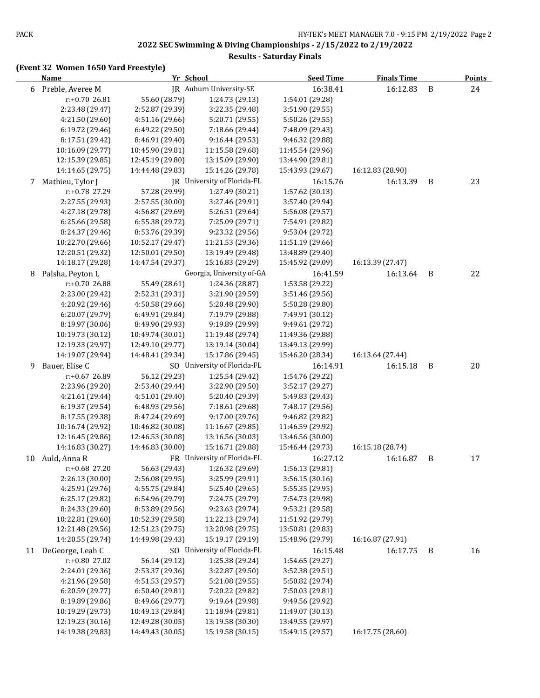#### **Results - Saturday Finals**

|    | <b>Name</b>        | Yr School        |                             | <b>Seed Time</b> | <b>Finals Time</b> |              | <b>Points</b> |
|----|--------------------|------------------|-----------------------------|------------------|--------------------|--------------|---------------|
|    | 6 Preble, Averee M |                  | JR Auburn University-SE     | 16:38.41         | 16:12.83           | $\, {\bf B}$ | 24            |
|    | r:+0.70 26.81      | 55.60 (28.79)    | 1:24.73 (29.13)             | 1:54.01 (29.28)  |                    |              |               |
|    | 2:23.48 (29.47)    | 2:52.87 (29.39)  | 3:22.35 (29.48)             | 3:51.90 (29.55)  |                    |              |               |
|    | 4:21.50 (29.60)    | 4:51.16 (29.66)  | 5:20.71 (29.55)             | 5:50.26 (29.55)  |                    |              |               |
|    | 6:19.72 (29.46)    | 6:49.22 (29.50)  | 7:18.66 (29.44)             | 7:48.09 (29.43)  |                    |              |               |
|    | 8:17.51 (29.42)    | 8:46.91 (29.40)  | 9:16.44 (29.53)             | 9:46.32 (29.88)  |                    |              |               |
|    | 10:16.09 (29.77)   | 10:45.90 (29.81) | 11:15.58 (29.68)            | 11:45.54 (29.96) |                    |              |               |
|    | 12:15.39 (29.85)   | 12:45.19 (29.80) | 13:15.09 (29.90)            | 13:44.90 (29.81) |                    |              |               |
|    | 14:14.65 (29.75)   | 14:44.48 (29.83) | 15:14.26 (29.78)            | 15:43.93 (29.67) | 16:12.83 (28.90)   |              |               |
| 7  | Mathieu, Tylor J   |                  | JR University of Florida-FL | 16:15.76         | 16:13.39           | B            | 23            |
|    | r:+0.78 27.29      | 57.28 (29.99)    | 1:27.49 (30.21)             | 1:57.62 (30.13)  |                    |              |               |
|    | 2:27.55 (29.93)    | 2:57.55 (30.00)  | 3:27.46 (29.91)             | 3:57.40 (29.94)  |                    |              |               |
|    | 4:27.18 (29.78)    | 4:56.87 (29.69)  | 5:26.51 (29.64)             | 5:56.08 (29.57)  |                    |              |               |
|    | 6:25.66 (29.58)    | 6:55.38 (29.72)  | 7:25.09 (29.71)             | 7:54.91 (29.82)  |                    |              |               |
|    | 8:24.37 (29.46)    | 8:53.76 (29.39)  | 9:23.32 (29.56)             | 9:53.04 (29.72)  |                    |              |               |
|    | 10:22.70 (29.66)   | 10:52.17 (29.47) | 11:21.53 (29.36)            | 11:51.19 (29.66) |                    |              |               |
|    | 12:20.51 (29.32)   | 12:50.01 (29.50) | 13:19.49 (29.48)            | 13:48.89 (29.40) |                    |              |               |
|    | 14:18.17 (29.28)   | 14:47.54 (29.37) | 15:16.83 (29.29)            | 15:45.92 (29.09) | 16:13.39 (27.47)   |              |               |
| 8  | Palsha, Peyton L   |                  | Georgia, University of-GA   | 16:41.59         | 16:13.64           | B            | 22            |
|    | r:+0.70 26.88      | 55.49 (28.61)    | 1:24.36 (28.87)             | 1:53.58 (29.22)  |                    |              |               |
|    | 2:23.00 (29.42)    | 2:52.31 (29.31)  | 3:21.90 (29.59)             | 3:51.46 (29.56)  |                    |              |               |
|    | 4:20.92 (29.46)    | 4:50.58 (29.66)  | 5:20.48 (29.90)             | 5:50.28 (29.80)  |                    |              |               |
|    | 6:20.07 (29.79)    | 6:49.91 (29.84)  | 7:19.79 (29.88)             | 7:49.91 (30.12)  |                    |              |               |
|    | 8:19.97 (30.06)    | 8:49.90 (29.93)  | 9:19.89 (29.99)             | 9:49.61 (29.72)  |                    |              |               |
|    | 10:19.73 (30.12)   | 10:49.74 (30.01) | 11:19.48 (29.74)            | 11:49.36 (29.88) |                    |              |               |
|    | 12:19.33 (29.97)   | 12:49.10 (29.77) | 13:19.14 (30.04)            | 13:49.13 (29.99) |                    |              |               |
|    | 14:19.07 (29.94)   | 14:48.41 (29.34) | 15:17.86 (29.45)            | 15:46.20 (28.34) | 16:13.64 (27.44)   |              |               |
| 9  | Bauer, Elise C     |                  | SO University of Florida-FL | 16:14.91         | 16:15.18           | B            | 20            |
|    | r:+0.67 26.89      | 56.12 (29.23)    | 1:25.54 (29.42)             | 1:54.76 (29.22)  |                    |              |               |
|    | 2:23.96 (29.20)    | 2:53.40 (29.44)  | 3:22.90 (29.50)             | 3:52.17 (29.27)  |                    |              |               |
|    | 4:21.61 (29.44)    | 4:51.01 (29.40)  | 5:20.40 (29.39)             | 5:49.83 (29.43)  |                    |              |               |
|    | 6:19.37 (29.54)    | 6:48.93 (29.56)  | 7:18.61 (29.68)             | 7:48.17 (29.56)  |                    |              |               |
|    | 8:17.55 (29.38)    | 8:47.24 (29.69)  | 9:17.00 (29.76)             | 9:46.82 (29.82)  |                    |              |               |
|    | 10:16.74 (29.92)   | 10:46.82 (30.08) | 11:16.67 (29.85)            | 11:46.59 (29.92) |                    |              |               |
|    | 12:16.45 (29.86)   | 12:46.53 (30.08) | 13:16.56 (30.03)            | 13:46.56 (30.00) |                    |              |               |
|    | 14:16.83 (30.27)   | 14:46.83 (30.00) | 15:16.71 (29.88)            | 15:46.44 (29.73) | 16:15.18 (28.74)   |              |               |
|    | 10 Auld, Anna R    |                  | FR University of Florida-FL | 16:27.12         | 16:16.87           | B            | 17            |
|    | r:+0.68 27.20      | 56.63 (29.43)    | 1:26.32 (29.69)             | 1:56.13 (29.81)  |                    |              |               |
|    | 2:26.13 (30.00)    | 2:56.08 (29.95)  | 3:25.99 (29.91)             | 3:56.15(30.16)   |                    |              |               |
|    | 4:25.91 (29.76)    | 4:55.75 (29.84)  | 5:25.40 (29.65)             | 5:55.35 (29.95)  |                    |              |               |
|    | 6:25.17 (29.82)    | 6:54.96 (29.79)  | 7:24.75 (29.79)             | 7:54.73 (29.98)  |                    |              |               |
|    | 8:24.33 (29.60)    | 8:53.89 (29.56)  | 9:23.63 (29.74)             | 9:53.21 (29.58)  |                    |              |               |
|    | 10:22.81 (29.60)   | 10:52.39 (29.58) | 11:22.13 (29.74)            | 11:51.92 (29.79) |                    |              |               |
|    | 12:21.48 (29.56)   | 12:51.23 (29.75) | 13:20.98 (29.75)            | 13:50.81 (29.83) |                    |              |               |
|    | 14:20.55 (29.74)   | 14:49.98 (29.43) | 15:19.17 (29.19)            | 15:48.96 (29.79) | 16:16.87 (27.91)   |              |               |
| 11 | DeGeorge, Leah C   |                  | SO University of Florida-FL | 16:15.48         | 16:17.75           | B            | 16            |
|    | r:+0.80 27.02      | 56.14 (29.12)    | 1:25.38 (29.24)             | 1:54.65 (29.27)  |                    |              |               |
|    | 2:24.01 (29.36)    | 2:53.37 (29.36)  | 3:22.87 (29.50)             | 3:52.38 (29.51)  |                    |              |               |
|    | 4:21.96 (29.58)    | 4:51.53 (29.57)  | 5:21.08 (29.55)             | 5:50.82 (29.74)  |                    |              |               |
|    | 6:20.59 (29.77)    | 6:50.40 (29.81)  | 7:20.22 (29.82)             | 7:50.03 (29.81)  |                    |              |               |
|    | 8:19.89 (29.86)    | 8:49.66 (29.77)  | 9:19.64 (29.98)             | 9:49.56 (29.92)  |                    |              |               |
|    | 10:19.29 (29.73)   | 10:49.13 (29.84) | 11:18.94 (29.81)            | 11:49.07 (30.13) |                    |              |               |
|    | 12:19.23 (30.16)   | 12:49.28 (30.05) | 13:19.58 (30.30)            | 13:49.55 (29.97) |                    |              |               |
|    | 14:19.38 (29.83)   | 14:49.43 (30.05) | 15:19.58 (30.15)            | 15:49.15 (29.57) | 16:17.75 (28.60)   |              |               |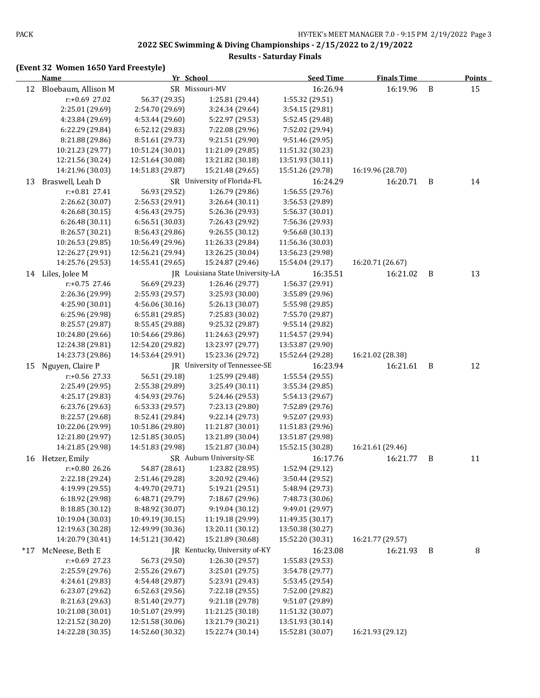#### **Results - Saturday Finals**

|       | <b>Name</b>                        | Yr School                           |                                     | <b>Seed Time</b>                   | <b>Finals Time</b> |   | <b>Points</b> |
|-------|------------------------------------|-------------------------------------|-------------------------------------|------------------------------------|--------------------|---|---------------|
| 12    | Bloebaum, Allison M                |                                     | SR Missouri-MV                      | 16:26.94                           | 16:19.96           | B | 15            |
|       | r:+0.69 27.02                      | 56.37 (29.35)                       | 1:25.81 (29.44)                     | 1:55.32 (29.51)                    |                    |   |               |
|       | 2:25.01 (29.69)                    | 2:54.70 (29.69)                     | 3:24.34 (29.64)                     | 3:54.15 (29.81)                    |                    |   |               |
|       | 4:23.84 (29.69)                    | 4:53.44 (29.60)                     | 5:22.97 (29.53)                     | 5:52.45 (29.48)                    |                    |   |               |
|       | 6:22.29 (29.84)                    | 6:52.12 (29.83)                     | 7:22.08 (29.96)                     | 7:52.02 (29.94)                    |                    |   |               |
|       | 8:21.88 (29.86)                    | 8:51.61 (29.73)                     | 9:21.51 (29.90)                     | 9:51.46 (29.95)                    |                    |   |               |
|       | 10:21.23 (29.77)                   | 10:51.24 (30.01)                    | 11:21.09 (29.85)                    | 11:51.32 (30.23)                   |                    |   |               |
|       | 12:21.56 (30.24)                   | 12:51.64 (30.08)                    | 13:21.82 (30.18)                    | 13:51.93 (30.11)                   |                    |   |               |
|       | 14:21.96 (30.03)                   | 14:51.83 (29.87)                    | 15:21.48 (29.65)                    | 15:51.26 (29.78)                   | 16:19.96 (28.70)   |   |               |
| 13    | Braswell, Leah D                   |                                     | SR University of Florida-FL         | 16:24.29                           | 16:20.71           | B | 14            |
|       | r:+0.81 27.41                      | 56.93 (29.52)                       | 1:26.79 (29.86)                     | 1:56.55 (29.76)                    |                    |   |               |
|       | 2:26.62 (30.07)                    | 2:56.53 (29.91)                     | 3:26.64 (30.11)                     | 3:56.53 (29.89)                    |                    |   |               |
|       | 4:26.68 (30.15)                    | 4:56.43 (29.75)                     | 5:26.36 (29.93)                     | 5:56.37 (30.01)                    |                    |   |               |
|       | 6:26.48 (30.11)                    | 6:56.51 (30.03)                     | 7:26.43 (29.92)                     | 7:56.36 (29.93)                    |                    |   |               |
|       | 8:26.57 (30.21)                    | 8:56.43 (29.86)                     | 9:26.55 (30.12)                     | 9:56.68 (30.13)                    |                    |   |               |
|       | 10:26.53 (29.85)                   | 10:56.49 (29.96)                    | 11:26.33 (29.84)                    | 11:56.36 (30.03)                   |                    |   |               |
|       | 12:26.27 (29.91)                   | 12:56.21 (29.94)                    | 13:26.25 (30.04)                    | 13:56.23 (29.98)                   |                    |   |               |
|       | 14:25.76 (29.53)                   | 14:55.41 (29.65)                    | 15:24.87 (29.46)                    | 15:54.04 (29.17)                   | 16:20.71 (26.67)   |   |               |
| 14    | Liles, Jolee M                     |                                     | JR Louisiana State University-LA    | 16:35.51                           | 16:21.02           | B | 13            |
|       | $r: +0.75$ 27.46                   | 56.69 (29.23)                       | 1:26.46 (29.77)                     | 1:56.37 (29.91)                    |                    |   |               |
|       | 2:26.36 (29.99)                    | 2:55.93 (29.57)                     | 3:25.93 (30.00)                     | 3:55.89 (29.96)                    |                    |   |               |
|       | 4:25.90 (30.01)                    | 4:56.06 (30.16)                     | 5:26.13 (30.07)                     | 5:55.98 (29.85)                    |                    |   |               |
|       | 6:25.96 (29.98)                    | 6:55.81 (29.85)                     | 7:25.83 (30.02)                     | 7:55.70 (29.87)                    |                    |   |               |
|       | 8:25.57 (29.87)                    | 8:55.45 (29.88)                     | 9:25.32 (29.87)                     | 9:55.14 (29.82)                    |                    |   |               |
|       | 10:24.80 (29.66)                   | 10:54.66 (29.86)                    | 11:24.63 (29.97)                    | 11:54.57 (29.94)                   |                    |   |               |
|       | 12:24.38 (29.81)                   | 12:54.20 (29.82)                    | 13:23.97 (29.77)                    | 13:53.87 (29.90)                   |                    |   |               |
|       | 14:23.73 (29.86)                   | 14:53.64 (29.91)                    | 15:23.36 (29.72)                    | 15:52.64 (29.28)                   | 16:21.02 (28.38)   |   |               |
| 15    | Nguyen, Claire P                   |                                     | JR University of Tennessee-SE       | 16:23.94                           | 16:21.61           | B | 12            |
|       | $r: +0.56$ 27.33                   | 56.51 (29.18)                       | 1:25.99 (29.48)                     | 1:55.54 (29.55)                    |                    |   |               |
|       | 2:25.49 (29.95)                    | 2:55.38 (29.89)                     | 3:25.49 (30.11)                     | 3:55.34 (29.85)                    |                    |   |               |
|       | 4:25.17 (29.83)                    | 4:54.93 (29.76)                     | 5:24.46 (29.53)                     | 5:54.13 (29.67)                    |                    |   |               |
|       | 6:23.76 (29.63)<br>8:22.57 (29.68) | 6:53.33(29.57)                      | 7:23.13 (29.80)                     | 7:52.89 (29.76)<br>9:52.07 (29.93) |                    |   |               |
|       | 10:22.06 (29.99)                   | 8:52.41 (29.84)<br>10:51.86 (29.80) | 9:22.14 (29.73)<br>11:21.87 (30.01) | 11:51.83 (29.96)                   |                    |   |               |
|       | 12:21.80 (29.97)                   | 12:51.85 (30.05)                    | 13:21.89 (30.04)                    | 13:51.87 (29.98)                   |                    |   |               |
|       | 14:21.85 (29.98)                   | 14:51.83 (29.98)                    | 15:21.87 (30.04)                    | 15:52.15 (30.28)                   | 16:21.61 (29.46)   |   |               |
| 16    | Hetzer, Emily                      |                                     | SR Auburn University-SE             | 16:17.76                           | 16:21.77           | B | 11            |
|       | r:+0.80 26.26                      | 54.87 (28.61)                       | 1:23.82 (28.95)                     | 1:52.94 (29.12)                    |                    |   |               |
|       | 2:22.18 (29.24)                    | 2:51.46 (29.28)                     | 3:20.92 (29.46)                     | 3:50.44 (29.52)                    |                    |   |               |
|       | 4:19.99 (29.55)                    | 4:49.70 (29.71)                     | 5:19.21 (29.51)                     | 5:48.94 (29.73)                    |                    |   |               |
|       | 6:18.92 (29.98)                    | 6:48.71 (29.79)                     | 7:18.67 (29.96)                     | 7:48.73 (30.06)                    |                    |   |               |
|       | 8:18.85 (30.12)                    | 8:48.92 (30.07)                     | 9:19.04 (30.12)                     | 9:49.01 (29.97)                    |                    |   |               |
|       | 10:19.04 (30.03)                   | 10:49.19 (30.15)                    | 11:19.18 (29.99)                    | 11:49.35 (30.17)                   |                    |   |               |
|       | 12:19.63 (30.28)                   | 12:49.99 (30.36)                    | 13:20.11 (30.12)                    | 13:50.38 (30.27)                   |                    |   |               |
|       | 14:20.79 (30.41)                   | 14:51.21 (30.42)                    | 15:21.89 (30.68)                    | 15:52.20 (30.31)                   | 16:21.77 (29.57)   |   |               |
| $*17$ | McNeese, Beth E                    |                                     | JR Kentucky, University of-KY       | 16:23.08                           | 16:21.93           | B | 8             |
|       | r:+0.69 27.23                      | 56.73 (29.50)                       | 1:26.30 (29.57)                     | 1:55.83 (29.53)                    |                    |   |               |
|       | 2:25.59 (29.76)                    | 2:55.26 (29.67)                     | 3:25.01 (29.75)                     | 3:54.78 (29.77)                    |                    |   |               |
|       | 4:24.61 (29.83)                    | 4:54.48 (29.87)                     | 5:23.91 (29.43)                     | 5:53.45 (29.54)                    |                    |   |               |
|       | 6:23.07 (29.62)                    | 6:52.63 (29.56)                     | 7:22.18 (29.55)                     | 7:52.00 (29.82)                    |                    |   |               |
|       | 8:21.63 (29.63)                    | 8:51.40 (29.77)                     | 9:21.18 (29.78)                     | 9:51.07 (29.89)                    |                    |   |               |
|       | 10:21.08 (30.01)                   | 10:51.07 (29.99)                    | 11:21.25 (30.18)                    | 11:51.32 (30.07)                   |                    |   |               |
|       | 12:21.52 (30.20)                   | 12:51.58 (30.06)                    | 13:21.79 (30.21)                    | 13:51.93 (30.14)                   |                    |   |               |
|       | 14:22.28 (30.35)                   | 14:52.60 (30.32)                    | 15:22.74 (30.14)                    | 15:52.81 (30.07)                   | 16:21.93 (29.12)   |   |               |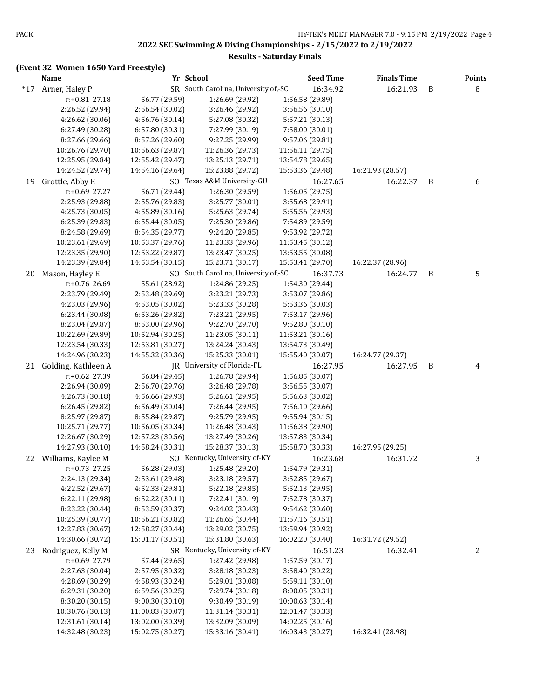#### **Results - Saturday Finals**

|       | Yr School<br><b>Name</b> |                  | <b>Seed Time</b>                     | <b>Finals Time</b> |                  | <b>Points</b> |   |
|-------|--------------------------|------------------|--------------------------------------|--------------------|------------------|---------------|---|
| $*17$ | Arner, Haley P           |                  | SR South Carolina, University of,-SC | 16:34.92           | 16:21.93         | B             | 8 |
|       | r:+0.81 27.18            | 56.77 (29.59)    | 1:26.69 (29.92)                      | 1:56.58 (29.89)    |                  |               |   |
|       | 2:26.52 (29.94)          | 2:56.54 (30.02)  | 3:26.46 (29.92)                      | 3:56.56 (30.10)    |                  |               |   |
|       | 4:26.62 (30.06)          | 4:56.76 (30.14)  | 5:27.08 (30.32)                      | 5:57.21 (30.13)    |                  |               |   |
|       | 6:27.49 (30.28)          | 6:57.80 (30.31)  | 7:27.99 (30.19)                      | 7:58.00 (30.01)    |                  |               |   |
|       | 8:27.66 (29.66)          | 8:57.26 (29.60)  | 9:27.25 (29.99)                      | 9:57.06 (29.81)    |                  |               |   |
|       | 10:26.76 (29.70)         | 10:56.63 (29.87) | 11:26.36 (29.73)                     | 11:56.11 (29.75)   |                  |               |   |
|       | 12:25.95 (29.84)         | 12:55.42 (29.47) | 13:25.13 (29.71)                     | 13:54.78 (29.65)   |                  |               |   |
|       | 14:24.52 (29.74)         | 14:54.16 (29.64) | 15:23.88 (29.72)                     | 15:53.36 (29.48)   | 16:21.93 (28.57) |               |   |
| 19    | Grottle, Abby E          |                  | SO Texas A&M University-GU           | 16:27.65           | 16:22.37         | B             | 6 |
|       | r:+0.69 27.27            | 56.71 (29.44)    | 1:26.30 (29.59)                      | 1:56.05 (29.75)    |                  |               |   |
|       | 2:25.93 (29.88)          | 2:55.76 (29.83)  | 3:25.77 (30.01)                      | 3:55.68 (29.91)    |                  |               |   |
|       | 4:25.73 (30.05)          | 4:55.89 (30.16)  | 5:25.63 (29.74)                      | 5:55.56 (29.93)    |                  |               |   |
|       | 6:25.39 (29.83)          | 6:55.44 (30.05)  | 7:25.30 (29.86)                      | 7:54.89 (29.59)    |                  |               |   |
|       | 8:24.58 (29.69)          | 8:54.35 (29.77)  | 9:24.20 (29.85)                      | 9:53.92 (29.72)    |                  |               |   |
|       | 10:23.61 (29.69)         | 10:53.37 (29.76) | 11:23.33 (29.96)                     | 11:53.45 (30.12)   |                  |               |   |
|       | 12:23.35 (29.90)         | 12:53.22 (29.87) | 13:23.47 (30.25)                     | 13:53.55 (30.08)   |                  |               |   |
|       | 14:23.39 (29.84)         | 14:53.54 (30.15) | 15:23.71 (30.17)                     | 15:53.41 (29.70)   | 16:22.37 (28.96) |               |   |
| 20    | Mason, Hayley E          |                  | SO South Carolina, University of,-SC | 16:37.73           | 16:24.77         | B             | 5 |
|       | r:+0.76 26.69            | 55.61 (28.92)    | 1:24.86 (29.25)                      | 1:54.30 (29.44)    |                  |               |   |
|       | 2:23.79 (29.49)          | 2:53.48 (29.69)  | 3:23.21 (29.73)                      | 3:53.07 (29.86)    |                  |               |   |
|       | 4:23.03 (29.96)          | 4:53.05 (30.02)  | 5:23.33 (30.28)                      | 5:53.36 (30.03)    |                  |               |   |
|       | 6:23.44 (30.08)          | 6:53.26 (29.82)  | 7:23.21 (29.95)                      | 7:53.17 (29.96)    |                  |               |   |
|       | 8:23.04 (29.87)          | 8:53.00 (29.96)  | 9:22.70 (29.70)                      | 9:52.80 (30.10)    |                  |               |   |
|       | 10:22.69 (29.89)         | 10:52.94 (30.25) | 11:23.05 (30.11)                     | 11:53.21 (30.16)   |                  |               |   |
|       | 12:23.54 (30.33)         | 12:53.81 (30.27) | 13:24.24 (30.43)                     | 13:54.73 (30.49)   |                  |               |   |
|       | 14:24.96 (30.23)         | 14:55.32 (30.36) | 15:25.33 (30.01)                     | 15:55.40 (30.07)   | 16:24.77 (29.37) |               |   |
| 21    | Golding, Kathleen A      |                  | JR University of Florida-FL          | 16:27.95           | 16:27.95         | B             | 4 |
|       | r:+0.62 27.39            | 56.84 (29.45)    | 1:26.78 (29.94)                      | 1:56.85 (30.07)    |                  |               |   |
|       | 2:26.94 (30.09)          | 2:56.70 (29.76)  | 3:26.48 (29.78)                      | 3:56.55 (30.07)    |                  |               |   |
|       | 4:26.73 (30.18)          | 4:56.66 (29.93)  | 5:26.61 (29.95)                      | 5:56.63 (30.02)    |                  |               |   |
|       | 6:26.45 (29.82)          | 6:56.49 (30.04)  | 7:26.44 (29.95)                      | 7:56.10 (29.66)    |                  |               |   |
|       | 8:25.97 (29.87)          | 8:55.84 (29.87)  | 9:25.79 (29.95)                      | 9:55.94 (30.15)    |                  |               |   |
|       | 10:25.71 (29.77)         | 10:56.05 (30.34) | 11:26.48 (30.43)                     | 11:56.38 (29.90)   |                  |               |   |
|       | 12:26.67 (30.29)         | 12:57.23 (30.56) | 13:27.49 (30.26)                     | 13:57.83 (30.34)   |                  |               |   |
|       | 14:27.93 (30.10)         | 14:58.24 (30.31) | 15:28.37 (30.13)                     | 15:58.70 (30.33)   | 16:27.95 (29.25) |               |   |
| 22    | Williams, Kaylee M       |                  | SO Kentucky, University of-KY        | 16:23.68           | 16:31.72         |               | 3 |
|       | r:+0.73 27.25            | 56.28 (29.03)    | 1:25.48 (29.20)                      | 1:54.79 (29.31)    |                  |               |   |
|       | 2:24.13 (29.34)          | 2:53.61 (29.48)  | 3:23.18 (29.57)                      | 3:52.85 (29.67)    |                  |               |   |
|       | 4:22.52 (29.67)          | 4:52.33 (29.81)  | 5:22.18 (29.85)                      | 5:52.13 (29.95)    |                  |               |   |
|       | 6:22.11 (29.98)          | 6:52.22 (30.11)  | 7:22.41 (30.19)                      | 7:52.78 (30.37)    |                  |               |   |
|       | 8:23.22 (30.44)          | 8:53.59 (30.37)  | 9:24.02 (30.43)                      | 9:54.62 (30.60)    |                  |               |   |
|       | 10:25.39 (30.77)         | 10:56.21 (30.82) | 11:26.65 (30.44)                     | 11:57.16 (30.51)   |                  |               |   |
|       | 12:27.83 (30.67)         | 12:58.27 (30.44) | 13:29.02 (30.75)                     | 13:59.94 (30.92)   |                  |               |   |
|       | 14:30.66 (30.72)         | 15:01.17 (30.51) | 15:31.80 (30.63)                     | 16:02.20 (30.40)   | 16:31.72 (29.52) |               |   |
| 23    | Rodriguez, Kelly M       |                  | SR Kentucky, University of-KY        | 16:51.23           | 16:32.41         |               | 2 |
|       | r:+0.69 27.79            | 57.44 (29.65)    | 1:27.42 (29.98)                      | 1:57.59 (30.17)    |                  |               |   |
|       | 2:27.63 (30.04)          | 2:57.95 (30.32)  | 3:28.18 (30.23)                      | 3:58.40 (30.22)    |                  |               |   |
|       | 4:28.69 (30.29)          | 4:58.93 (30.24)  | 5:29.01 (30.08)                      | 5:59.11 (30.10)    |                  |               |   |
|       | 6:29.31 (30.20)          | 6:59.56 (30.25)  | 7:29.74 (30.18)                      | 8:00.05 (30.31)    |                  |               |   |
|       | 8:30.20 (30.15)          | 9:00.30 (30.10)  | 9:30.49 (30.19)                      | 10:00.63 (30.14)   |                  |               |   |
|       | 10:30.76 (30.13)         | 11:00.83 (30.07) | 11:31.14 (30.31)                     | 12:01.47 (30.33)   |                  |               |   |
|       | 12:31.61 (30.14)         | 13:02.00 (30.39) | 13:32.09 (30.09)                     | 14:02.25 (30.16)   |                  |               |   |
|       | 14:32.48 (30.23)         | 15:02.75 (30.27) | 15:33.16 (30.41)                     | 16:03.43 (30.27)   | 16:32.41 (28.98) |               |   |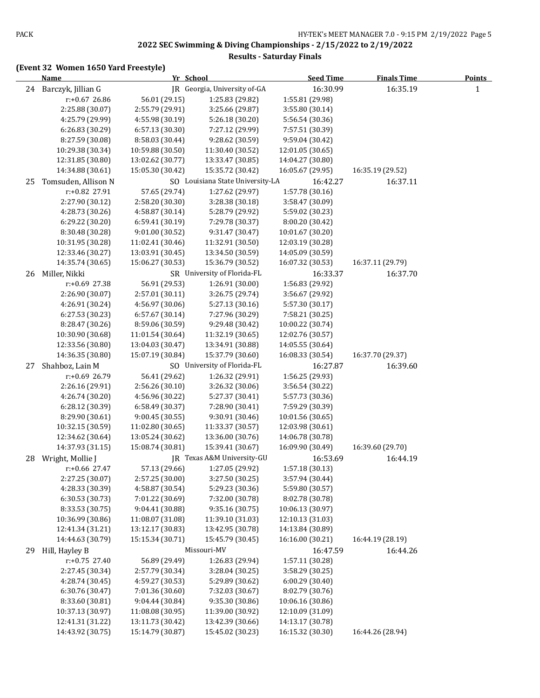#### **Results - Saturday Finals**

|    | Name                                 |                                      | Yr School                            | <b>Seed Time</b>                     | <b>Finals Time</b> | <b>Points</b> |
|----|--------------------------------------|--------------------------------------|--------------------------------------|--------------------------------------|--------------------|---------------|
| 24 | Barczyk, Jillian G                   |                                      | JR Georgia, University of-GA         | 16:30.99                             | 16:35.19           | $\mathbf{1}$  |
|    | $r: +0.67$ 26.86                     | 56.01 (29.15)                        | 1:25.83 (29.82)                      | 1:55.81 (29.98)                      |                    |               |
|    | 2:25.88 (30.07)                      | 2:55.79 (29.91)                      | 3:25.66 (29.87)                      | 3:55.80 (30.14)                      |                    |               |
|    | 4:25.79 (29.99)                      | 4:55.98 (30.19)                      | 5:26.18 (30.20)                      | 5:56.54 (30.36)                      |                    |               |
|    | 6:26.83 (30.29)                      | 6:57.13 (30.30)                      | 7:27.12 (29.99)                      | 7:57.51 (30.39)                      |                    |               |
|    | 8:27.59 (30.08)                      | 8:58.03 (30.44)                      | 9:28.62 (30.59)                      | 9:59.04 (30.42)                      |                    |               |
|    | 10:29.38 (30.34)                     | 10:59.88 (30.50)                     | 11:30.40 (30.52)                     | 12:01.05 (30.65)                     |                    |               |
|    | 12:31.85 (30.80)                     | 13:02.62 (30.77)                     | 13:33.47 (30.85)                     | 14:04.27 (30.80)                     |                    |               |
|    | 14:34.88 (30.61)                     | 15:05.30 (30.42)                     | 15:35.72 (30.42)                     | 16:05.67 (29.95)                     | 16:35.19 (29.52)   |               |
| 25 | Tomsuden, Allison N                  |                                      | SO Louisiana State University-LA     | 16:42.27                             | 16:37.11           |               |
|    | r:+0.82 27.91                        | 57.65 (29.74)                        | 1:27.62 (29.97)                      | 1:57.78 (30.16)                      |                    |               |
|    | 2:27.90 (30.12)                      | 2:58.20 (30.30)                      | 3:28.38 (30.18)                      | 3:58.47 (30.09)                      |                    |               |
|    | 4:28.73 (30.26)                      | 4:58.87 (30.14)                      | 5:28.79 (29.92)                      | 5:59.02 (30.23)                      |                    |               |
|    | 6:29.22 (30.20)                      | 6:59.41(30.19)                       | 7:29.78 (30.37)                      | 8:00.20 (30.42)                      |                    |               |
|    | 8:30.48 (30.28)                      | 9:01.00 (30.52)                      | 9:31.47 (30.47)                      | 10:01.67 (30.20)                     |                    |               |
|    | 10:31.95 (30.28)                     | 11:02.41 (30.46)                     | 11:32.91 (30.50)                     | 12:03.19 (30.28)                     |                    |               |
|    | 12:33.46 (30.27)                     | 13:03.91 (30.45)                     | 13:34.50 (30.59)                     | 14:05.09 (30.59)                     |                    |               |
|    | 14:35.74 (30.65)                     | 15:06.27 (30.53)                     | 15:36.79 (30.52)                     | 16:07.32 (30.53)                     | 16:37.11 (29.79)   |               |
| 26 | Miller, Nikki                        |                                      | SR University of Florida-FL          | 16:33.37                             | 16:37.70           |               |
|    | r:+0.69 27.38                        | 56.91 (29.53)                        | 1:26.91 (30.00)<br>3:26.75 (29.74)   | 1:56.83 (29.92)                      |                    |               |
|    | 2:26.90 (30.07)                      | 2:57.01 (30.11)                      |                                      | 3:56.67 (29.92)<br>5:57.30 (30.17)   |                    |               |
|    | 4:26.91 (30.24)<br>6:27.53 (30.23)   | 4:56.97 (30.06)<br>6:57.67(30.14)    | 5:27.13 (30.16)<br>7:27.96 (30.29)   | 7:58.21 (30.25)                      |                    |               |
|    | 8:28.47 (30.26)                      | 8:59.06 (30.59)                      | 9:29.48 (30.42)                      | 10:00.22 (30.74)                     |                    |               |
|    | 10:30.90 (30.68)                     | 11:01.54 (30.64)                     | 11:32.19 (30.65)                     | 12:02.76 (30.57)                     |                    |               |
|    | 12:33.56 (30.80)                     | 13:04.03 (30.47)                     | 13:34.91 (30.88)                     | 14:05.55 (30.64)                     |                    |               |
|    | 14:36.35 (30.80)                     | 15:07.19 (30.84)                     | 15:37.79 (30.60)                     | 16:08.33 (30.54)                     | 16:37.70 (29.37)   |               |
| 27 | Shahboz, Lain M                      |                                      | SO University of Florida-FL          | 16:27.87                             | 16:39.60           |               |
|    | r:+0.69 26.79                        | 56.41 (29.62)                        | 1:26.32 (29.91)                      | 1:56.25 (29.93)                      |                    |               |
|    | 2:26.16 (29.91)                      | 2:56.26 (30.10)                      | 3:26.32 (30.06)                      | 3:56.54 (30.22)                      |                    |               |
|    | 4:26.74 (30.20)                      | 4:56.96 (30.22)                      | 5:27.37 (30.41)                      | 5:57.73 (30.36)                      |                    |               |
|    | 6:28.12 (30.39)                      | 6:58.49 (30.37)                      | 7:28.90 (30.41)                      | 7:59.29 (30.39)                      |                    |               |
|    | 8:29.90 (30.61)                      | 9:00.45 (30.55)                      | 9:30.91 (30.46)                      | 10:01.56 (30.65)                     |                    |               |
|    | 10:32.15 (30.59)                     | 11:02.80 (30.65)                     | 11:33.37 (30.57)                     | 12:03.98 (30.61)                     |                    |               |
|    | 12:34.62 (30.64)                     | 13:05.24 (30.62)                     | 13:36.00 (30.76)                     | 14:06.78 (30.78)                     |                    |               |
|    | 14:37.93 (31.15)                     | 15:08.74 (30.81)                     | 15:39.41 (30.67)                     | 16:09.90 (30.49)                     | 16:39.60 (29.70)   |               |
| 28 | Wright, Mollie J                     |                                      | JR Texas A&M University-GU           | 16:53.69                             | 16:44.19           |               |
|    | r:+0.66 27.47                        | 57.13 (29.66)                        | 1:27.05 (29.92)                      | 1:57.18 (30.13)                      |                    |               |
|    | 2:27.25 (30.07)                      | 2:57.25 (30.00)                      | 3:27.50 (30.25)                      | 3:57.94 (30.44)                      |                    |               |
|    | 4:28.33 (30.39)                      | 4:58.87 (30.54)                      | 5:29.23 (30.36)                      | 5:59.80 (30.57)                      |                    |               |
|    | 6:30.53 (30.73)                      | 7:01.22 (30.69)                      | 7:32.00 (30.78)                      | 8:02.78 (30.78)                      |                    |               |
|    | 8:33.53 (30.75)                      | 9:04.41 (30.88)                      | 9:35.16 (30.75)                      | 10:06.13 (30.97)                     |                    |               |
|    | 10:36.99 (30.86)                     | 11:08.07 (31.08)                     | 11:39.10 (31.03)                     | 12:10.13 (31.03)                     |                    |               |
|    | 12:41.34 (31.21)                     | 13:12.17 (30.83)                     | 13:42.95 (30.78)                     | 14:13.84 (30.89)                     |                    |               |
|    | 14:44.63 (30.79)                     | 15:15.34 (30.71)                     | 15:45.79 (30.45)                     | 16:16.00 (30.21)                     | 16:44.19 (28.19)   |               |
| 29 | Hill, Hayley B                       |                                      | Missouri-MV                          | 16:47.59                             | 16:44.26           |               |
|    | $r: +0.75$ 27.40                     | 56.89 (29.49)                        | 1:26.83 (29.94)                      | 1:57.11 (30.28)                      |                    |               |
|    | 2:27.45 (30.34)                      | 2:57.79 (30.34)                      | 3:28.04 (30.25)                      | 3:58.29 (30.25)                      |                    |               |
|    | 4:28.74 (30.45)                      | 4:59.27 (30.53)                      | 5:29.89 (30.62)                      | 6:00.29 (30.40)                      |                    |               |
|    | 6:30.76 (30.47)                      | 7:01.36 (30.60)                      | 7:32.03 (30.67)                      | 8:02.79 (30.76)                      |                    |               |
|    | 8:33.60 (30.81)                      | 9:04.44 (30.84)                      | 9:35.30 (30.86)                      | 10:06.16 (30.86)                     |                    |               |
|    | 10:37.13 (30.97)                     | 11:08.08 (30.95)                     | 11:39.00 (30.92)                     | 12:10.09 (31.09)                     |                    |               |
|    | 12:41.31 (31.22)<br>14:43.92 (30.75) | 13:11.73 (30.42)<br>15:14.79 (30.87) | 13:42.39 (30.66)<br>15:45.02 (30.23) | 14:13.17 (30.78)<br>16:15.32 (30.30) | 16:44.26 (28.94)   |               |
|    |                                      |                                      |                                      |                                      |                    |               |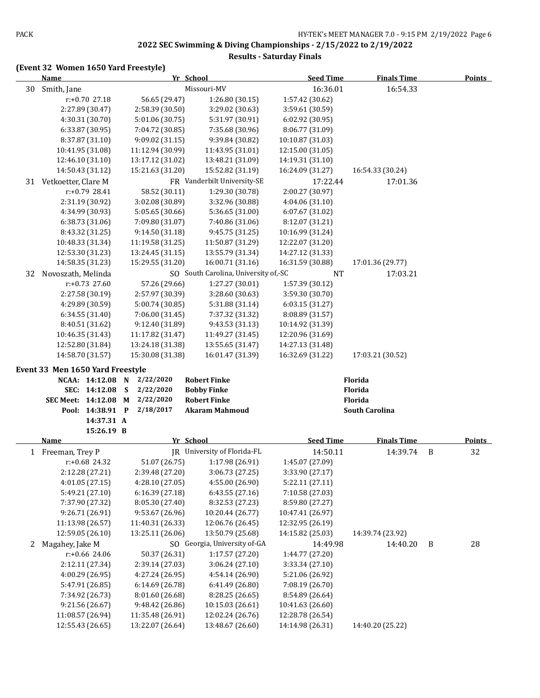#### **Results - Saturday Finals**

|    | <b>Name</b>                      |                               | Yr School                                 | <b>Seed Time</b> | <b>Finals Time</b>    |   | <b>Points</b> |
|----|----------------------------------|-------------------------------|-------------------------------------------|------------------|-----------------------|---|---------------|
| 30 | Smith, Jane                      |                               | Missouri-MV                               | 16:36.01         | 16:54.33              |   |               |
|    | r:+0.70 27.18                    | 56.65 (29.47)                 | 1:26.80 (30.15)                           | 1:57.42 (30.62)  |                       |   |               |
|    | 2:27.89 (30.47)                  | 2:58.39 (30.50)               | 3:29.02 (30.63)                           | 3:59.61 (30.59)  |                       |   |               |
|    | 4:30.31 (30.70)                  | 5:01.06 (30.75)               | 5:31.97 (30.91)                           | 6:02.92 (30.95)  |                       |   |               |
|    | 6:33.87 (30.95)                  | 7:04.72 (30.85)               | 7:35.68 (30.96)                           | 8:06.77 (31.09)  |                       |   |               |
|    | 8:37.87 (31.10)                  | 9:09.02 (31.15)               | 9:39.84 (30.82)                           | 10:10.87 (31.03) |                       |   |               |
|    | 10:41.95 (31.08)                 | 11:12.94 (30.99)              | 11:43.95 (31.01)                          | 12:15.00 (31.05) |                       |   |               |
|    | 12:46.10 (31.10)                 | 13:17.12 (31.02)              | 13:48.21 (31.09)                          | 14:19.31 (31.10) |                       |   |               |
|    | 14:50.43 (31.12)                 | 15:21.63 (31.20)              | 15:52.82 (31.19)                          | 16:24.09 (31.27) | 16:54.33 (30.24)      |   |               |
| 31 | Vetkoetter, Clare M              |                               | FR Vanderbilt University-SE               | 17:22.44         | 17:01.36              |   |               |
|    | $r: +0.79$ 28.41                 | 58.52 (30.11)                 | 1:29.30 (30.78)                           | 2:00.27 (30.97)  |                       |   |               |
|    | 2:31.19 (30.92)                  | 3:02.08 (30.89)               | 3:32.96 (30.88)                           | 4:04.06 (31.10)  |                       |   |               |
|    | 4:34.99 (30.93)                  | 5:05.65 (30.66)               | 5:36.65 (31.00)                           | 6:07.67 (31.02)  |                       |   |               |
|    | 6:38.73 (31.06)                  | 7:09.80 (31.07)               | 7:40.86 (31.06)                           | 8:12.07 (31.21)  |                       |   |               |
|    | 8:43.32 (31.25)                  | 9:14.50 (31.18)               | 9:45.75 (31.25)                           | 10:16.99 (31.24) |                       |   |               |
|    | 10:48.33 (31.34)                 | 11:19.58 (31.25)              | 11:50.87 (31.29)                          | 12:22.07 (31.20) |                       |   |               |
|    | 12:53.30 (31.23)                 | 13:24.45 (31.15)              | 13:55.79 (31.34)                          | 14:27.12 (31.33) |                       |   |               |
|    | 14:58.35 (31.23)                 | 15:29.55 (31.20)              | 16:00.71 (31.16)                          | 16:31.59 (30.88) | 17:01.36 (29.77)      |   |               |
| 32 | Novoszath, Melinda               |                               | SO South Carolina, University of,-SC      | <b>NT</b>        | 17:03.21              |   |               |
|    | $r: +0.73$ 27.60                 | 57.26 (29.66)                 | 1:27.27 (30.01)                           | 1:57.39 (30.12)  |                       |   |               |
|    | 2:27.58 (30.19)                  | 2:57.97 (30.39)               | 3:28.60 (30.63)                           | 3:59.30 (30.70)  |                       |   |               |
|    | 4:29.89 (30.59)                  | 5:00.74 (30.85)               | 5:31.88 (31.14)                           | 6:03.15 (31.27)  |                       |   |               |
|    | 6:34.55 (31.40)                  | 7:06.00 (31.45)               | 7:37.32 (31.32)                           | 8:08.89 (31.57)  |                       |   |               |
|    | 8:40.51 (31.62)                  | 9:12.40 (31.89)               | 9:43.53 (31.13)                           | 10:14.92 (31.39) |                       |   |               |
|    | 10:46.35 (31.43)                 | 11:17.82 (31.47)              | 11:49.27 (31.45)                          | 12:20.96 (31.69) |                       |   |               |
|    | 12:52.80 (31.84)                 | 13:24.18 (31.38)              | 13:55.65 (31.47)                          | 14:27.13 (31.48) |                       |   |               |
|    | 14:58.70 (31.57)                 | 15:30.08 (31.38)              | 16:01.47 (31.39)                          | 16:32.69 (31.22) | 17:03.21 (30.52)      |   |               |
|    |                                  |                               |                                           |                  |                       |   |               |
|    | Event 33 Men 1650 Yard Freestyle | 2/22/2020                     |                                           |                  |                       |   |               |
|    | NCAA: 14:12.08<br>SEC: 14:12.08  | $\mathbf N$<br>2/22/2020<br>S | <b>Robert Finke</b><br><b>Bobby Finke</b> |                  | Florida<br>Florida    |   |               |
|    | SEC Meet: 14:12.08 M             | 2/22/2020                     | <b>Robert Finke</b>                       |                  | Florida               |   |               |
|    | Pool: 14:38.91 P                 | 2/18/2017                     | <b>Akaram Mahmoud</b>                     |                  | <b>South Carolina</b> |   |               |
|    | 14:37.31 A                       |                               |                                           |                  |                       |   |               |
|    | 15:26.19 B                       |                               |                                           |                  |                       |   |               |
|    | <b>Name</b>                      |                               | Yr School                                 | <b>Seed Time</b> | <b>Finals Time</b>    |   | <b>Points</b> |
|    | 1 Freeman, Trey P                |                               | JR University of Florida-FL               | 14:50.11         | 14:39.74              | B | 32            |
|    | $r: +0.68$ 24.32                 | 51.07 (26.75)                 | 1:17.98 (26.91)                           | 1:45.07 (27.09)  |                       |   |               |
|    | 2:12.28 (27.21)                  | 2:39.48 (27.20)               | 3:06.73 (27.25)                           | 3:33.90 (27.17)  |                       |   |               |
|    | 4:01.05 (27.15)                  | 4:28.10 (27.05)               | 4:55.00 (26.90)                           | 5:22.11(27.11)   |                       |   |               |
|    | 5:49.21 (27.10)                  | 6:16.39 (27.18)               | 6:43.55 (27.16)                           | 7:10.58 (27.03)  |                       |   |               |
|    | 7:37.90 (27.32)                  | 8:05.30 (27.40)               | 8:32.53 (27.23)                           | 8:59.80 (27.27)  |                       |   |               |
|    | 9:26.71 (26.91)                  | 9:53.67 (26.96)               | 10:20.44 (26.77)                          | 10:47.41 (26.97) |                       |   |               |
|    | 11:13.98 (26.57)                 | 11:40.31 (26.33)              | 12:06.76 (26.45)                          | 12:32.95 (26.19) |                       |   |               |
|    | 12:59.05 (26.10)                 | 13:25.11 (26.06)              | 13:50.79 (25.68)                          | 14:15.82 (25.03) | 14:39.74 (23.92)      |   |               |
| 2  | Magahey, Jake M                  |                               | SO Georgia, University of-GA              | 14:49.98         | 14:40.20              | B | 28            |
|    | r:+0.66 24.06                    | 50.37 (26.31)                 | 1:17.57 (27.20)                           | 1:44.77 (27.20)  |                       |   |               |
|    | 2:12.11 (27.34)                  | 2:39.14 (27.03)               | 3:06.24 (27.10)                           | 3:33.34 (27.10)  |                       |   |               |
|    | 4:00.29 (26.95)                  | 4:27.24 (26.95)               | 4:54.14 (26.90)                           | 5:21.06 (26.92)  |                       |   |               |
|    | 5:47.91 (26.85)                  | 6:14.69 (26.78)               | 6:41.49 (26.80)                           | 7:08.19 (26.70)  |                       |   |               |
|    | 7:34.92 (26.73)                  | 8:01.60 (26.68)               | 8:28.25 (26.65)                           | 8:54.89 (26.64)  |                       |   |               |
|    | 9:21.56 (26.67)                  | 9:48.42 (26.86)               | 10:15.03 (26.61)                          | 10:41.63 (26.60) |                       |   |               |
|    | 11:08.57 (26.94)                 | 11:35.48 (26.91)              | 12:02.24 (26.76)                          | 12:28.78 (26.54) |                       |   |               |
|    | 12:55.43 (26.65)                 | 13:22.07 (26.64)              | 13:48.67 (26.60)                          | 14:14.98 (26.31) | 14:40.20 (25.22)      |   |               |
|    |                                  |                               |                                           |                  |                       |   |               |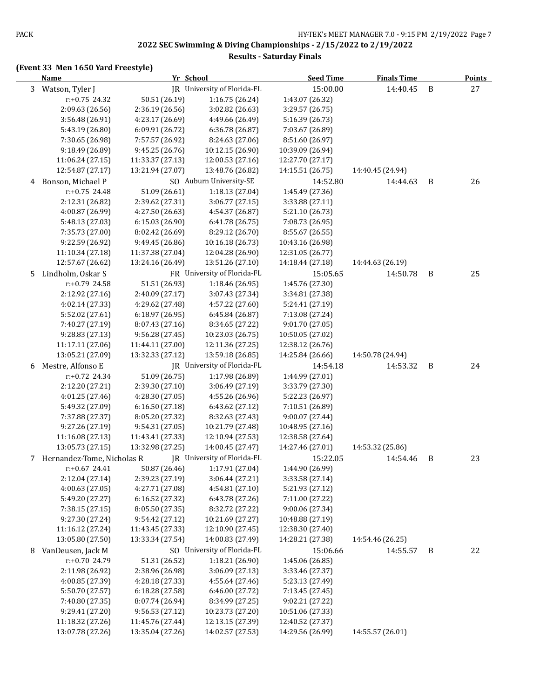#### **Results - Saturday Finals**

|   | Name                         |                  | Yr School                     |                  | <b>Finals Time</b> |   | <b>Points</b> |  |
|---|------------------------------|------------------|-------------------------------|------------------|--------------------|---|---------------|--|
|   | 3 Watson, Tyler J            |                  | JR University of Florida-FL   | 15:00.00         | 14:40.45           | B | 27            |  |
|   | r:+0.75 24.32                | 50.51 (26.19)    | 1:16.75 (26.24)               | 1:43.07 (26.32)  |                    |   |               |  |
|   | 2:09.63 (26.56)              | 2:36.19 (26.56)  | 3:02.82 (26.63)               | 3:29.57 (26.75)  |                    |   |               |  |
|   | 3:56.48 (26.91)              | 4:23.17 (26.69)  | 4:49.66 (26.49)               | 5:16.39 (26.73)  |                    |   |               |  |
|   | 5:43.19 (26.80)              | 6:09.91 (26.72)  | 6:36.78 (26.87)               | 7:03.67 (26.89)  |                    |   |               |  |
|   | 7:30.65 (26.98)              | 7:57.57 (26.92)  | 8:24.63 (27.06)               | 8:51.60 (26.97)  |                    |   |               |  |
|   | 9:18.49 (26.89)              | 9:45.25 (26.76)  | 10:12.15 (26.90)              | 10:39.09 (26.94) |                    |   |               |  |
|   | 11:06.24 (27.15)             | 11:33.37 (27.13) | 12:00.53 (27.16)              | 12:27.70 (27.17) |                    |   |               |  |
|   | 12:54.87 (27.17)             | 13:21.94 (27.07) | 13:48.76 (26.82)              | 14:15.51 (26.75) | 14:40.45 (24.94)   |   |               |  |
| 4 | Bonson, Michael P            |                  | SO Auburn University-SE       | 14:52.80         | 14:44.63           | B | 26            |  |
|   | r:+0.75 24.48                | 51.09 (26.61)    | 1:18.13 (27.04)               | 1:45.49 (27.36)  |                    |   |               |  |
|   | 2:12.31 (26.82)              | 2:39.62 (27.31)  | 3:06.77 (27.15)               | 3:33.88 (27.11)  |                    |   |               |  |
|   | 4:00.87 (26.99)              | 4:27.50 (26.63)  | 4:54.37 (26.87)               | 5:21.10 (26.73)  |                    |   |               |  |
|   | 5:48.13 (27.03)              | 6:15.03 (26.90)  | 6:41.78 (26.75)               | 7:08.73 (26.95)  |                    |   |               |  |
|   | 7:35.73 (27.00)              | 8:02.42 (26.69)  | 8:29.12 (26.70)               | 8:55.67 (26.55)  |                    |   |               |  |
|   | 9:22.59 (26.92)              | 9:49.45 (26.86)  | 10:16.18 (26.73)              | 10:43.16 (26.98) |                    |   |               |  |
|   | 11:10.34 (27.18)             | 11:37.38 (27.04) | 12:04.28 (26.90)              | 12:31.05 (26.77) |                    |   |               |  |
|   | 12:57.67 (26.62)             | 13:24.16 (26.49) | 13:51.26 (27.10)              | 14:18.44 (27.18) | 14:44.63 (26.19)   |   |               |  |
| 5 | Lindholm, Oskar S            |                  | FR University of Florida-FL   | 15:05.65         | 14:50.78           | B | 25            |  |
|   | r:+0.79 24.58                | 51.51 (26.93)    | 1:18.46 (26.95)               | 1:45.76 (27.30)  |                    |   |               |  |
|   | 2:12.92 (27.16)              | 2:40.09 (27.17)  | 3:07.43 (27.34)               | 3:34.81 (27.38)  |                    |   |               |  |
|   | 4:02.14 (27.33)              | 4:29.62 (27.48)  | 4:57.22 (27.60)               | 5:24.41 (27.19)  |                    |   |               |  |
|   | 5:52.02 (27.61)              | 6:18.97(26.95)   | 6:45.84 (26.87)               | 7:13.08 (27.24)  |                    |   |               |  |
|   | 7:40.27 (27.19)              | 8:07.43 (27.16)  | 8:34.65 (27.22)               | 9:01.70 (27.05)  |                    |   |               |  |
|   | 9:28.83 (27.13)              | 9:56.28 (27.45)  | 10:23.03 (26.75)              | 10:50.05 (27.02) |                    |   |               |  |
|   | 11:17.11 (27.06)             | 11:44.11 (27.00) | 12:11.36 (27.25)              | 12:38.12 (26.76) |                    |   |               |  |
|   | 13:05.21 (27.09)             | 13:32.33 (27.12) | 13:59.18 (26.85)              | 14:25.84 (26.66) | 14:50.78 (24.94)   |   |               |  |
| 6 | Mestre, Alfonso E            |                  | JR University of Florida-FL   | 14:54.18         | 14:53.32           | B | 24            |  |
|   | r:+0.72 24.34                | 51.09 (26.75)    | 1:17.98 (26.89)               | 1:44.99 (27.01)  |                    |   |               |  |
|   | 2:12.20 (27.21)              | 2:39.30 (27.10)  | 3:06.49 (27.19)               | 3:33.79 (27.30)  |                    |   |               |  |
|   | 4:01.25 (27.46)              | 4:28.30 (27.05)  | 4:55.26 (26.96)               | 5:22.23 (26.97)  |                    |   |               |  |
|   | 5:49.32 (27.09)              | 6:16.50 (27.18)  | 6:43.62 (27.12)               | 7:10.51 (26.89)  |                    |   |               |  |
|   | 7:37.88 (27.37)              | 8:05.20 (27.32)  | 8:32.63 (27.43)               | 9:00.07 (27.44)  |                    |   |               |  |
|   | 9:27.26 (27.19)              | 9:54.31 (27.05)  | 10:21.79 (27.48)              | 10:48.95 (27.16) |                    |   |               |  |
|   | 11:16.08 (27.13)             | 11:43.41 (27.33) | 12:10.94 (27.53)              | 12:38.58 (27.64) |                    |   |               |  |
|   | 13:05.73 (27.15)             | 13:32.98 (27.25) | 14:00.45 (27.47)              | 14:27.46 (27.01) | 14:53.32 (25.86)   |   |               |  |
|   | 7 Hernandez-Tome, Nicholas R |                  | JR University of Florida-FL   | 15:22.05         | 14:54.46           | B | 23            |  |
|   | r:+0.67 24.41                |                  | 50.87 (26.46) 1:17.91 (27.04) | 1:44.90 (26.99)  |                    |   |               |  |
|   | 2:12.04 (27.14)              | 2:39.23 (27.19)  | 3:06.44 (27.21)               | 3:33.58 (27.14)  |                    |   |               |  |
|   | 4:00.63 (27.05)              | 4:27.71 (27.08)  | 4:54.81 (27.10)               | 5:21.93 (27.12)  |                    |   |               |  |
|   | 5:49.20 (27.27)              | 6:16.52 (27.32)  | 6:43.78 (27.26)               | 7:11.00 (27.22)  |                    |   |               |  |
|   | 7:38.15 (27.15)              | 8:05.50 (27.35)  | 8:32.72 (27.22)               | 9:00.06 (27.34)  |                    |   |               |  |
|   | 9:27.30 (27.24)              | 9:54.42 (27.12)  | 10:21.69 (27.27)              | 10:48.88 (27.19) |                    |   |               |  |
|   | 11:16.12 (27.24)             | 11:43.45 (27.33) | 12:10.90 (27.45)              | 12:38.30 (27.40) |                    |   |               |  |
|   | 13:05.80 (27.50)             | 13:33.34 (27.54) | 14:00.83 (27.49)              | 14:28.21 (27.38) | 14:54.46 (26.25)   |   |               |  |
| 8 | VanDeusen, Jack M            |                  | SO University of Florida-FL   | 15:06.66         | 14:55.57           | B | 22            |  |
|   | r:+0.70 24.79                | 51.31 (26.52)    | 1:18.21(26.90)                | 1:45.06 (26.85)  |                    |   |               |  |
|   | 2:11.98 (26.92)              | 2:38.96 (26.98)  | 3:06.09 (27.13)               | 3:33.46 (27.37)  |                    |   |               |  |
|   | 4:00.85 (27.39)              | 4:28.18 (27.33)  | 4:55.64 (27.46)               | 5:23.13 (27.49)  |                    |   |               |  |
|   | 5:50.70 (27.57)              | 6:18.28 (27.58)  | 6:46.00 (27.72)               | 7:13.45 (27.45)  |                    |   |               |  |
|   | 7:40.80 (27.35)              | 8:07.74 (26.94)  | 8:34.99 (27.25)               | 9:02.21 (27.22)  |                    |   |               |  |
|   | 9:29.41 (27.20)              | 9:56.53 (27.12)  | 10:23.73 (27.20)              | 10:51.06 (27.33) |                    |   |               |  |
|   | 11:18.32 (27.26)             | 11:45.76 (27.44) | 12:13.15 (27.39)              | 12:40.52 (27.37) |                    |   |               |  |
|   | 13:07.78 (27.26)             | 13:35.04 (27.26) | 14:02.57 (27.53)              | 14:29.56 (26.99) | 14:55.57 (26.01)   |   |               |  |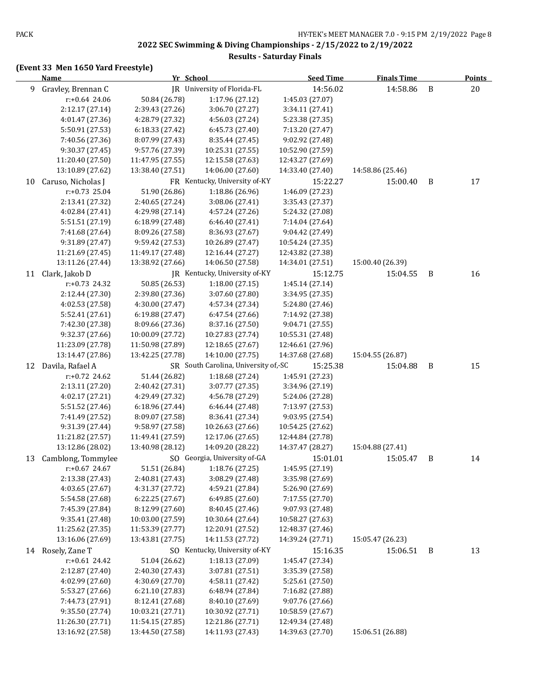#### **Results - Saturday Finals**

|    | <b>Name</b>        | Yr School        |                                      | <b>Seed Time</b> | <b>Finals Time</b> |   | <b>Points</b> |
|----|--------------------|------------------|--------------------------------------|------------------|--------------------|---|---------------|
| 9  | Gravley, Brennan C |                  | IR University of Florida-FL          | 14:56.02         | 14:58.86           | B | 20            |
|    | $r: +0.64$ 24.06   | 50.84 (26.78)    | 1:17.96 (27.12)                      | 1:45.03 (27.07)  |                    |   |               |
|    | 2:12.17 (27.14)    | 2:39.43 (27.26)  | 3:06.70 (27.27)                      | 3:34.11 (27.41)  |                    |   |               |
|    | 4:01.47 (27.36)    | 4:28.79 (27.32)  | 4:56.03 (27.24)                      | 5:23.38 (27.35)  |                    |   |               |
|    | 5:50.91 (27.53)    | 6:18.33 (27.42)  | 6:45.73 (27.40)                      | 7:13.20 (27.47)  |                    |   |               |
|    | 7:40.56 (27.36)    | 8:07.99 (27.43)  | 8:35.44 (27.45)                      | 9:02.92 (27.48)  |                    |   |               |
|    | 9:30.37 (27.45)    | 9:57.76 (27.39)  | 10:25.31 (27.55)                     | 10:52.90 (27.59) |                    |   |               |
|    | 11:20.40 (27.50)   | 11:47.95 (27.55) | 12:15.58 (27.63)                     | 12:43.27 (27.69) |                    |   |               |
|    | 13:10.89 (27.62)   | 13:38.40 (27.51) | 14:06.00 (27.60)                     | 14:33.40 (27.40) | 14:58.86 (25.46)   |   |               |
| 10 | Caruso, Nicholas J |                  | FR Kentucky, University of-KY        | 15:22.27         | 15:00.40           | B | 17            |
|    | $r: +0.73$ 25.04   | 51.90 (26.86)    | 1:18.86 (26.96)                      | 1:46.09 (27.23)  |                    |   |               |
|    | 2:13.41 (27.32)    | 2:40.65 (27.24)  | 3:08.06 (27.41)                      | 3:35.43 (27.37)  |                    |   |               |
|    | 4:02.84 (27.41)    | 4:29.98 (27.14)  | 4:57.24 (27.26)                      | 5:24.32 (27.08)  |                    |   |               |
|    | 5:51.51 (27.19)    | 6:18.99 (27.48)  | 6:46.40 (27.41)                      | 7:14.04 (27.64)  |                    |   |               |
|    | 7:41.68 (27.64)    | 8:09.26 (27.58)  | 8:36.93 (27.67)                      | 9:04.42 (27.49)  |                    |   |               |
|    | 9:31.89 (27.47)    | 9:59.42 (27.53)  | 10:26.89 (27.47)                     | 10:54.24 (27.35) |                    |   |               |
|    | 11:21.69 (27.45)   | 11:49.17 (27.48) | 12:16.44 (27.27)                     | 12:43.82 (27.38) |                    |   |               |
|    | 13:11.26 (27.44)   | 13:38.92 (27.66) | 14:06.50 (27.58)                     | 14:34.01 (27.51) | 15:00.40 (26.39)   |   |               |
| 11 | Clark, Jakob D     |                  | IR Kentucky, University of-KY        | 15:12.75         | 15:04.55           | B | 16            |
|    | $r.+0.73$ 24.32    | 50.85 (26.53)    | 1:18.00(27.15)                       | 1:45.14 (27.14)  |                    |   |               |
|    | 2:12.44 (27.30)    | 2:39.80 (27.36)  | 3:07.60 (27.80)                      | 3:34.95 (27.35)  |                    |   |               |
|    | 4:02.53 (27.58)    | 4:30.00 (27.47)  | 4:57.34 (27.34)                      | 5:24.80 (27.46)  |                    |   |               |
|    | 5:52.41 (27.61)    | 6:19.88 (27.47)  | 6:47.54 (27.66)                      | 7:14.92 (27.38)  |                    |   |               |
|    | 7:42.30 (27.38)    | 8:09.66 (27.36)  | 8:37.16 (27.50)                      | 9:04.71 (27.55)  |                    |   |               |
|    | 9:32.37 (27.66)    | 10:00.09 (27.72) | 10:27.83 (27.74)                     | 10:55.31 (27.48) |                    |   |               |
|    | 11:23.09 (27.78)   | 11:50.98 (27.89) | 12:18.65 (27.67)                     | 12:46.61 (27.96) |                    |   |               |
|    | 13:14.47 (27.86)   | 13:42.25 (27.78) | 14:10.00 (27.75)                     | 14:37.68 (27.68) | 15:04.55 (26.87)   |   |               |
| 12 | Davila, Rafael A   |                  | SR South Carolina, University of,-SC | 15:25.38         | 15:04.88           | B | 15            |
|    | $r: +0.72$ 24.62   | 51.44 (26.82)    | 1:18.68 (27.24)                      | 1:45.91 (27.23)  |                    |   |               |
|    | 2:13.11 (27.20)    | 2:40.42 (27.31)  | 3:07.77 (27.35)                      | 3:34.96 (27.19)  |                    |   |               |
|    | 4:02.17 (27.21)    | 4:29.49 (27.32)  | 4:56.78 (27.29)                      | 5:24.06 (27.28)  |                    |   |               |
|    | 5:51.52 (27.46)    | 6:18.96 (27.44)  | 6:46.44 (27.48)                      | 7:13.97 (27.53)  |                    |   |               |
|    | 7:41.49 (27.52)    | 8:09.07 (27.58)  | 8:36.41 (27.34)                      | 9:03.95 (27.54)  |                    |   |               |
|    | 9:31.39 (27.44)    | 9:58.97 (27.58)  | 10:26.63 (27.66)                     | 10:54.25 (27.62) |                    |   |               |
|    | 11:21.82 (27.57)   | 11:49.41 (27.59) | 12:17.06 (27.65)                     | 12:44.84 (27.78) |                    |   |               |
|    | 13:12.86 (28.02)   | 13:40.98 (28.12) | 14:09.20 (28.22)                     | 14:37.47 (28.27) | 15:04.88 (27.41)   |   |               |
| 13 | Camblong, Tommylee |                  | SO Georgia, University of-GA         | 15:01.01         | 15:05.47           | B | 14            |
|    | r:+0.67 24.67      | 51.51 (26.84)    | 1:18.76 (27.25)                      | 1:45.95 (27.19)  |                    |   |               |
|    | 2:13.38 (27.43)    | 2:40.81 (27.43)  | 3:08.29 (27.48)                      | 3:35.98 (27.69)  |                    |   |               |
|    | 4:03.65 (27.67)    | 4:31.37 (27.72)  | 4:59.21 (27.84)                      | 5:26.90 (27.69)  |                    |   |               |
|    | 5:54.58 (27.68)    | 6:22.25 (27.67)  | 6:49.85 (27.60)                      | 7:17.55 (27.70)  |                    |   |               |
|    | 7:45.39 (27.84)    | 8:12.99 (27.60)  | 8:40.45 (27.46)                      | 9:07.93 (27.48)  |                    |   |               |
|    | 9:35.41 (27.48)    | 10:03.00 (27.59) | 10:30.64 (27.64)                     | 10:58.27 (27.63) |                    |   |               |
|    | 11:25.62 (27.35)   | 11:53.39 (27.77) | 12:20.91 (27.52)                     | 12:48.37 (27.46) |                    |   |               |
|    | 13:16.06 (27.69)   | 13:43.81 (27.75) | 14:11.53 (27.72)                     | 14:39.24 (27.71) | 15:05.47 (26.23)   |   |               |
|    | 14 Rosely, Zane T  |                  | SO Kentucky, University of-KY        | 15:16.35         | 15:06.51           | B | 13            |
|    | $r.+0.61$ 24.42    | 51.04 (26.62)    | 1:18.13 (27.09)                      | 1:45.47 (27.34)  |                    |   |               |
|    | 2:12.87 (27.40)    | 2:40.30 (27.43)  | 3:07.81 (27.51)                      | 3:35.39 (27.58)  |                    |   |               |
|    | 4:02.99 (27.60)    | 4:30.69 (27.70)  | 4:58.11 (27.42)                      | 5:25.61 (27.50)  |                    |   |               |
|    | 5:53.27 (27.66)    | 6:21.10 (27.83)  | 6:48.94 (27.84)                      | 7:16.82 (27.88)  |                    |   |               |
|    | 7:44.73 (27.91)    | 8:12.41 (27.68)  | 8:40.10 (27.69)                      | 9:07.76 (27.66)  |                    |   |               |
|    | 9:35.50 (27.74)    | 10:03.21 (27.71) | 10:30.92 (27.71)                     | 10:58.59 (27.67) |                    |   |               |
|    | 11:26.30 (27.71)   | 11:54.15 (27.85) | 12:21.86 (27.71)                     | 12:49.34 (27.48) |                    |   |               |
|    | 13:16.92 (27.58)   | 13:44.50 (27.58) | 14:11.93 (27.43)                     | 14:39.63 (27.70) | 15:06.51 (26.88)   |   |               |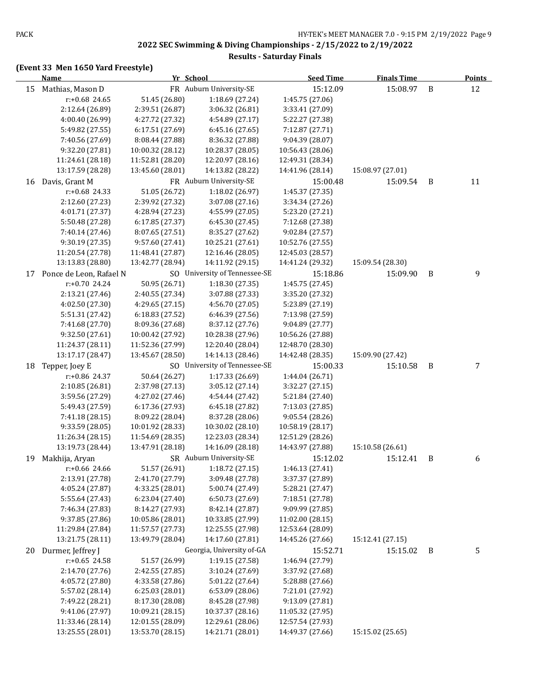#### **Results - Saturday Finals**

|    | <b>Name</b>                         |                  | Yr School<br><b>Seed Time</b> |                  | <b>Finals Time</b> |   | <b>Points</b> |
|----|-------------------------------------|------------------|-------------------------------|------------------|--------------------|---|---------------|
| 15 | Mathias, Mason D                    |                  | FR Auburn University-SE       | 15:12.09         | 15:08.97           | B | 12            |
|    | r:+0.68 24.65                       | 51.45 (26.80)    | 1:18.69 (27.24)               | 1:45.75 (27.06)  |                    |   |               |
|    | 2:12.64 (26.89)                     | 2:39.51 (26.87)  | 3:06.32 (26.81)               | 3:33.41 (27.09)  |                    |   |               |
|    | 4:00.40 (26.99)                     | 4:27.72 (27.32)  | 4:54.89 (27.17)               | 5:22.27 (27.38)  |                    |   |               |
|    | 5:49.82 (27.55)                     | 6:17.51 (27.69)  | 6:45.16 (27.65)               | 7:12.87 (27.71)  |                    |   |               |
|    | 7:40.56 (27.69)                     | 8:08.44 (27.88)  | 8:36.32 (27.88)               | 9:04.39 (28.07)  |                    |   |               |
|    | 9:32.20 (27.81)                     | 10:00.32 (28.12) | 10:28.37 (28.05)              | 10:56.43 (28.06) |                    |   |               |
|    | 11:24.61 (28.18)                    | 11:52.81 (28.20) | 12:20.97 (28.16)              | 12:49.31 (28.34) |                    |   |               |
|    | 13:17.59 (28.28)                    | 13:45.60 (28.01) | 14:13.82 (28.22)              | 14:41.96 (28.14) | 15:08.97 (27.01)   |   |               |
| 16 | Davis, Grant M                      |                  | FR Auburn University-SE       | 15:00.48         | 15:09.54           | B | 11            |
|    | r:+0.68 24.33                       | 51.05 (26.72)    | 1:18.02 (26.97)               | 1:45.37 (27.35)  |                    |   |               |
|    | 2:12.60 (27.23)                     | 2:39.92 (27.32)  | 3:07.08 (27.16)               | 3:34.34 (27.26)  |                    |   |               |
|    | 4:01.71 (27.37)                     | 4:28.94 (27.23)  | 4:55.99 (27.05)               | 5:23.20 (27.21)  |                    |   |               |
|    | 5:50.48 (27.28)                     | 6:17.85 (27.37)  | 6:45.30 (27.45)               | 7:12.68 (27.38)  |                    |   |               |
|    | 7:40.14 (27.46)                     | 8:07.65 (27.51)  | 8:35.27 (27.62)               | 9:02.84 (27.57)  |                    |   |               |
|    | 9:30.19 (27.35)                     | 9:57.60 (27.41)  | 10:25.21 (27.61)              | 10:52.76 (27.55) |                    |   |               |
|    | 11:20.54 (27.78)                    | 11:48.41 (27.87) | 12:16.46 (28.05)              | 12:45.03 (28.57) |                    |   |               |
|    | 13:13.83 (28.80)                    | 13:42.77 (28.94) | 14:11.92 (29.15)              | 14:41.24 (29.32) | 15:09.54 (28.30)   |   |               |
| 17 | Ponce de Leon, Rafael N             |                  | SO University of Tennessee-SE | 15:18.86         | 15:09.90           | B | 9             |
|    | $r: +0.70$ 24.24                    | 50.95 (26.71)    | 1:18.30 (27.35)               | 1:45.75 (27.45)  |                    |   |               |
|    | 2:13.21 (27.46)                     | 2:40.55 (27.34)  | 3:07.88 (27.33)               | 3:35.20 (27.32)  |                    |   |               |
|    | 4:02.50 (27.30)                     | 4:29.65 (27.15)  | 4:56.70 (27.05)               | 5:23.89 (27.19)  |                    |   |               |
|    | 5:51.31 (27.42)                     | 6:18.83 (27.52)  | 6:46.39 (27.56)               | 7:13.98 (27.59)  |                    |   |               |
|    | 7:41.68 (27.70)                     | 8:09.36 (27.68)  | 8:37.12 (27.76)               | 9:04.89 (27.77)  |                    |   |               |
|    | 9:32.50 (27.61)                     | 10:00.42 (27.92) | 10:28.38 (27.96)              | 10:56.26 (27.88) |                    |   |               |
|    | 11:24.37 (28.11)                    | 11:52.36 (27.99) | 12:20.40 (28.04)              | 12:48.70 (28.30) |                    |   |               |
|    | 13:17.17 (28.47)                    | 13:45.67 (28.50) | 14:14.13 (28.46)              | 14:42.48 (28.35) | 15:09.90 (27.42)   |   |               |
| 18 | Tepper, Joey E                      |                  | SO University of Tennessee-SE | 15:00.33         | 15:10.58           | B | 7             |
|    | r:+0.86 24.37                       | 50.64 (26.27)    | 1:17.33 (26.69)               | 1:44.04 (26.71)  |                    |   |               |
|    | 2:10.85 (26.81)                     | 2:37.98 (27.13)  | 3:05.12 (27.14)               | 3:32.27 (27.15)  |                    |   |               |
|    | 3:59.56 (27.29)                     | 4:27.02 (27.46)  | 4:54.44 (27.42)               | 5:21.84 (27.40)  |                    |   |               |
|    | 5:49.43 (27.59)                     | 6:17.36 (27.93)  | 6:45.18 (27.82)               | 7:13.03 (27.85)  |                    |   |               |
|    | 7:41.18 (28.15)                     | 8:09.22 (28.04)  | 8:37.28 (28.06)               | 9:05.54 (28.26)  |                    |   |               |
|    | 9:33.59 (28.05)                     | 10:01.92 (28.33) | 10:30.02 (28.10)              | 10:58.19 (28.17) |                    |   |               |
|    | 11:26.34 (28.15)                    | 11:54.69 (28.35) | 12:23.03 (28.34)              | 12:51.29 (28.26) |                    |   |               |
|    | 13:19.73 (28.44)                    | 13:47.91 (28.18) | 14:16.09 (28.18)              | 14:43.97 (27.88) | 15:10.58 (26.61)   |   |               |
| 19 | Makhija, Aryan                      |                  | SR Auburn University-SE       | 15:12.02         | 15:12.41           | B | 6             |
|    | r:+0.66 24.66                       | 51.57 (26.91)    | 1:18.72 (27.15)               | 1:46.13 (27.41)  |                    |   |               |
|    | 2:13.91 (27.78)                     | 2:41.70 (27.79)  | 3:09.48 (27.78)               | 3:37.37 (27.89)  |                    |   |               |
|    | 4:05.24 (27.87)                     | 4:33.25 (28.01)  | 5:00.74 (27.49)               | 5:28.21 (27.47)  |                    |   |               |
|    | 5:55.64 (27.43)                     | 6:23.04(27.40)   | 6:50.73 (27.69)               | 7:18.51 (27.78)  |                    |   |               |
|    | 7:46.34 (27.83)                     | 8:14.27 (27.93)  | 8:42.14 (27.87)               | 9:09.99 (27.85)  |                    |   |               |
|    | 9:37.85 (27.86)                     | 10:05.86 (28.01) | 10:33.85 (27.99)              | 11:02.00 (28.15) |                    |   |               |
|    | 11:29.84 (27.84)                    | 11:57.57 (27.73) | 12:25.55 (27.98)              | 12:53.64 (28.09) |                    |   |               |
|    | 13:21.75 (28.11)                    | 13:49.79 (28.04) | 14:17.60 (27.81)              | 14:45.26 (27.66) | 15:12.41 (27.15)   |   |               |
|    |                                     |                  | Georgia, University of-GA     |                  |                    |   |               |
| 20 | Durmer, Jeffrey J                   |                  |                               | 15:52.71         | 15:15.02           | B | 5             |
|    | $r: +0.65$ 24.58                    | 51.57 (26.99)    | 1:19.15 (27.58)               | 1:46.94 (27.79)  |                    |   |               |
|    | 2:14.70 (27.76)                     | 2:42.55 (27.85)  | 3:10.24(27.69)                | 3:37.92 (27.68)  |                    |   |               |
|    | 4:05.72 (27.80)                     | 4:33.58 (27.86)  | 5:01.22 (27.64)               | 5:28.88 (27.66)  |                    |   |               |
|    | 5:57.02 (28.14)                     | 6:25.03 (28.01)  | 6:53.09 (28.06)               | 7:21.01 (27.92)  |                    |   |               |
|    | 7:49.22 (28.21)                     | 8:17.30 (28.08)  | 8:45.28 (27.98)               | 9:13.09 (27.81)  |                    |   |               |
|    | 9:41.06 (27.97)<br>11:33.46 (28.14) | 10:09.21 (28.15) | 10:37.37 (28.16)              | 11:05.32 (27.95) |                    |   |               |
|    |                                     | 12:01.55 (28.09) | 12:29.61 (28.06)              | 12:57.54 (27.93) |                    |   |               |
|    | 13:25.55 (28.01)                    | 13:53.70 (28.15) | 14:21.71 (28.01)              | 14:49.37 (27.66) | 15:15.02 (25.65)   |   |               |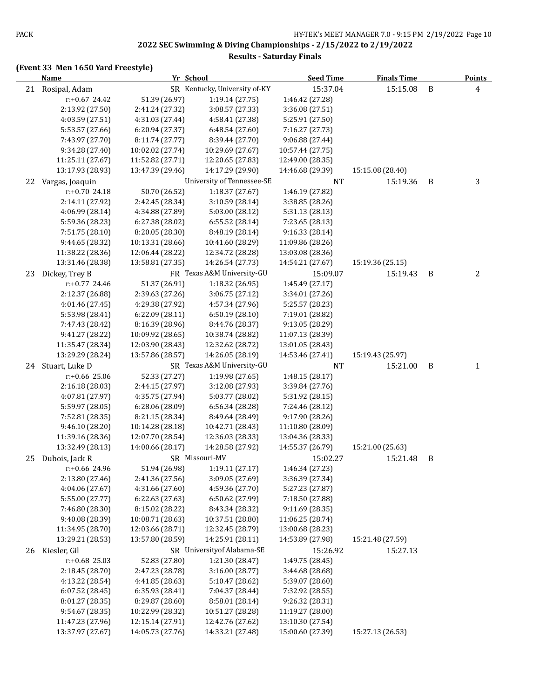**Results - Saturday Finals**

|    | <b>Name</b>       |                  | Yr School                     | <b>Seed Time</b>                     | <b>Finals Time</b> |              | <b>Points</b> |
|----|-------------------|------------------|-------------------------------|--------------------------------------|--------------------|--------------|---------------|
|    | 21 Rosipal, Adam  |                  | SR Kentucky, University of-KY | 15:37.04                             | 15:15.08           | $\, {\bf B}$ | 4             |
|    | $r: +0.67$ 24.42  | 51.39 (26.97)    | 1:19.14 (27.75)               | 1:46.42 (27.28)                      |                    |              |               |
|    | 2:13.92 (27.50)   | 2:41.24 (27.32)  | 3:08.57 (27.33)               | 3:36.08 (27.51)                      |                    |              |               |
|    | 4:03.59 (27.51)   | 4:31.03 (27.44)  | 4:58.41 (27.38)               | 5:25.91 (27.50)                      |                    |              |               |
|    | 5:53.57 (27.66)   | 6:20.94 (27.37)  | 6:48.54 (27.60)               | 7:16.27 (27.73)                      |                    |              |               |
|    | 7:43.97 (27.70)   | 8:11.74 (27.77)  | 8:39.44 (27.70)               | 9:06.88 (27.44)                      |                    |              |               |
|    | 9:34.28 (27.40)   | 10:02.02 (27.74) | 10:29.69 (27.67)              | 10:57.44 (27.75)                     |                    |              |               |
|    | 11:25.11 (27.67)  | 11:52.82 (27.71) | 12:20.65 (27.83)              | 12:49.00 (28.35)                     |                    |              |               |
|    | 13:17.93 (28.93)  | 13:47.39 (29.46) | 14:17.29 (29.90)              | 14:46.68 (29.39)                     | 15:15.08 (28.40)   |              |               |
| 22 | Vargas, Joaquin   |                  | University of Tennessee-SE    | <b>NT</b>                            | 15:19.36           | B            | 3             |
|    | $r: +0.70$ 24.18  | 50.70 (26.52)    | 1:18.37 (27.67)               | 1:46.19 (27.82)                      |                    |              |               |
|    | 2:14.11 (27.92)   | 2:42.45 (28.34)  | 3:10.59 (28.14)               | 3:38.85 (28.26)                      |                    |              |               |
|    | 4:06.99 (28.14)   | 4:34.88 (27.89)  | 5:03.00 (28.12)               | 5:31.13 (28.13)                      |                    |              |               |
|    | 5:59.36 (28.23)   | 6:27.38 (28.02)  | 6:55.52(28.14)                | 7:23.65 (28.13)                      |                    |              |               |
|    | 7:51.75 (28.10)   | 8:20.05 (28.30)  | 8:48.19 (28.14)               | 9:16.33 (28.14)                      |                    |              |               |
|    | 9:44.65 (28.32)   | 10:13.31 (28.66) | 10:41.60 (28.29)              | 11:09.86 (28.26)                     |                    |              |               |
|    | 11:38.22 (28.36)  | 12:06.44 (28.22) | 12:34.72 (28.28)              | 13:03.08 (28.36)                     |                    |              |               |
|    | 13:31.46 (28.38)  | 13:58.81 (27.35) | 14:26.54 (27.73)              | 14:54.21 (27.67)                     | 15:19.36 (25.15)   |              |               |
| 23 | Dickey, Trey B    |                  | FR Texas A&M University-GU    | 15:09.07                             | 15:19.43           | B            | 2             |
|    | r:+0.77 24.46     | 51.37 (26.91)    | 1:18.32 (26.95)               | 1:45.49 (27.17)                      |                    |              |               |
|    | 2:12.37 (26.88)   | 2:39.63 (27.26)  | 3:06.75 (27.12)               | 3:34.01 (27.26)                      |                    |              |               |
|    | 4:01.46 (27.45)   | 4:29.38 (27.92)  | 4:57.34 (27.96)               | 5:25.57 (28.23)                      |                    |              |               |
|    | 5:53.98 (28.41)   | 6:22.09(28.11)   | 6:50.19(28.10)                | 7:19.01 (28.82)                      |                    |              |               |
|    | 7:47.43 (28.42)   | 8:16.39 (28.96)  | 8:44.76 (28.37)               | 9:13.05 (28.29)                      |                    |              |               |
|    | 9:41.27 (28.22)   | 10:09.92 (28.65) | 10:38.74 (28.82)              | 11:07.13 (28.39)                     |                    |              |               |
|    | 11:35.47 (28.34)  | 12:03.90 (28.43) | 12:32.62 (28.72)              | 13:01.05 (28.43)                     |                    |              |               |
|    | 13:29.29 (28.24)  | 13:57.86 (28.57) | 14:26.05 (28.19)              | 14:53.46 (27.41)                     | 15:19.43 (25.97)   |              |               |
|    | 24 Stuart, Luke D |                  | SR Texas A&M University-GU    | <b>NT</b>                            | 15:21.00           | B            | 1             |
|    | r:+0.66 25.06     | 52.33 (27.27)    | 1:19.98 (27.65)               | 1:48.15 (28.17)                      |                    |              |               |
|    | 2:16.18 (28.03)   | 2:44.15 (27.97)  | 3:12.08 (27.93)               | 3:39.84 (27.76)                      |                    |              |               |
|    | 4:07.81 (27.97)   | 4:35.75 (27.94)  | 5:03.77 (28.02)               | 5:31.92 (28.15)                      |                    |              |               |
|    | 5:59.97 (28.05)   | 6:28.06 (28.09)  | 6:56.34 (28.28)               | 7:24.46 (28.12)                      |                    |              |               |
|    | 7:52.81 (28.35)   | 8:21.15 (28.34)  | 8:49.64 (28.49)               | 9:17.90 (28.26)                      |                    |              |               |
|    | 9:46.10 (28.20)   | 10:14.28 (28.18) | 10:42.71 (28.43)              | 11:10.80 (28.09)                     |                    |              |               |
|    | 11:39.16 (28.36)  | 12:07.70 (28.54) | 12:36.03 (28.33)              | 13:04.36 (28.33)                     |                    |              |               |
|    | 13:32.49 (28.13)  | 14:00.66 (28.17) | 14:28.58 (27.92)              | 14:55.37 (26.79)                     | 15:21.00 (25.63)   |              |               |
| 25 | Dubois, Jack R    |                  | SR Missouri-MV                | 15:02.27                             | 15:21.48           | B            |               |
|    | r:+0.66 24.96     | 51.94 (26.98)    | 1:19.11 (27.17)               | 1:46.34 (27.23)                      |                    |              |               |
|    | 2:13.80 (27.46)   | 2:41.36 (27.56)  | 3:09.05 (27.69)               | 3:36.39 (27.34)                      |                    |              |               |
|    | 4:04.06 (27.67)   | 4:31.66 (27.60)  | 4:59.36 (27.70)               | 5:27.23 (27.87)                      |                    |              |               |
|    | 5:55.00 (27.77)   | 6:22.63 (27.63)  | 6:50.62 (27.99)               | 7:18.50 (27.88)                      |                    |              |               |
|    | 7:46.80 (28.30)   | 8:15.02 (28.22)  | 8:43.34 (28.32)               | 9:11.69 (28.35)                      |                    |              |               |
|    | 9:40.08 (28.39)   | 10:08.71 (28.63) | 10:37.51 (28.80)              | 11:06.25 (28.74)                     |                    |              |               |
|    | 11:34.95 (28.70)  | 12:03.66 (28.71) | 12:32.45 (28.79)              | 13:00.68 (28.23)                     |                    |              |               |
|    | 13:29.21 (28.53)  | 13:57.80 (28.59) | 14:25.91 (28.11)              | 14:53.89 (27.98)                     | 15:21.48 (27.59)   |              |               |
|    | 26 Kiesler, Gil   |                  | SR University of Alabama-SE   | 15:26.92                             | 15:27.13           |              |               |
|    | $r: +0.68$ 25.03  | 52.83 (27.80)    | 1:21.30 (28.47)               | 1:49.75 (28.45)                      |                    |              |               |
|    | 2:18.45 (28.70)   | 2:47.23 (28.78)  | 3:16.00 (28.77)               | 3:44.68 (28.68)                      |                    |              |               |
|    | 4:13.22 (28.54)   | 4:41.85 (28.63)  | 5:10.47 (28.62)               | 5:39.07 (28.60)                      |                    |              |               |
|    | 6:07.52 (28.45)   | 6:35.93 (28.41)  | 7:04.37 (28.44)               | 7:32.92 (28.55)                      |                    |              |               |
|    | 8:01.27 (28.35)   | 8:29.87 (28.60)  | 8:58.01 (28.14)               | 9:26.32 (28.31)                      |                    |              |               |
|    | 9:54.67 (28.35)   | 10:22.99 (28.32) | 10:51.27 (28.28)              | 11:19.27 (28.00)                     |                    |              |               |
|    | 11:47.23 (27.96)  | 12:15.14 (27.91) | 12:42.76 (27.62)              | 13:10.30 (27.54)<br>15:00.60 (27.39) |                    |              |               |
|    | 13:37.97 (27.67)  | 14:05.73 (27.76) | 14:33.21 (27.48)              |                                      | 15:27.13 (26.53)   |              |               |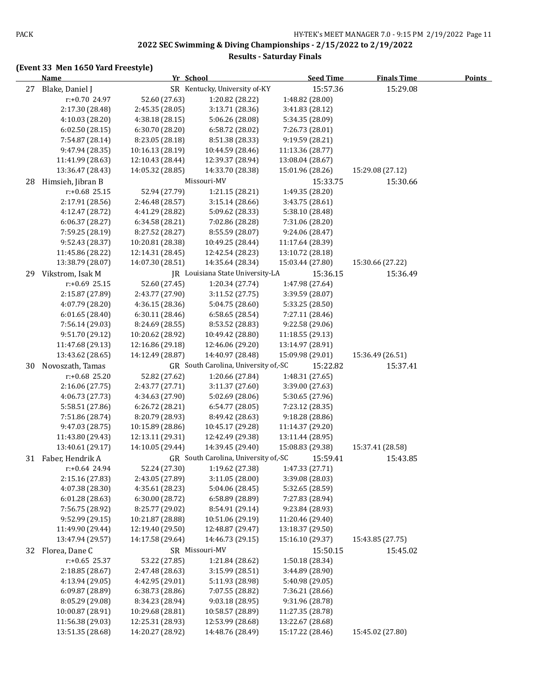#### **Results - Saturday Finals**

|    | <b>Name</b>                        | Yr School        |                                      | <b>Seed Time</b> | <b>Finals Time</b> | <b>Points</b> |
|----|------------------------------------|------------------|--------------------------------------|------------------|--------------------|---------------|
|    | 27 Blake, Daniel J                 |                  | SR Kentucky, University of-KY        | 15:57.36         | 15:29.08           |               |
|    | r:+0.70 24.97                      | 52.60 (27.63)    | 1:20.82 (28.22)                      | 1:48.82 (28.00)  |                    |               |
|    | 2:17.30 (28.48)                    | 2:45.35 (28.05)  | 3:13.71 (28.36)                      | 3:41.83 (28.12)  |                    |               |
|    | 4:10.03 (28.20)                    | 4:38.18 (28.15)  | 5:06.26 (28.08)                      | 5:34.35 (28.09)  |                    |               |
|    | 6:02.50(28.15)                     | 6:30.70 (28.20)  | 6:58.72 (28.02)                      | 7:26.73 (28.01)  |                    |               |
|    | 7:54.87 (28.14)                    | 8:23.05 (28.18)  | 8:51.38 (28.33)                      | 9:19.59 (28.21)  |                    |               |
|    | 9:47.94 (28.35)                    | 10:16.13 (28.19) | 10:44.59 (28.46)                     | 11:13.36 (28.77) |                    |               |
|    | 11:41.99 (28.63)                   | 12:10.43 (28.44) | 12:39.37 (28.94)                     | 13:08.04 (28.67) |                    |               |
|    | 13:36.47 (28.43)                   | 14:05.32 (28.85) | 14:33.70 (28.38)                     | 15:01.96 (28.26) | 15:29.08 (27.12)   |               |
| 28 | Himsieh, Jibran B                  |                  | Missouri-MV                          | 15:33.75         | 15:30.66           |               |
|    | $r: +0.68$ 25.15                   | 52.94 (27.79)    | 1:21.15 (28.21)                      | 1:49.35 (28.20)  |                    |               |
|    | 2:17.91 (28.56)                    | 2:46.48 (28.57)  | 3:15.14(28.66)                       | 3:43.75 (28.61)  |                    |               |
|    | 4:12.47 (28.72)                    | 4:41.29 (28.82)  | 5:09.62 (28.33)                      | 5:38.10 (28.48)  |                    |               |
|    | 6:06.37 (28.27)                    | 6:34.58 (28.21)  | 7:02.86 (28.28)                      | 7:31.06 (28.20)  |                    |               |
|    | 7:59.25 (28.19)                    | 8:27.52 (28.27)  | 8:55.59 (28.07)                      | 9:24.06 (28.47)  |                    |               |
|    | 9:52.43 (28.37)                    | 10:20.81 (28.38) | 10:49.25 (28.44)                     | 11:17.64 (28.39) |                    |               |
|    | 11:45.86 (28.22)                   | 12:14.31 (28.45) | 12:42.54 (28.23)                     | 13:10.72 (28.18) |                    |               |
|    | 13:38.79 (28.07)                   | 14:07.30 (28.51) | 14:35.64 (28.34)                     | 15:03.44 (27.80) | 15:30.66 (27.22)   |               |
| 29 | Vikstrom, Isak M                   |                  | JR Louisiana State University-LA     | 15:36.15         | 15:36.49           |               |
|    | $r+0.69$ 25.15                     | 52.60 (27.45)    | 1:20.34 (27.74)                      | 1:47.98 (27.64)  |                    |               |
|    | 2:15.87 (27.89)                    | 2:43.77 (27.90)  | 3:11.52 (27.75)                      | 3:39.59 (28.07)  |                    |               |
|    | 4:07.79 (28.20)                    | 4:36.15 (28.36)  | 5:04.75 (28.60)                      | 5:33.25 (28.50)  |                    |               |
|    | 6:01.65(28.40)                     | 6:30.11 (28.46)  | 6:58.65 (28.54)                      | 7:27.11 (28.46)  |                    |               |
|    | 7:56.14 (29.03)                    | 8:24.69 (28.55)  | 8:53.52 (28.83)                      | 9:22.58 (29.06)  |                    |               |
|    | 9:51.70 (29.12)                    | 10:20.62 (28.92) | 10:49.42 (28.80)                     | 11:18.55 (29.13) |                    |               |
|    | 11:47.68 (29.13)                   | 12:16.86 (29.18) | 12:46.06 (29.20)                     | 13:14.97 (28.91) |                    |               |
|    | 13:43.62 (28.65)                   | 14:12.49 (28.87) | 14:40.97 (28.48)                     | 15:09.98 (29.01) | 15:36.49 (26.51)   |               |
|    | Novoszath, Tamas                   |                  | GR South Carolina, University of,-SC | 15:22.82         |                    |               |
| 30 | $r: +0.68$ 25.20                   |                  | 1:20.66 (27.84)                      |                  | 15:37.41           |               |
|    |                                    | 52.82 (27.62)    |                                      | 1:48.31 (27.65)  |                    |               |
|    | 2:16.06 (27.75)                    | 2:43.77 (27.71)  | 3:11.37 (27.60)                      | 3:39.00 (27.63)  |                    |               |
|    | 4:06.73 (27.73)                    | 4:34.63 (27.90)  | 5:02.69 (28.06)                      | 5:30.65 (27.96)  |                    |               |
|    | 5:58.51 (27.86)<br>7:51.86 (28.74) | 6:26.72 (28.21)  | 6:54.77 (28.05)<br>8:49.42 (28.63)   | 7:23.12 (28.35)  |                    |               |
|    | 9:47.03 (28.75)                    | 8:20.79 (28.93)  |                                      | 9:18.28 (28.86)  |                    |               |
|    |                                    | 10:15.89 (28.86) | 10:45.17 (29.28)                     | 11:14.37 (29.20) |                    |               |
|    | 11:43.80 (29.43)                   | 12:13.11 (29.31) | 12:42.49 (29.38)                     | 13:11.44 (28.95) |                    |               |
|    | 13:40.61 (29.17)                   | 14:10.05 (29.44) | 14:39.45 (29.40)                     | 15:08.83 (29.38) | 15:37.41 (28.58)   |               |
|    | 31 Faber, Hendrik A                |                  | GR South Carolina, University of,-SC | 15:59.41         | 15:43.85           |               |
|    | r:+0.64 24.94                      | 52.24 (27.30)    | 1:19.62 (27.38)                      | 1:47.33 (27.71)  |                    |               |
|    | 2:15.16 (27.83)                    | 2:43.05 (27.89)  | 3:11.05(28.00)                       | 3:39.08 (28.03)  |                    |               |
|    | 4:07.38 (28.30)                    | 4:35.61 (28.23)  | 5:04.06 (28.45)                      | 5:32.65 (28.59)  |                    |               |
|    | 6:01.28 (28.63)                    | 6:30.00 (28.72)  | 6:58.89 (28.89)                      | 7:27.83 (28.94)  |                    |               |
|    | 7:56.75 (28.92)                    | 8:25.77 (29.02)  | 8:54.91 (29.14)                      | 9:23.84 (28.93)  |                    |               |
|    | 9:52.99 (29.15)                    | 10:21.87 (28.88) | 10:51.06 (29.19)                     | 11:20.46 (29.40) |                    |               |
|    | 11:49.90 (29.44)                   | 12:19.40 (29.50) | 12:48.87 (29.47)                     | 13:18.37 (29.50) |                    |               |
|    | 13:47.94 (29.57)                   | 14:17.58 (29.64) | 14:46.73 (29.15)                     | 15:16.10 (29.37) | 15:43.85 (27.75)   |               |
|    | 32 Florea, Dane C                  |                  | SR Missouri-MV                       | 15:50.15         | 15:45.02           |               |
|    | $r: +0.65$ 25.37                   | 53.22 (27.85)    | 1:21.84 (28.62)                      | 1:50.18 (28.34)  |                    |               |
|    | 2:18.85 (28.67)                    | 2:47.48 (28.63)  | 3:15.99 (28.51)                      | 3:44.89 (28.90)  |                    |               |
|    | 4:13.94 (29.05)                    | 4:42.95 (29.01)  | 5:11.93 (28.98)                      | 5:40.98 (29.05)  |                    |               |
|    | 6:09.87 (28.89)                    | 6:38.73 (28.86)  | 7:07.55 (28.82)                      | 7:36.21 (28.66)  |                    |               |
|    | 8:05.29 (29.08)                    | 8:34.23 (28.94)  | 9:03.18 (28.95)                      | 9:31.96 (28.78)  |                    |               |
|    | 10:00.87 (28.91)                   | 10:29.68 (28.81) | 10:58.57 (28.89)                     | 11:27.35 (28.78) |                    |               |
|    | 11:56.38 (29.03)                   | 12:25.31 (28.93) | 12:53.99 (28.68)                     | 13:22.67 (28.68) |                    |               |
|    | 13:51.35 (28.68)                   | 14:20.27 (28.92) | 14:48.76 (28.49)                     | 15:17.22 (28.46) | 15:45.02 (27.80)   |               |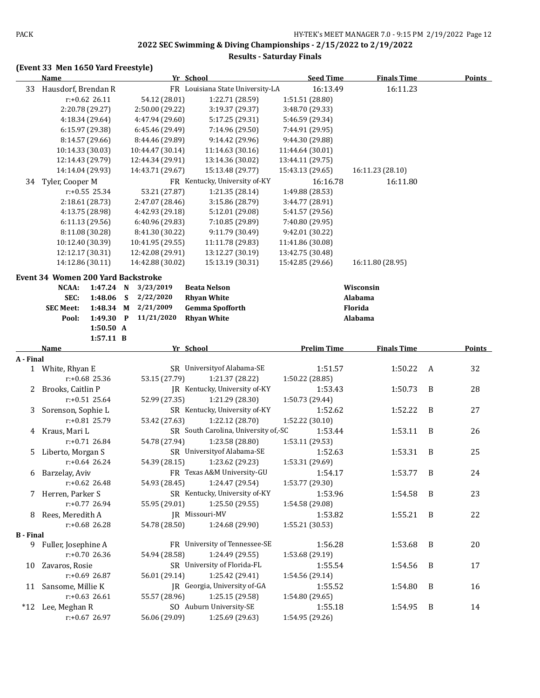#### **Results - Saturday Finals**

|                  | <b>Name</b>                               |                  |   |                  | Yr School                            | <b>Seed Time</b>   | <b>Finals Time</b> |   | <b>Points</b> |
|------------------|-------------------------------------------|------------------|---|------------------|--------------------------------------|--------------------|--------------------|---|---------------|
| 33               | Hausdorf, Brendan R                       |                  |   |                  | FR Louisiana State University-LA     | 16:13.49           | 16:11.23           |   |               |
|                  |                                           | $r: +0.62$ 26.11 |   | 54.12 (28.01)    | 1:22.71 (28.59)                      | 1:51.51 (28.80)    |                    |   |               |
|                  | 2:20.78 (29.27)                           |                  |   | 2:50.00 (29.22)  | 3:19.37 (29.37)                      | 3:48.70 (29.33)    |                    |   |               |
|                  |                                           | 4:18.34 (29.64)  |   | 4:47.94 (29.60)  | 5:17.25 (29.31)                      | 5:46.59 (29.34)    |                    |   |               |
|                  | 6:15.97 (29.38)                           |                  |   | 6:45.46 (29.49)  | 7:14.96 (29.50)                      | 7:44.91 (29.95)    |                    |   |               |
|                  | 8:14.57 (29.66)                           |                  |   | 8:44.46 (29.89)  | 9:14.42 (29.96)                      | 9:44.30 (29.88)    |                    |   |               |
|                  | 10:14.33 (30.03)                          |                  |   | 10:44.47 (30.14) | 11:14.63 (30.16)                     | 11:44.64 (30.01)   |                    |   |               |
|                  | 12:14.43 (29.79)                          |                  |   | 12:44.34 (29.91) | 13:14.36 (30.02)                     | 13:44.11 (29.75)   |                    |   |               |
|                  | 14:14.04 (29.93)                          |                  |   | 14:43.71 (29.67) | 15:13.48 (29.77)                     | 15:43.13 (29.65)   | 16:11.23 (28.10)   |   |               |
| 34               | Tyler, Cooper M                           |                  |   |                  | FR Kentucky, University of-KY        | 16:16.78           | 16:11.80           |   |               |
|                  |                                           | $r: +0.55$ 25.34 |   | 53.21 (27.87)    | 1:21.35 (28.14)                      | 1:49.88 (28.53)    |                    |   |               |
|                  |                                           | 2:18.61 (28.73)  |   | 2:47.07 (28.46)  | 3:15.86 (28.79)                      | 3:44.77 (28.91)    |                    |   |               |
|                  | 4:13.75 (28.98)                           |                  |   | 4:42.93 (29.18)  | 5:12.01 (29.08)                      | 5:41.57 (29.56)    |                    |   |               |
|                  | 6:11.13 (29.56)                           |                  |   | 6:40.96 (29.83)  | 7:10.85 (29.89)                      | 7:40.80 (29.95)    |                    |   |               |
|                  | 8:11.08 (30.28)                           |                  |   | 8:41.30 (30.22)  | 9:11.79 (30.49)                      | 9:42.01 (30.22)    |                    |   |               |
|                  | 10:12.40 (30.39)                          |                  |   | 10:41.95 (29.55) | 11:11.78 (29.83)                     | 11:41.86 (30.08)   |                    |   |               |
|                  | 12:12.17 (30.31)                          |                  |   | 12:42.08 (29.91) | 13:12.27 (30.19)                     | 13:42.75 (30.48)   |                    |   |               |
|                  | 14:12.86 (30.11)                          |                  |   | 14:42.88 (30.02) | 15:13.19 (30.31)                     | 15:42.85 (29.66)   | 16:11.80 (28.95)   |   |               |
|                  | <b>Event 34 Women 200 Yard Backstroke</b> |                  |   |                  |                                      |                    |                    |   |               |
|                  | NCAA:                                     | 1:47.24 N        |   | 3/23/2019        | <b>Beata Nelson</b>                  |                    | Wisconsin          |   |               |
|                  | SEC:                                      | 1:48.06          | S | 2/22/2020        | <b>Rhyan White</b>                   |                    | Alabama            |   |               |
|                  | <b>SEC Meet:</b>                          | 1:48.34 M        |   | 2/21/2009        | <b>Gemma Spofforth</b>               |                    | Florida            |   |               |
|                  | Pool:                                     | 1:49.30 P        |   | 11/21/2020       | <b>Rhyan White</b>                   |                    | Alabama            |   |               |
|                  |                                           | 1:50.50 A        |   |                  |                                      |                    |                    |   |               |
|                  |                                           | $1:57.11$ B      |   |                  |                                      |                    |                    |   |               |
|                  | Name                                      |                  |   |                  | Yr School                            | <b>Prelim Time</b> | <b>Finals Time</b> |   | <b>Points</b> |
| A - Final        |                                           |                  |   |                  |                                      |                    |                    |   |               |
|                  | 1 White, Rhyan E                          |                  |   |                  | SR University of Alabama-SE          | 1:51.57            | 1:50.22            | A | 32            |
|                  |                                           | r:+0.68 25.36    |   | 53.15 (27.79)    | 1:21.37 (28.22)                      | 1:50.22 (28.85)    |                    |   |               |
| 2                | Brooks, Caitlin P                         |                  |   |                  | JR Kentucky, University of-KY        | 1:53.43            | 1:50.73            | B | 28            |
|                  |                                           | $r: +0.51$ 25.64 |   | 52.99 (27.35)    | 1:21.29 (28.30)                      | 1:50.73 (29.44)    |                    |   |               |
| 3                | Sorenson, Sophie L                        |                  |   |                  | SR Kentucky, University of-KY        | 1:52.62            | 1:52.22            | B | 27            |
|                  |                                           | r:+0.81 25.79    |   | 53.42 (27.63)    | 1:22.12 (28.70)                      | 1:52.22 (30.10)    |                    |   |               |
|                  | 4 Kraus, Mari L                           |                  |   |                  | SR South Carolina, University of,-SC | 1:53.44            | 1:53.11            | B | 26            |
|                  |                                           | $r: +0.71$ 26.84 |   | 54.78 (27.94)    | 1:23.58 (28.80)                      | 1:53.11 (29.53)    |                    |   |               |
| 5.               | Liberto, Morgan S                         |                  |   |                  | SR University of Alabama-SE          | 1:52.63            | 1:53.31            | B | 25            |
|                  |                                           | $r: +0.64$ 26.24 |   | 54.39 (28.15)    | 1:23.62 (29.23)                      | 1:53.31 (29.69)    |                    |   |               |
|                  | 6 Barzelay, Aviv                          |                  |   |                  | FR Texas A&M University-GU           | 1:54.17            | 1:53.77 B          |   | 24            |
|                  |                                           | $r: +0.62$ 26.48 |   | 54.93 (28.45)    | 1:24.47 (29.54)                      | 1:53.77 (29.30)    |                    |   |               |
|                  | 7 Herren, Parker S                        |                  |   |                  | SR Kentucky, University of-KY        | 1:53.96            | 1:54.58            | B | 23            |
|                  |                                           | $r: +0.77$ 26.94 |   | 55.95 (29.01)    | 1:25.50 (29.55)                      | 1:54.58 (29.08)    |                    |   |               |
|                  | 8 Rees, Meredith A                        |                  |   |                  | JR Missouri-MV                       | 1:53.82            | 1:55.21            | B | 22            |
|                  |                                           | $r: +0.68$ 26.28 |   | 54.78 (28.50)    | 1:24.68 (29.90)                      | 1:55.21 (30.53)    |                    |   |               |
| <b>B</b> - Final |                                           |                  |   |                  |                                      |                    |                    |   |               |
|                  | 9 Fuller, Josephine A                     |                  |   |                  | FR University of Tennessee-SE        | 1:56.28            | 1:53.68            | B | 20            |
|                  |                                           | r:+0.70 26.36    |   | 54.94 (28.58)    | 1:24.49 (29.55)                      | 1:53.68 (29.19)    |                    |   |               |
|                  | 10 Zavaros, Rosie                         |                  |   |                  | SR University of Florida-FL          | 1:55.54            | 1:54.56            | B | 17            |
|                  |                                           | r:+0.69 26.87    |   | 56.01 (29.14)    | 1:25.42 (29.41)                      | 1:54.56 (29.14)    |                    |   |               |
|                  | 11 Sansome, Millie K                      |                  |   |                  | JR Georgia, University of-GA         | 1:55.52            | 1:54.80            | B | 16            |
|                  |                                           | $r: +0.63$ 26.61 |   | 55.57 (28.96)    | 1:25.15 (29.58)                      | 1:54.80 (29.65)    |                    |   |               |
|                  | *12 Lee, Meghan R                         |                  |   |                  | SO Auburn University-SE              | 1:55.18            | 1:54.95            | B | 14            |
|                  |                                           | r:+0.67 26.97    |   | 56.06 (29.09)    | 1:25.69 (29.63)                      | 1:54.95 (29.26)    |                    |   |               |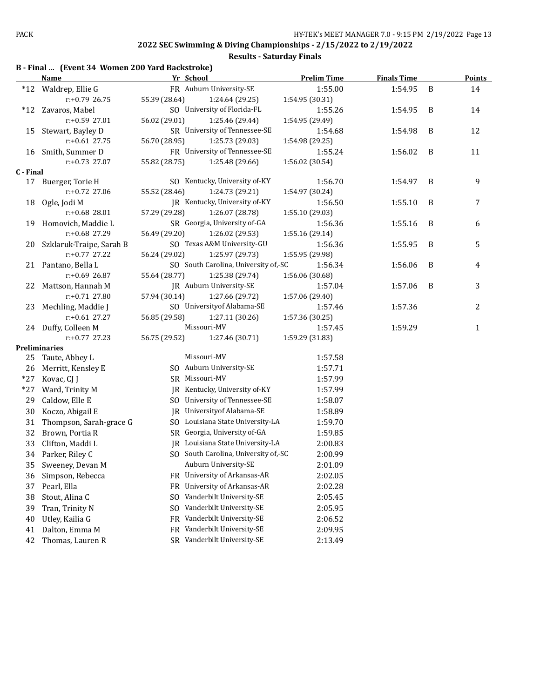|           | B - Final  (Event 34 Women 200 Yard Backstroke)<br><b>Name</b> | Yr School      |                                      | <b>Prelim Time</b> | <b>Finals Time</b> |   | <b>Points</b> |
|-----------|----------------------------------------------------------------|----------------|--------------------------------------|--------------------|--------------------|---|---------------|
| $*12$     | Waldrep, Ellie G                                               |                | FR Auburn University-SE              | 1:55.00            | 1:54.95            | B | 14            |
|           | r:+0.79 26.75                                                  | 55.39 (28.64)  | 1:24.64 (29.25)                      | 1:54.95 (30.31)    |                    |   |               |
|           | *12 Zavaros, Mabel                                             |                | SO University of Florida-FL          | 1:55.26            | 1:54.95            | B | 14            |
|           | r:+0.59 27.01                                                  | 56.02 (29.01)  | 1:25.46 (29.44)                      | 1:54.95 (29.49)    |                    |   |               |
| 15        | Stewart, Bayley D                                              |                | SR University of Tennessee-SE        | 1:54.68            | 1:54.98            | B | 12            |
|           | $r: +0.61$ 27.75                                               | 56.70 (28.95)  | 1:25.73 (29.03)                      | 1:54.98 (29.25)    |                    |   |               |
| 16        | Smith, Summer D                                                |                | FR University of Tennessee-SE        | 1:55.24            | 1:56.02            | B | 11            |
|           | r:+0.73 27.07                                                  | 55.82 (28.75)  | 1:25.48 (29.66)                      | 1:56.02 (30.54)    |                    |   |               |
| C - Final |                                                                |                |                                      |                    |                    |   |               |
|           | 17 Buerger, Torie H                                            |                | SO Kentucky, University of-KY        | 1:56.70            | 1:54.97            | B | 9             |
|           | $r: +0.72$ 27.06                                               | 55.52 (28.46)  | 1:24.73 (29.21)                      | 1:54.97 (30.24)    |                    |   |               |
| 18        | Ogle, Jodi M                                                   |                | JR Kentucky, University of-KY        | 1:56.50            | 1:55.10            | B | 7             |
|           | r:+0.68 28.01                                                  | 57.29 (29.28)  | 1:26.07 (28.78)                      | 1:55.10 (29.03)    |                    |   |               |
| 19        | Homovich, Maddie L                                             |                | SR Georgia, University of-GA         | 1:56.36            | 1:55.16            | B | 6             |
|           | r:+0.68 27.29                                                  | 56.49 (29.20)  | 1:26.02 (29.53)                      | 1:55.16 (29.14)    |                    |   |               |
| 20        | Szklaruk-Traipe, Sarah B                                       |                | SO Texas A&M University-GU           | 1:56.36            | 1:55.95            | B | 5             |
|           | $r: +0.77$ 27.22                                               | 56.24 (29.02)  | 1:25.97 (29.73)                      | 1:55.95 (29.98)    |                    |   |               |
|           | 21 Pantano, Bella L                                            |                | SO South Carolina, University of,-SC | 1:56.34            | 1:56.06            | B | 4             |
|           | r:+0.69 26.87                                                  | 55.64 (28.77)  | 1:25.38 (29.74)                      | 1:56.06 (30.68)    |                    |   |               |
| 22        | Mattson, Hannah M                                              |                | JR Auburn University-SE              | 1:57.04            | 1:57.06            | B | 3             |
|           | $r: +0.71$ 27.80                                               | 57.94 (30.14)  | 1:27.66 (29.72)                      | 1:57.06 (29.40)    |                    |   |               |
| 23        | Mechling, Maddie J                                             |                | SO University of Alabama-SE          | 1:57.46            | 1:57.36            |   | 2             |
|           | $r: +0.61$ 27.27                                               | 56.85 (29.58)  | 1:27.11 (30.26)                      | 1:57.36 (30.25)    |                    |   |               |
|           | 24 Duffy, Colleen M                                            |                | Missouri-MV                          | 1:57.45            | 1:59.29            |   | $\mathbf{1}$  |
|           | $r: +0.77$ 27.23                                               | 56.75 (29.52)  | 1:27.46 (30.71)                      | 1:59.29 (31.83)    |                    |   |               |
|           | <b>Preliminaries</b>                                           |                |                                      |                    |                    |   |               |
| 25        | Taute, Abbey L                                                 |                | Missouri-MV                          | 1:57.58            |                    |   |               |
| 26        | Merritt, Kensley E                                             |                | SO Auburn University-SE              | 1:57.71            |                    |   |               |
| $*27$     | Kovac, CJ J                                                    | SR Missouri-MV |                                      | 1:57.99            |                    |   |               |
| $*27$     | Ward, Trinity M                                                |                | JR Kentucky, University of-KY        | 1:57.99            |                    |   |               |
| 29        | Caldow, Elle E                                                 |                | SO University of Tennessee-SE        | 1:58.07            |                    |   |               |
| 30        | Koczo, Abigail E                                               |                | JR University of Alabama-SE          | 1:58.89            |                    |   |               |
| 31        | Thompson, Sarah-grace G                                        |                | SO Louisiana State University-LA     | 1:59.70            |                    |   |               |
| 32        | Brown, Portia R                                                |                | SR Georgia, University of-GA         | 1:59.85            |                    |   |               |
| 33        | Clifton, Maddi L                                               |                | IR Louisiana State University-LA     | 2:00.83            |                    |   |               |
| 34        | Parker, Riley C                                                |                | SO South Carolina, University of,-SC | 2:00.99            |                    |   |               |
| 35        | Sweeney, Devan M                                               |                | Auburn University-SE                 | 2:01.09            |                    |   |               |
| 36        | Simpson, Rebecca                                               |                | FR University of Arkansas-AR         | 2:02.05            |                    |   |               |
| 37        | Pearl, Ella                                                    | FR             | University of Arkansas-AR            | 2:02.28            |                    |   |               |
| 38        | Stout, Alina C                                                 | SO.            | Vanderbilt University-SE             | 2:05.45            |                    |   |               |
| 39        | Tran, Trinity N                                                | SO.            | Vanderbilt University-SE             | 2:05.95            |                    |   |               |
| 40        | Utley, Kailia G                                                | FR             | Vanderbilt University-SE             | 2:06.52            |                    |   |               |
| 41        | Dalton, Emma M                                                 | FR.            | Vanderbilt University-SE             | 2:09.95            |                    |   |               |
| 42        | Thomas, Lauren R                                               | SR             | Vanderbilt University-SE             | 2:13.49            |                    |   |               |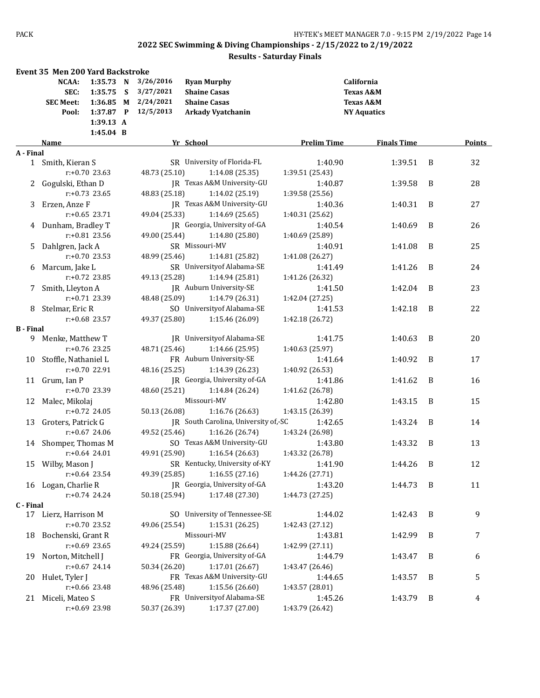|                  | <b>Event 35 Men 200 Yard Backstroke</b>    |                                                             |   |                                                  |                                                                                       |                    |                                                                                  |   |        |
|------------------|--------------------------------------------|-------------------------------------------------------------|---|--------------------------------------------------|---------------------------------------------------------------------------------------|--------------------|----------------------------------------------------------------------------------|---|--------|
|                  | NCAA:<br>SEC:<br><b>SEC Meet:</b><br>Pool: | 1:35.73 N<br>1:35.75<br>1:36.85 M<br>1:37.87 P<br>1:39.13 A | S | 3/26/2016<br>3/27/2021<br>2/24/2021<br>12/5/2013 | <b>Ryan Murphy</b><br><b>Shaine Casas</b><br><b>Shaine Casas</b><br>Arkady Vyatchanin |                    | California<br><b>Texas A&amp;M</b><br><b>Texas A&amp;M</b><br><b>NY Aquatics</b> |   |        |
|                  |                                            | 1:45.04 B                                                   |   |                                                  |                                                                                       |                    |                                                                                  |   |        |
|                  | Name                                       |                                                             |   |                                                  | Yr School                                                                             | <b>Prelim Time</b> | <b>Finals Time</b>                                                               |   | Points |
| A - Final        |                                            |                                                             |   |                                                  |                                                                                       |                    |                                                                                  |   |        |
|                  | 1 Smith, Kieran S                          |                                                             |   |                                                  | SR University of Florida-FL                                                           | 1:40.90            | 1:39.51                                                                          | B | 32     |
|                  |                                            | $r: +0.70$ 23.63                                            |   | 48.73 (25.10)                                    | 1:14.08(25.35)                                                                        | 1:39.51 (25.43)    |                                                                                  |   |        |
|                  | Gogulski, Ethan D                          |                                                             |   |                                                  | IR Texas A&M University-GU                                                            | 1:40.87            | 1:39.58                                                                          | B | 28     |
|                  |                                            | $r: +0.73$ 23.65                                            |   | 48.83 (25.18)                                    | 1:14.02 (25.19)                                                                       | 1:39.58 (25.56)    |                                                                                  |   |        |
| 3                | Erzen, Anze F                              |                                                             |   |                                                  | JR Texas A&M University-GU                                                            | 1:40.36            | 1:40.31                                                                          | B | 27     |
|                  |                                            | $r: +0.65$ 23.71                                            |   | 49.04 (25.33)                                    | 1:14.69(25.65)                                                                        | 1:40.31 (25.62)    |                                                                                  |   |        |
|                  | 4 Dunham, Bradley T                        |                                                             |   |                                                  | JR Georgia, University of-GA                                                          | 1:40.54            | 1:40.69                                                                          | B | 26     |
|                  |                                            | $r: +0.81$ 23.56                                            |   | 49.00 (25.44)                                    | 1:14.80 (25.80)<br>SR Missouri-MV                                                     | 1:40.69 (25.89)    |                                                                                  |   |        |
| 5.               | Dahlgren, Jack A                           |                                                             |   |                                                  |                                                                                       | 1:40.91            | 1:41.08                                                                          | B | 25     |
|                  |                                            | r:+0.70 23.53                                               |   | 48.99 (25.46)                                    | 1:14.81 (25.82)                                                                       | 1:41.08 (26.27)    |                                                                                  |   |        |
|                  | 6 Marcum, Jake L                           |                                                             |   |                                                  | SR University of Alabama-SE                                                           | 1:41.49            | 1:41.26                                                                          | B | 24     |
|                  |                                            | $r: +0.72$ 23.85                                            |   | 49.13 (25.28)                                    | 1:14.94 (25.81)                                                                       | 1:41.26 (26.32)    |                                                                                  |   |        |
| 7                | Smith, Lleyton A                           | $r: +0.71$ 23.39                                            |   |                                                  | JR Auburn University-SE<br>1:14.79 (26.31)                                            | 1:41.50            | 1:42.04                                                                          | B | 23     |
|                  |                                            |                                                             |   | 48.48 (25.09)                                    | SO University of Alabama-SE                                                           | 1:42.04 (27.25)    |                                                                                  |   |        |
|                  | 8 Stelmar, Eric R                          | $r: +0.68$ 23.57                                            |   | 49.37 (25.80)                                    | 1:15.46 (26.09)                                                                       | 1:41.53            | 1:42.18                                                                          | B | 22     |
| <b>B</b> - Final |                                            |                                                             |   |                                                  |                                                                                       | 1:42.18 (26.72)    |                                                                                  |   |        |
|                  | 9 Menke, Matthew T                         |                                                             |   |                                                  | JR University of Alabama-SE                                                           | 1:41.75            | 1:40.63                                                                          | B | 20     |
|                  |                                            | $r: +0.76$ 23.25                                            |   | 48.71 (25.46)                                    | 1:14.66 (25.95)                                                                       | 1:40.63 (25.97)    |                                                                                  |   |        |
| 10               | Stoffle, Nathaniel L                       |                                                             |   |                                                  | FR Auburn University-SE                                                               | 1:41.64            | 1:40.92                                                                          | B | 17     |
|                  |                                            | r:+0.70 22.91                                               |   | 48.16 (25.25)                                    | 1:14.39 (26.23)                                                                       | 1:40.92 (26.53)    |                                                                                  |   |        |
| 11               | Grum, Ian P                                |                                                             |   |                                                  | JR Georgia, University of-GA                                                          | 1:41.86            | 1:41.62                                                                          | B | 16     |
|                  |                                            | r:+0.70 23.39                                               |   | 48.60 (25.21)                                    | 1:14.84 (26.24)                                                                       | 1:41.62 (26.78)    |                                                                                  |   |        |
|                  | 12 Malec, Mikolaj                          |                                                             |   |                                                  | Missouri-MV                                                                           | 1:42.80            | 1:43.15                                                                          | B | 15     |
|                  |                                            | $r: +0.72$ 24.05                                            |   | 50.13 (26.08)                                    | 1:16.76 (26.63)                                                                       | 1:43.15 (26.39)    |                                                                                  |   |        |
| 13               | Groters, Patrick G                         |                                                             |   |                                                  | JR South Carolina, University of,-SC                                                  | 1:42.65            | 1:43.24                                                                          | B | 14     |
|                  |                                            | $r: +0.67$ 24.06                                            |   | 49.52 (25.46)                                    | 1:16.26(26.74)                                                                        | 1:43.24 (26.98)    |                                                                                  |   |        |
|                  | 14 Shomper, Thomas M                       |                                                             |   |                                                  | SO Texas A&M University-GU                                                            | 1:43.80            | 1:43.32                                                                          | B | 13     |
|                  |                                            | $r: +0.64$ 24.01                                            |   | 49.91 (25.90)                                    | 1:16.54(26.63)                                                                        | 1:43.32 (26.78)    |                                                                                  |   |        |
|                  | 15 Wilby, Mason J                          |                                                             |   |                                                  | SR Kentucky, University of-KY                                                         | 1:41.90            | 1:44.26 B                                                                        |   | 12     |
|                  |                                            | $r: +0.64$ 23.54                                            |   | 49.39 (25.85)                                    | 1:16.55(27.16)                                                                        | 1:44.26 (27.71)    |                                                                                  |   |        |
|                  | 16 Logan, Charlie R                        |                                                             |   |                                                  | JR Georgia, University of-GA                                                          | 1:43.20            | 1:44.73                                                                          | B | 11     |
|                  |                                            | r:+0.74 24.24                                               |   | 50.18 (25.94)                                    | 1:17.48 (27.30)                                                                       | 1:44.73 (27.25)    |                                                                                  |   |        |
| C - Final        |                                            |                                                             |   |                                                  |                                                                                       |                    |                                                                                  |   |        |
|                  | 17 Lierz, Harrison M                       |                                                             |   |                                                  | SO University of Tennessee-SE                                                         | 1:44.02            | 1:42.43                                                                          | B | 9      |
|                  |                                            | r:+0.70 23.52                                               |   | 49.06 (25.54)                                    | 1:15.31(26.25)                                                                        | 1:42.43 (27.12)    |                                                                                  |   |        |
|                  | 18 Bochenski, Grant R                      |                                                             |   |                                                  | Missouri-MV                                                                           | 1:43.81            | 1:42.99                                                                          | B | 7      |
|                  |                                            | r:+0.69 23.65                                               |   | 49.24 (25.59)                                    | 1:15.88 (26.64)                                                                       | 1:42.99 (27.11)    |                                                                                  |   |        |
| 19               | Norton, Mitchell J                         |                                                             |   |                                                  | FR Georgia, University of-GA                                                          | 1:44.79            | 1:43.47                                                                          | B | 6      |
|                  |                                            | $r: +0.67$ 24.14                                            |   | 50.34 (26.20)                                    | 1:17.01 (26.67)                                                                       | 1:43.47 (26.46)    |                                                                                  |   |        |
| 20               | Hulet, Tyler J                             |                                                             |   |                                                  | FR Texas A&M University-GU                                                            | 1:44.65            | 1:43.57                                                                          | B | 5      |
|                  |                                            | r:+0.66 23.48                                               |   | 48.96 (25.48)                                    | 1:15.56 (26.60)                                                                       | 1:43.57 (28.01)    |                                                                                  |   |        |
| 21 -             | Miceli, Mateo S                            |                                                             |   |                                                  | FR University of Alabama-SE                                                           | 1:45.26            | 1:43.79                                                                          | B | 4      |
|                  |                                            | r:+0.69 23.98                                               |   | 50.37 (26.39)                                    | 1:17.37 (27.00)                                                                       | 1:43.79 (26.42)    |                                                                                  |   |        |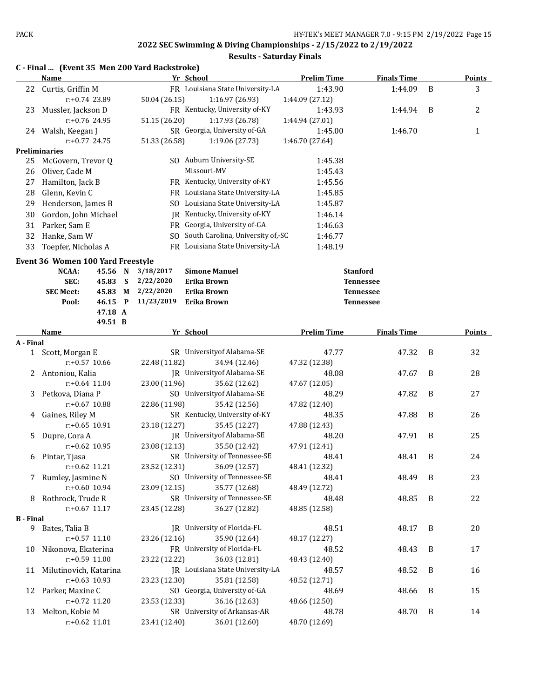|                  | C - Final  (Event 35 Men 200 Yard Backstroke)<br>Name |                   | Yr School                                           | <b>Prelim Time</b>     | <b>Finals Time</b> |   | <b>Points</b> |
|------------------|-------------------------------------------------------|-------------------|-----------------------------------------------------|------------------------|--------------------|---|---------------|
| 22               | Curtis, Griffin M                                     |                   | FR Louisiana State University-LA                    | 1:43.90                | 1:44.09            | B | 3             |
|                  | r:+0.74 23.89                                         | 50.04 (26.15)     | 1:16.97 (26.93)                                     | 1:44.09 (27.12)        |                    |   |               |
| 23               | Mussler, Jackson D                                    |                   | FR Kentucky, University of-KY                       | 1:43.93                | 1:44.94            | B | 2             |
|                  | $r: +0.76$ 24.95                                      | 51.15 (26.20)     | 1:17.93 (26.78)                                     | 1:44.94 (27.01)        |                    |   |               |
|                  | 24 Walsh, Keegan J                                    |                   | SR Georgia, University of-GA                        | 1:45.00                | 1:46.70            |   | 1             |
|                  | $r: +0.77$ 24.75                                      | 51.33 (26.58)     | 1:19.06 (27.73)                                     | 1:46.70 (27.64)        |                    |   |               |
|                  | <b>Preliminaries</b>                                  |                   |                                                     |                        |                    |   |               |
| 25               | McGovern, Trevor Q                                    |                   | SO Auburn University-SE                             | 1:45.38                |                    |   |               |
| 26               | Oliver, Cade M                                        |                   | Missouri-MV                                         | 1:45.43                |                    |   |               |
| 27               | Hamilton, Jack B                                      |                   | FR Kentucky, University of-KY                       | 1:45.56                |                    |   |               |
| 28               | Glenn, Kevin C                                        |                   | FR Louisiana State University-LA                    | 1:45.85                |                    |   |               |
| 29               | Henderson, James B                                    |                   | SO Louisiana State University-LA                    | 1:45.87                |                    |   |               |
| 30               | Gordon, John Michael                                  |                   | JR Kentucky, University of-KY                       | 1:46.14                |                    |   |               |
| 31               | Parker, Sam E                                         |                   | FR Georgia, University of-GA                        | 1:46.63                |                    |   |               |
| 32               | Hanke, Sam W                                          |                   | SO South Carolina, University of,-SC                | 1:46.77                |                    |   |               |
| 33               | Toepfer, Nicholas A                                   |                   | FR Louisiana State University-LA                    | 1:48.19                |                    |   |               |
|                  | Event 36 Women 100 Yard Freestyle                     |                   |                                                     |                        |                    |   |               |
|                  | NCAA:<br>45.56 N                                      | 3/18/2017         | <b>Simone Manuel</b>                                |                        | <b>Stanford</b>    |   |               |
|                  | SEC:<br>45.83<br>S                                    | 2/22/2020         | Erika Brown                                         |                        | <b>Tennessee</b>   |   |               |
|                  | <b>SEC Meet:</b>                                      | 45.83 M 2/22/2020 | Erika Brown                                         |                        | <b>Tennessee</b>   |   |               |
|                  | 46.15 P<br>Pool:                                      | 11/23/2019        | Erika Brown                                         |                        | <b>Tennessee</b>   |   |               |
|                  | 47.18 A                                               |                   |                                                     |                        |                    |   |               |
|                  | 49.51 B                                               |                   |                                                     |                        |                    |   |               |
|                  | Name                                                  |                   | Yr School                                           | <b>Prelim Time</b>     | <b>Finals Time</b> |   | Points        |
| A - Final        |                                                       |                   |                                                     |                        |                    |   |               |
| $\mathbf{1}$     | Scott, Morgan E                                       |                   | SR University of Alabama-SE                         | 47.77                  | 47.32              | B | 32            |
|                  | $r: +0.57$ 10.66                                      | 22.48 (11.82)     | 34.94 (12.46)<br><b>IR</b> University of Alabama-SE | 47.32 (12.38)          |                    | B |               |
|                  | 2 Antoniou, Kalia<br>$r: +0.64$ 11.04                 | 23.00 (11.96)     | 35.62 (12.62)                                       | 48.08<br>47.67 (12.05) | 47.67              |   | 28            |
| 3                | Petkova, Diana P                                      |                   | SO University of Alabama-SE                         | 48.29                  | 47.82              | B | 27            |
|                  | $r: +0.67$ 10.88                                      | 22.86 (11.98)     | 35.42 (12.56)                                       | 47.82 (12.40)          |                    |   |               |
| 4                | Gaines, Riley M                                       |                   | SR Kentucky, University of-KY                       | 48.35                  | 47.88              | B | 26            |
|                  | $r: +0.65$ 10.91                                      | 23.18 (12.27)     | 35.45 (12.27)                                       | 47.88 (12.43)          |                    |   |               |
| 5.               | Dupre, Cora A                                         |                   | JR University of Alabama-SE                         | 48.20                  | 47.91              | B | 25            |
|                  | $r: +0.62$ 10.95                                      | 23.08 (12.13)     | 35.50 (12.42)                                       | 47.91 (12.41)          |                    |   |               |
| 6                | Pintar, Tjasa                                         |                   | SR University of Tennessee-SE                       | 48.41                  | 48.41              | B | 24            |
|                  | $r: +0.62$ 11.21                                      | 23.52 (12.31)     | 36.09 (12.57)                                       | 48.41 (12.32)          |                    |   |               |
|                  | 7 Rumley, Jasmine N                                   |                   | SO University of Tennessee-SE                       | 48.41                  | 48.49              | B | 23            |
|                  | r:+0.60 10.94                                         | 23.09 (12.15)     | 35.77 (12.68)                                       | 48.49 (12.72)          |                    |   |               |
|                  | 8 Rothrock, Trude R                                   |                   | SR University of Tennessee-SE                       | 48.48                  | 48.85              | B | 22            |
|                  | $r: +0.67$ 11.17                                      | 23.45 (12.28)     | 36.27 (12.82)                                       | 48.85 (12.58)          |                    |   |               |
| <b>B</b> - Final |                                                       |                   |                                                     |                        |                    |   |               |
|                  | 9 Bates, Talia B                                      |                   | JR University of Florida-FL                         | 48.51                  | 48.17              | B | 20            |
|                  | $r: +0.57$ 11.10                                      | 23.26 (12.16)     | 35.90 (12.64)                                       | 48.17 (12.27)          |                    |   |               |
| 10               | Nikonova, Ekaterina                                   |                   | FR University of Florida-FL                         | 48.52                  | 48.43              | B | 17            |
|                  | r:+0.59 11.00                                         | 23.22 (12.22)     | 36.03 (12.81)                                       | 48.43 (12.40)          |                    |   |               |
|                  | 11 Milutinovich, Katarina                             |                   | JR Louisiana State University-LA                    | 48.57                  | 48.52              | B | 16            |
|                  | $r: +0.63$ 10.93                                      | 23.23 (12.30)     | 35.81 (12.58)                                       | 48.52 (12.71)          |                    |   |               |
|                  | 12 Parker, Maxine C                                   |                   | SO Georgia, University of-GA                        | 48.69                  | 48.66              | B | 15            |
|                  | r:+0.72 11.20                                         | 23.53 (12.33)     | 36.16 (12.63)                                       | 48.66 (12.50)          |                    |   |               |
| 13               | Melton, Kobie M                                       |                   | SR University of Arkansas-AR                        | 48.78                  | 48.70              | B | 14            |
|                  | $r: +0.62$ 11.01                                      | 23.41 (12.40)     | 36.01 (12.60)                                       | 48.70 (12.69)          |                    |   |               |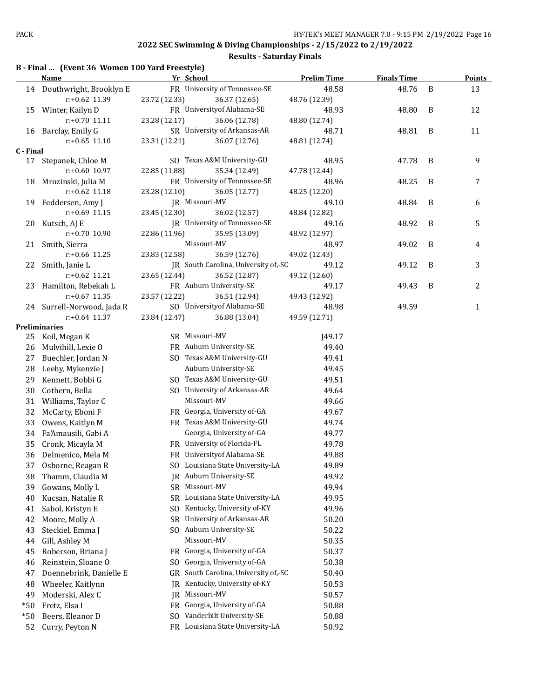#### **Results - Saturday Finals**

|                             | B - Final  (Event 36 Women 100 Yard Freestyle) |               |                               |                    |                    |   |               |  |  |  |  |
|-----------------------------|------------------------------------------------|---------------|-------------------------------|--------------------|--------------------|---|---------------|--|--|--|--|
|                             | Name                                           | Yr School     |                               | <b>Prelim Time</b> | <b>Finals Time</b> |   | <b>Points</b> |  |  |  |  |
| 14                          | Douthwright, Brooklyn E                        |               | FR University of Tennessee-SE | 48.58              | 48.76              | B | 13            |  |  |  |  |
|                             | $r: +0.62$ 11.39                               | 23.72 (12.33) | 36.37 (12.65)                 | 48.76 (12.39)      |                    |   |               |  |  |  |  |
| 15                          | Winter, Kailyn D                               |               | FR University of Alabama-SE   | 48.93              | 48.80              | B | 12            |  |  |  |  |
|                             | $r: +0.70$ 11.11                               | 23.28 (12.17) | 36.06 (12.78)                 | 48.80 (12.74)      |                    |   |               |  |  |  |  |
| 16                          | Barclay, Emily G                               |               | SR University of Arkansas-AR  | 48.71              | 48.81              | B | 11            |  |  |  |  |
|                             | $r: +0.65$ 11.10                               | 23.31 (12.21) | 36.07 (12.76)                 | 48.81 (12.74)      |                    |   |               |  |  |  |  |
| $\sim$ $\sim$ $\sim$ $\sim$ |                                                |               |                               |                    |                    |   |               |  |  |  |  |

#### **C - Final**

|           | $r: +0.65$ 11.10           | 23.31 (12.21)  | 36.07 (12.76)                        | 48.81 (12.74) |       |   |              |
|-----------|----------------------------|----------------|--------------------------------------|---------------|-------|---|--------------|
| C - Final |                            |                |                                      |               |       |   |              |
|           | 17 Stepanek, Chloe M       |                | SO Texas A&M University-GU           | 48.95         | 47.78 | B | 9            |
|           | $r: +0.60$ 10.97           | 22.85 (11.88)  | 35.34 (12.49)                        | 47.78 (12.44) |       |   |              |
| 18        | Mrozinski, Julia M         |                | FR University of Tennessee-SE        | 48.96         | 48.25 | B | 7            |
|           | $r: +0.62$ 11.18           | 23.28 (12.10)  | 36.05 (12.77)                        | 48.25 (12.20) |       |   |              |
| 19        | Feddersen, Amy J           |                | JR Missouri-MV                       | 49.10         | 48.84 | B | 6            |
|           | $r: +0.69$ 11.15           | 23.45 (12.30)  | 36.02 (12.57)                        | 48.84 (12.82) |       |   |              |
| 20        | Kutsch, AJ E               |                | JR University of Tennessee-SE        | 49.16         | 48.92 | B | 5            |
|           | $r: +0.70$ 10.90           | 22.86 (11.96)  | 35.95 (13.09)                        | 48.92 (12.97) |       |   |              |
| 21        | Smith, Sierra              |                | Missouri-MV                          | 48.97         | 49.02 | B | 4            |
|           | $r: +0.66$ 11.25           | 23.83 (12.58)  | 36.59 (12.76)                        | 49.02 (12.43) |       |   |              |
| 22        | Smith, Janie L             |                | JR South Carolina, University of,-SC | 49.12         | 49.12 | B | 3            |
|           | $r: +0.62$ 11.21           | 23.65 (12.44)  | 36.52 (12.87)                        | 49.12 (12.60) |       |   |              |
| 23        | Hamilton, Rebekah L        |                | FR Auburn University-SE              | 49.17         | 49.43 | B | 2            |
|           | $r: +0.67$ 11.35           | 23.57 (12.22)  | 36.51 (12.94)                        | 49.43 (12.92) |       |   |              |
|           | 24 Surrell-Norwood, Jada R |                | SO University of Alabama-SE          | 48.98         | 49.59 |   | $\mathbf{1}$ |
|           | $r: +0.64$ 11.37           | 23.84 (12.47)  | 36.88 (13.04)                        | 49.59 (12.71) |       |   |              |
|           | <b>Preliminaries</b>       |                |                                      |               |       |   |              |
| 25        | Keil, Megan K              | SR Missouri-MV |                                      | <b>I49.17</b> |       |   |              |
| 26        | Mulvihill, Lexie O         |                | FR Auburn University-SE              | 49.40         |       |   |              |
| 27        | Buechler, Jordan N         |                | SO Texas A&M University-GU           | 49.41         |       |   |              |
| 28        | Leehy, Mykenzie J          |                | Auburn University-SE                 | 49.45         |       |   |              |
| 29        | Kennett, Bobbi G           |                | SO Texas A&M University-GU           | 49.51         |       |   |              |
| 30        | Cothern, Bella             |                | SO University of Arkansas-AR         | 49.64         |       |   |              |
| 31        | Williams, Taylor C         |                | Missouri-MV                          | 49.66         |       |   |              |
| 32        | McCarty, Eboni F           |                | FR Georgia, University of-GA         | 49.67         |       |   |              |
| 33        | Owens, Kaitlyn M           |                | FR Texas A&M University-GU           | 49.74         |       |   |              |
| 34        | Fa'Amausili, Gabi A        |                | Georgia, University of-GA            | 49.77         |       |   |              |
| 35        | Cronk, Micayla M           |                | FR University of Florida-FL          | 49.78         |       |   |              |
| 36        | Delmenico, Mela M          |                | FR University of Alabama-SE          | 49.88         |       |   |              |
| 37        | Osborne, Reagan R          |                | SO Louisiana State University-LA     | 49.89         |       |   |              |
| 38        | Thamm, Claudia M           |                | JR Auburn University-SE              | 49.92         |       |   |              |
| 39        | Gowans, Molly L            | SR Missouri-MV |                                      | 49.94         |       |   |              |
| 40        | Kucsan, Natalie R          |                | SR Louisiana State University-LA     | 49.95         |       |   |              |

- 41 Sabol, Kristyn E SO Kentucky, University of-KY 49.96
- 42 Moore, Molly A SR University of Arkansas-AR 50.20
- 43 Steckiel, Emma J SO Auburn University-SE 50.22
- 44 Gill, Ashley M Missouri-MV Missouri-MV 50.35
- 45 Roberson, Briana J FR Georgia, University of-GA 50.37
- 46 Reinstein, Sloane O SO Georgia, University of-GA 50.38
- 47 Doennebrink, Danielle E GR South Carolina, University of,-SC 50.40
- 48 Wheeler, Kaitlynn JR Kentucky, University of-KY 50.53
- 49 Moderski, Alex C JR Missouri-MV 50.57
- \*50 Fretz, Elsa I FR Georgia, University of-GA 50.88
- 
- \*50 Beers, Eleanor D SO Vanderbilt University-SE 50.88
- 52 Curry, Peyton N FR Louisiana State University-LA 50.92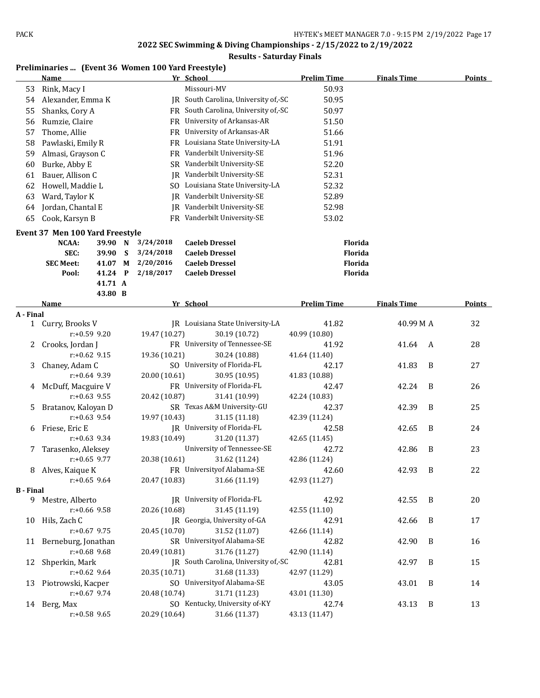#### **Results - Saturday Finals**

#### **Preliminaries ... (Event 36 Women 100 Yard Freestyle)**

|                  | <u>Name</u>                              |                 |   |               | <u>Yr School</u>                     | <b>Prelim Time</b> | <b>Finals Time</b> |   | <b>Points</b> |
|------------------|------------------------------------------|-----------------|---|---------------|--------------------------------------|--------------------|--------------------|---|---------------|
| 53               | Rink, Macy I                             |                 |   |               | Missouri-MV                          | 50.93              |                    |   |               |
| 54               | Alexander, Emma K                        |                 |   |               | JR South Carolina, University of,-SC | 50.95              |                    |   |               |
| 55               | Shanks, Cory A                           |                 |   |               | FR South Carolina, University of,-SC | 50.97              |                    |   |               |
| 56               | Rumzie, Claire                           |                 |   |               | FR University of Arkansas-AR         | 51.50              |                    |   |               |
| 57               | Thome, Allie                             |                 |   |               | FR University of Arkansas-AR         | 51.66              |                    |   |               |
| 58               | Pawlaski, Emily R                        |                 |   |               | FR Louisiana State University-LA     | 51.91              |                    |   |               |
| 59               | Almasi, Grayson C                        |                 |   |               | FR Vanderbilt University-SE          | 51.96              |                    |   |               |
| 60               | Burke, Abby E                            |                 |   |               | SR Vanderbilt University-SE          | 52.20              |                    |   |               |
| 61               | Bauer, Allison C                         |                 |   |               | <b>IR</b> Vanderbilt University-SE   | 52.31              |                    |   |               |
| 62               | Howell, Maddie L                         |                 |   |               | SO Louisiana State University-LA     | 52.32              |                    |   |               |
| 63               | Ward, Taylor K                           |                 |   |               | IR Vanderbilt University-SE          | 52.89              |                    |   |               |
| 64               | Jordan, Chantal E                        |                 |   |               | JR Vanderbilt University-SE          | 52.98              |                    |   |               |
| 65               | Cook, Karsyn B                           |                 |   |               | FR Vanderbilt University-SE          | 53.02              |                    |   |               |
|                  |                                          |                 |   |               |                                      |                    |                    |   |               |
|                  | Event 37 Men 100 Yard Freestyle<br>NCAA: | 39.90 N         |   | 3/24/2018     | <b>Caeleb Dressel</b>                | Florida            |                    |   |               |
|                  | SEC:                                     | 39.90           | S | 3/24/2018     | <b>Caeleb Dressel</b>                | Florida            |                    |   |               |
|                  | <b>SEC Meet:</b>                         | 41.07           | М | 2/20/2016     | <b>Caeleb Dressel</b>                | <b>Florida</b>     |                    |   |               |
|                  | Pool:                                    | 41.24 P         |   | 2/18/2017     | <b>Caeleb Dressel</b>                | Florida            |                    |   |               |
|                  |                                          | 41.71 A         |   |               |                                      |                    |                    |   |               |
|                  |                                          | 43.80 B         |   |               |                                      |                    |                    |   |               |
|                  | <b>Name</b>                              |                 |   |               | Yr School                            | <b>Prelim Time</b> | <b>Finals Time</b> |   | <b>Points</b> |
| A - Final        |                                          |                 |   |               |                                      |                    |                    |   |               |
|                  | 1 Curry, Brooks V                        |                 |   |               | JR Louisiana State University-LA     | 41.82              | 40.99 M A          |   | 32            |
|                  |                                          | $r: +0.59$ 9.20 |   | 19.47 (10.27) | 30.19 (10.72)                        | 40.99 (10.80)      |                    |   |               |
| 2                | Crooks, Jordan J                         |                 |   |               | FR University of Tennessee-SE        | 41.92              | 41.64              | A | 28            |
|                  |                                          | $r: +0.62$ 9.15 |   | 19.36 (10.21) | 30.24 (10.88)                        | 41.64 (11.40)      |                    |   |               |
| 3                | Chaney, Adam C                           |                 |   |               | SO University of Florida-FL          | 42.17              | 41.83              | B | 27            |
|                  |                                          | $r+0.64$ 9.39   |   | 20.00 (10.61) | 30.95 (10.95)                        | 41.83 (10.88)      |                    |   |               |
| 4                | McDuff, Macguire V                       |                 |   |               | FR University of Florida-FL          | 42.47              | 42.24              | B | 26            |
|                  |                                          | $r: +0.63$ 9.55 |   | 20.42 (10.87) | 31.41 (10.99)                        | 42.24 (10.83)      |                    |   |               |
| 5                | Bratanov, Kaloyan D                      |                 |   |               | SR Texas A&M University-GU           | 42.37              | 42.39              | B | 25            |
|                  |                                          | $r: +0.63$ 9.54 |   | 19.97 (10.43) | 31.15 (11.18)                        | 42.39 (11.24)      |                    |   |               |
| 6                | Friese, Eric E                           |                 |   |               | JR University of Florida-FL          | 42.58              | 42.65              | B | 24            |
|                  |                                          | $r+0.63$ 9.34   |   | 19.83 (10.49) | 31.20 (11.37)                        | 42.65 (11.45)      |                    |   |               |
| 7.               | Tarasenko, Aleksey                       |                 |   |               | University of Tennessee-SE           | 42.72              | 42.86              | B | 23            |
|                  |                                          | $r: +0.65$ 9.77 |   | 20.38 (10.61) | 31.62 (11.24)                        | 42.86 (11.24)      |                    |   |               |
|                  | 8 Alves, Kaique K                        |                 |   |               | FR University of Alabama-SE          | 42.60              | 42.93 B            |   | 22            |
| <b>B</b> - Final |                                          | $r: +0.65$ 9.64 |   | 20.47 (10.83) | 31.66 (11.19)                        | 42.93 (11.27)      |                    |   |               |
|                  | 9 Mestre, Alberto                        |                 |   |               | JR University of Florida-FL          | 42.92              | 42.55              | B | 20            |
|                  |                                          | r:+0.66 9.58    |   | 20.26 (10.68) | 31.45 (11.19)                        | 42.55 (11.10)      |                    |   |               |
|                  | 10 Hils, Zach C                          |                 |   |               | JR Georgia, University of-GA         | 42.91              | 42.66              | B | 17            |
|                  |                                          | $r: +0.67$ 9.75 |   | 20.45 (10.70) | 31.52 (11.07)                        | 42.66 (11.14)      |                    |   |               |
|                  | 11 Berneburg, Jonathan                   |                 |   |               | SR University of Alabama-SE          | 42.82              | 42.90              | B | 16            |
|                  |                                          | $r: +0.68$ 9.68 |   | 20.49 (10.81) | 31.76 (11.27)                        | 42.90 (11.14)      |                    |   |               |
| 12               | Shperkin, Mark                           |                 |   |               | JR South Carolina, University of,-SC | 42.81              | 42.97              | B | 15            |
|                  |                                          | $r: +0.62$ 9.64 |   | 20.35 (10.71) | 31.68 (11.33)                        | 42.97 (11.29)      |                    |   |               |
| 13               | Piotrowski, Kacper                       |                 |   |               | SO University of Alabama-SE          | 43.05              | 43.01              | B | 14            |
|                  |                                          | $r: +0.67$ 9.74 |   | 20.48 (10.74) | 31.71 (11.23)                        | 43.01 (11.30)      |                    |   |               |

14 Berg, Max SO Kentucky, University of-KY 42.74 43.13 B 13 r:+0.58 9.65 20.29 (10.64) 31.66 (11.37) 43.13 (11.47)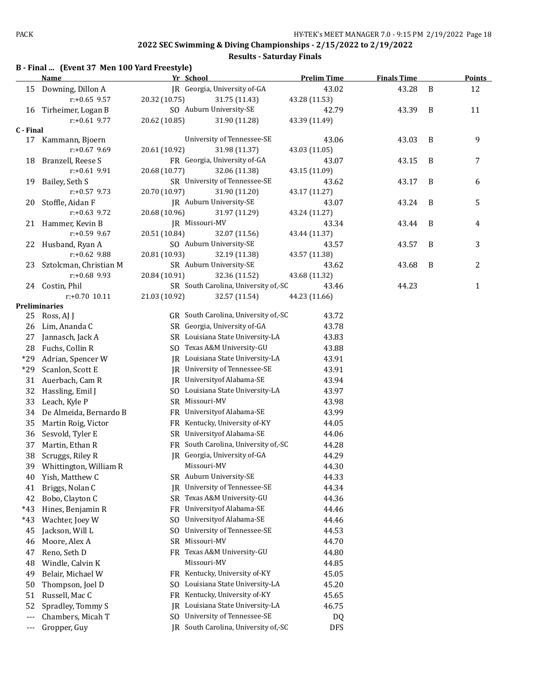|  |  |  | B - Final  (Event 37 Men 100 Yard Freestyle) |
|--|--|--|----------------------------------------------|
|--|--|--|----------------------------------------------|

|           | <b>Name</b>            | Yr School      |                                      | <b>Prelim Time</b> | <b>Finals Time</b> |   | <b>Points</b> |
|-----------|------------------------|----------------|--------------------------------------|--------------------|--------------------|---|---------------|
|           | 15 Downing, Dillon A   |                | IR Georgia, University of-GA         | 43.02              | 43.28              | B | 12            |
|           | $r: +0.65$ 9.57        | 20.32 (10.75)  | 31.75 (11.43)                        | 43.28 (11.53)      |                    |   |               |
| 16        | Tirheimer, Logan B     |                | SO Auburn University-SE              | 42.79              | 43.39              | B | 11            |
|           | $r: +0.61$ 9.77        | 20.62 (10.85)  | 31.90 (11.28)                        | 43.39 (11.49)      |                    |   |               |
| C - Final |                        |                |                                      |                    |                    |   |               |
| 17        | Kammann, Bjoern        |                | University of Tennessee-SE           | 43.06              | 43.03              | B | 9             |
|           | $r: +0.67$ 9.69        | 20.61 (10.92)  | 31.98 (11.37)                        | 43.03 (11.05)      |                    |   |               |
| 18        | Branzell, Reese S      |                | FR Georgia, University of-GA         | 43.07              | 43.15              | B | 7             |
|           | $r: +0.61$ 9.91        | 20.68 (10.77)  | 32.06 (11.38)                        | 43.15 (11.09)      |                    |   |               |
| 19        | Bailey, Seth S         |                | SR University of Tennessee-SE        | 43.62              | 43.17              | B | 6             |
|           | $r: +0.57$ 9.73        | 20.70 (10.97)  | 31.90 (11.20)                        | 43.17 (11.27)      |                    |   |               |
| 20        | Stoffle, Aidan F       |                | JR Auburn University-SE              | 43.07              | 43.24              | B | 5             |
|           | $r: +0.63$ 9.72        | 20.68 (10.96)  | 31.97 (11.29)                        | 43.24 (11.27)      |                    |   |               |
| 21        | Hammer, Kevin B        |                | <b>IR Missouri-MV</b>                | 43.34              | 43.44              | B | 4             |
|           | $r: +0.59$ 9.67        | 20.51 (10.84)  | 32.07 (11.56)                        | 43.44 (11.37)      |                    |   |               |
| 22        | Husband, Ryan A        |                | SO Auburn University-SE              | 43.57              | 43.57              | B | 3             |
|           | $r: +0.62$ 9.88        | 20.81 (10.93)  | 32.19 (11.38)                        | 43.57 (11.38)      |                    |   |               |
| 23        | Sztolcman, Christian M |                | SR Auburn University-SE              | 43.62              | 43.68              | B | 2             |
|           | $r: +0.68$ 9.93        | 20.84 (10.91)  | 32.36 (11.52)                        | 43.68 (11.32)      |                    |   |               |
|           | 24 Costin, Phil        |                | SR South Carolina, University of,-SC | 43.46              | 44.23              |   | $\mathbf{1}$  |
|           | $r: +0.70$ 10.11       | 21.03 (10.92)  | 32.57 (11.54)                        | 44.23 (11.66)      |                    |   |               |
|           | Preliminaries          |                |                                      |                    |                    |   |               |
| 25        | Ross, AJ J             |                | GR South Carolina, University of,-SC | 43.72              |                    |   |               |
| 26        | Lim, Ananda C          |                | SR Georgia, University of-GA         | 43.78              |                    |   |               |
| 27        | Jannasch, Jack A       |                | SR Louisiana State University-LA     | 43.83              |                    |   |               |
| 28        | Fuchs, Collin R        |                | SO Texas A&M University-GU           | 43.88              |                    |   |               |
| $*29$     | Adrian, Spencer W      |                | JR Louisiana State University-LA     | 43.91              |                    |   |               |
| $*29$     | Scanlon, Scott E       |                | JR University of Tennessee-SE        | 43.91              |                    |   |               |
| 31        | Auerbach, Cam R        |                | JR University of Alabama-SE          | 43.94              |                    |   |               |
| 32        | Hassling, Emil J       |                | SO Louisiana State University-LA     | 43.97              |                    |   |               |
| 33        | Leach, Kyle P          |                | SR Missouri-MV                       | 43.98              |                    |   |               |
| 34        | De Almeida, Bernardo B |                | FR University of Alabama-SE          | 43.99              |                    |   |               |
| 35        | Martin Roig, Victor    |                | FR Kentucky, University of-KY        | 44.05              |                    |   |               |
| 36        | Sesvold, Tyler E       |                | SR University of Alabama-SE          | 44.06              |                    |   |               |
| 37        | Martin, Ethan R        |                | FR South Carolina, University of,-SC | 44.28              |                    |   |               |
| 38        | Scruggs, Riley R       |                | JR Georgia, University of-GA         | 44.29              |                    |   |               |
| 39        | Whittington, William R |                | Missouri-MV                          | 44.30              |                    |   |               |
| 40        | Yish, Matthew C        |                | SR Auburn University-SE              | 44.33              |                    |   |               |
| 41        | Briggs, Nolan C        | IR             | University of Tennessee-SE           | 44.34              |                    |   |               |
| 42        | Bobo, Clayton C        | SR             | Texas A&M University-GU              | 44.36              |                    |   |               |
| $*43$     | Hines, Benjamin R      | FR             | Universityof Alabama-SE              | 44.46              |                    |   |               |
| $*43$     | Wachter, Joey W        | SO.            | Universityof Alabama-SE              | 44.46              |                    |   |               |
| 45        | Jackson, Will L        | S <sub>0</sub> | University of Tennessee-SE           | 44.53              |                    |   |               |
| 46        | Moore, Alex A          | SR             | Missouri-MV                          | 44.70              |                    |   |               |
| 47        | Reno, Seth D           | FR             | Texas A&M University-GU              | 44.80              |                    |   |               |
| 48        | Windle, Calvin K       |                | Missouri-MV                          | 44.85              |                    |   |               |
| 49        | Belair, Michael W      | FR.            | Kentucky, University of-KY           | 45.05              |                    |   |               |
| 50        | Thompson, Joel D       | SO.            | Louisiana State University-LA        | 45.20              |                    |   |               |
| 51        | Russell, Mac C         | FR             | Kentucky, University of-KY           | 45.65              |                    |   |               |
| 52        | Spradley, Tommy S      | IR             | Louisiana State University-LA        | 46.75              |                    |   |               |
| $---$     | Chambers, Micah T      | SO             | University of Tennessee-SE           | DQ                 |                    |   |               |
| $--$      | Gropper, Guy           |                | JR South Carolina, University of,-SC | <b>DFS</b>         |                    |   |               |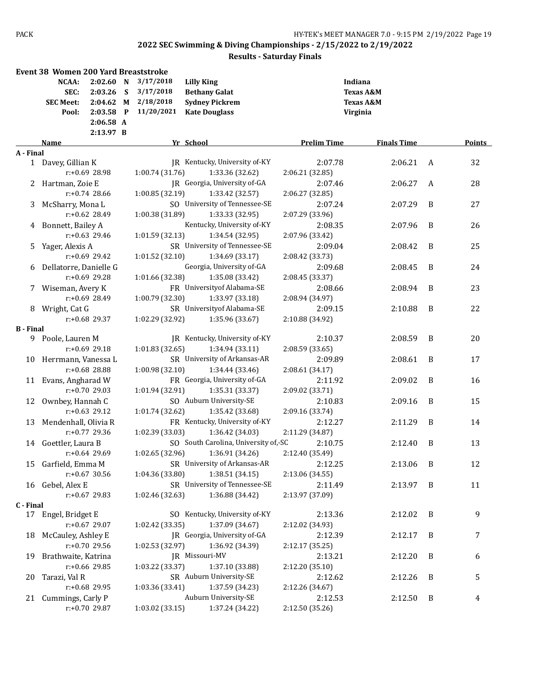|                  | <b>Event 38 Women 200 Yard Breaststroke</b> |                                                               |        |                                                   |                                                                                            |                    |                                                                     |                |        |
|------------------|---------------------------------------------|---------------------------------------------------------------|--------|---------------------------------------------------|--------------------------------------------------------------------------------------------|--------------------|---------------------------------------------------------------------|----------------|--------|
|                  | NCAA:<br>SEC:<br><b>SEC Meet:</b><br>Pool:  | 2:02.60 N<br>2:03.26<br>2:04.62<br>$2:03.58$ P<br>$2:06.58$ A | S<br>M | 3/17/2018<br>3/17/2018<br>2/18/2018<br>11/20/2021 | <b>Lilly King</b><br><b>Bethany Galat</b><br><b>Sydney Pickrem</b><br><b>Kate Douglass</b> |                    | Indiana<br><b>Texas A&amp;M</b><br><b>Texas A&amp;M</b><br>Virginia |                |        |
|                  |                                             | 2:13.97 B                                                     |        |                                                   |                                                                                            |                    |                                                                     |                |        |
|                  | Name                                        |                                                               |        |                                                   | Yr School                                                                                  | <b>Prelim Time</b> | <b>Finals Time</b>                                                  |                | Points |
| A - Final        | 1 Davey, Gillian K                          |                                                               |        |                                                   | JR Kentucky, University of-KY                                                              | 2:07.78            | 2:06.21                                                             | A              | 32     |
|                  |                                             | $r: +0.69$ 28.98                                              |        | 1:00.74 (31.76)                                   | 1:33.36 (32.62)                                                                            | 2:06.21 (32.85)    |                                                                     |                |        |
|                  | Hartman, Zoie E                             |                                                               |        |                                                   | JR Georgia, University of-GA                                                               | 2:07.46            | 2:06.27                                                             | A              | 28     |
|                  |                                             | $r: +0.74$ 28.66                                              |        | 1:00.85(32.19)                                    | 1:33.42 (32.57)                                                                            | 2:06.27 (32.85)    |                                                                     |                |        |
| 3                | McSharry, Mona L                            |                                                               |        |                                                   | SO University of Tennessee-SE                                                              | 2:07.24            | 2:07.29                                                             | B              | 27     |
|                  |                                             | $r: +0.62$ 28.49                                              |        | 1:00.38 (31.89)                                   | 1:33.33 (32.95)                                                                            | 2:07.29 (33.96)    |                                                                     |                |        |
|                  | 4 Bonnett, Bailey A                         |                                                               |        |                                                   | Kentucky, University of-KY                                                                 | 2:08.35            | 2:07.96                                                             | B              | 26     |
|                  |                                             | $r: +0.63$ 29.46                                              |        | 1:01.59 (32.13)                                   | 1:34.54 (32.95)                                                                            | 2:07.96 (33.42)    |                                                                     |                |        |
| 5                | Yager, Alexis A                             |                                                               |        |                                                   | SR University of Tennessee-SE                                                              | 2:09.04            | 2:08.42                                                             | B              | 25     |
|                  |                                             | $r: +0.69$ 29.42                                              |        | 1:01.52 (32.10)                                   | 1:34.69 (33.17)                                                                            | 2:08.42 (33.73)    |                                                                     |                |        |
| 6                | Dellatorre, Danielle G                      |                                                               |        |                                                   | Georgia, University of-GA                                                                  | 2:09.68            | 2:08.45                                                             | B              | 24     |
|                  |                                             | $r: +0.69$ 29.28                                              |        | 1:01.66 (32.38)                                   | 1:35.08 (33.42)                                                                            | 2:08.45 (33.37)    |                                                                     |                |        |
| 7.               | Wiseman, Avery K                            |                                                               |        |                                                   | FR University of Alabama-SE                                                                | 2:08.66            | 2:08.94                                                             | B              | 23     |
|                  |                                             | r:+0.69 28.49                                                 |        | 1:00.79 (32.30)                                   | 1:33.97 (33.18)                                                                            | 2:08.94 (34.97)    |                                                                     |                |        |
|                  | 8 Wright, Cat G                             |                                                               |        |                                                   | SR University of Alabama-SE                                                                | 2:09.15            | 2:10.88                                                             | B              | 22     |
|                  |                                             | $r: +0.68$ 29.37                                              |        | 1:02.29 (32.92)                                   | 1:35.96 (33.67)                                                                            | 2:10.88 (34.92)    |                                                                     |                |        |
| <b>B</b> - Final |                                             |                                                               |        |                                                   |                                                                                            |                    |                                                                     |                |        |
| 9.               | Poole, Lauren M                             |                                                               |        |                                                   | JR Kentucky, University of-KY                                                              | 2:10.37            | 2:08.59                                                             | B              | 20     |
|                  |                                             | $r: +0.69$ 29.18                                              |        | 1:01.83 (32.65)                                   | 1:34.94(33.11)                                                                             | 2:08.59 (33.65)    |                                                                     |                |        |
|                  | 10 Herrmann, Vanessa L                      |                                                               |        |                                                   | SR University of Arkansas-AR                                                               | 2:09.89            | 2:08.61                                                             | B              | 17     |
|                  |                                             | r:+0.68 28.88                                                 |        | 1:00.98 (32.10)                                   | 1:34.44 (33.46)                                                                            | 2:08.61 (34.17)    |                                                                     |                |        |
|                  | 11 Evans, Angharad W                        |                                                               |        |                                                   | FR Georgia, University of-GA                                                               | 2:11.92            | 2:09.02                                                             | B              | 16     |
|                  |                                             | $r: +0.70$ 29.03                                              |        | 1:01.94 (32.91)                                   | 1:35.31 (33.37)                                                                            | 2:09.02 (33.71)    |                                                                     |                |        |
| 12               | Ownbey, Hannah C                            |                                                               |        |                                                   | SO Auburn University-SE                                                                    | 2:10.83            | 2:09.16                                                             | B              | 15     |
|                  |                                             | $r: +0.63$ 29.12                                              |        | 1:01.74 (32.62)                                   | 1:35.42 (33.68)                                                                            | 2:09.16 (33.74)    |                                                                     |                |        |
| 13               | Mendenhall, Olivia R                        |                                                               |        |                                                   | FR Kentucky, University of-KY                                                              | 2:12.27            | 2:11.29                                                             | B              | 14     |
|                  |                                             | r:+0.77 29.36                                                 |        | 1:02.39 (33.03)                                   | 1:36.42 (34.03)                                                                            | 2:11.29 (34.87)    |                                                                     |                |        |
|                  | 14 Goettler, Laura B                        |                                                               |        |                                                   | SO South Carolina, University of,-SC                                                       | 2:10.75            | 2:12.40                                                             | B              | 13     |
|                  |                                             | $r: +0.64$ 29.69                                              |        | 1:02.65(32.96)                                    | 1:36.91 (34.26)                                                                            | 2:12.40 (35.49)    |                                                                     |                |        |
|                  | 15 Garfield, Emma M                         |                                                               |        |                                                   | SR University of Arkansas-AR 2:12.25                                                       |                    | 2:13.06                                                             | $\overline{B}$ | 12     |
|                  |                                             | r:+0.67 30.56                                                 |        | 1:04.36 (33.80)                                   | 1:38.51(34.15)                                                                             | 2:13.06 (34.55)    |                                                                     |                |        |
|                  | 16 Gebel, Alex E                            |                                                               |        |                                                   | SR University of Tennessee-SE                                                              | 2:11.49            | 2:13.97                                                             | B              | 11     |
|                  |                                             | r:+0.67 29.83                                                 |        | 1:02.46 (32.63)                                   | 1:36.88 (34.42)                                                                            | 2:13.97 (37.09)    |                                                                     |                |        |
| C - Final        |                                             |                                                               |        |                                                   |                                                                                            |                    |                                                                     |                |        |
|                  | 17 Engel, Bridget E                         |                                                               |        |                                                   | SO Kentucky, University of-KY                                                              | 2:13.36            | 2:12.02                                                             | B              | 9      |
|                  |                                             | r:+0.67 29.07                                                 |        | 1:02.42 (33.35)                                   | 1:37.09 (34.67)                                                                            | 2:12.02 (34.93)    |                                                                     |                |        |
| 18               | McCauley, Ashley E                          |                                                               |        |                                                   | JR Georgia, University of-GA                                                               | 2:12.39            | 2:12.17                                                             | B              | 7      |
|                  |                                             | r:+0.70 29.56                                                 |        | 1:02.53 (32.97)                                   | 1:36.92 (34.39)                                                                            | 2:12.17 (35.25)    |                                                                     |                |        |
| 19               | Brathwaite, Katrina                         |                                                               |        |                                                   | JR Missouri-MV                                                                             | 2:13.21            | 2:12.20                                                             | B              | 6      |
|                  |                                             | r:+0.66 29.85                                                 |        | 1:03.22 (33.37)                                   | 1:37.10 (33.88)                                                                            | 2:12.20 (35.10)    |                                                                     |                |        |
| 20               | Tarazi, Val R                               |                                                               |        |                                                   | SR Auburn University-SE                                                                    | 2:12.62            | 2:12.26                                                             | B              | 5      |
|                  |                                             | r:+0.68 29.95                                                 |        | 1:03.36 (33.41)                                   | 1:37.59 (34.23)                                                                            | 2:12.26 (34.67)    |                                                                     |                |        |
| 21 -             | Cummings, Carly P                           |                                                               |        |                                                   | Auburn University-SE                                                                       | 2:12.53            | 2:12.50                                                             | - B            | 4      |
|                  |                                             | r:+0.70 29.87                                                 |        | 1:03.02 (33.15)                                   | 1:37.24 (34.22)                                                                            | 2:12.50 (35.26)    |                                                                     |                |        |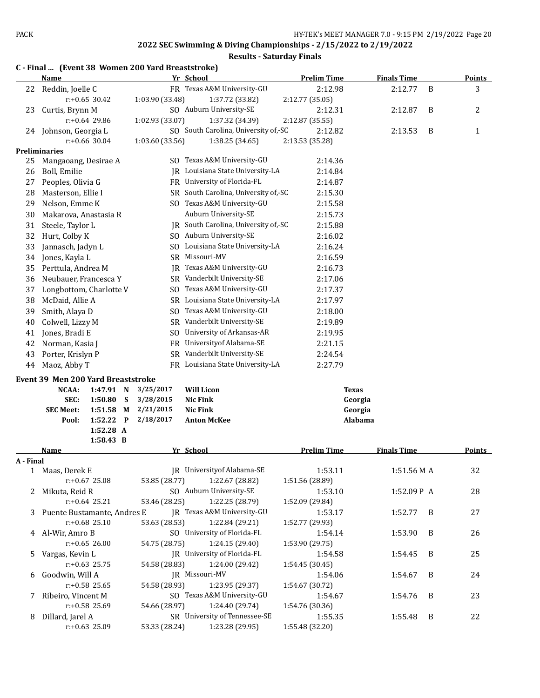#### **Results - Saturday Finals**

|           | <b>Name</b>                        |                        |   |                        | Yr School                            | <b>Prelim Time</b> | <b>Finals Time</b> |   | <b>Points</b> |
|-----------|------------------------------------|------------------------|---|------------------------|--------------------------------------|--------------------|--------------------|---|---------------|
| 22        | Reddin, Joelle C                   |                        |   |                        | FR Texas A&M University-GU           | 2:12.98            | 2:12.77            | B | 3             |
|           |                                    | $r: +0.65$ 30.42       |   | 1:03.90 (33.48)        | 1:37.72 (33.82)                      | 2:12.77 (35.05)    |                    |   |               |
| 23        | Curtis, Brynn M                    |                        |   |                        | SO Auburn University-SE              | 2:12.31            | 2:12.87            | B | 2             |
|           |                                    | r:+0.64 29.86          |   | 1:02.93 (33.07)        | 1:37.32 (34.39)                      | 2:12.87 (35.55)    |                    |   |               |
| 24        | Johnson, Georgia L                 |                        |   |                        | SO South Carolina, University of,-SC | 2:12.82            | 2:13.53            | B | $\mathbf{1}$  |
|           |                                    | r:+0.66 30.04          |   | 1:03.60 (33.56)        | 1:38.25 (34.65)                      | 2:13.53 (35.28)    |                    |   |               |
|           | <b>Preliminaries</b>               |                        |   |                        |                                      |                    |                    |   |               |
| 25        | Mangaoang, Desirae A               |                        |   | SO.                    | Texas A&M University-GU              | 2:14.36            |                    |   |               |
| 26        | Boll, Emilie                       |                        |   | IR                     | Louisiana State University-LA        | 2:14.84            |                    |   |               |
| 27        | Peoples, Olivia G                  |                        |   | FR                     | University of Florida-FL             | 2:14.87            |                    |   |               |
| 28        | Masterson, Ellie I                 |                        |   | SR                     | South Carolina, University of,-SC    | 2:15.30            |                    |   |               |
| 29        | Nelson, Emme K                     |                        |   |                        | SO Texas A&M University-GU           | 2:15.58            |                    |   |               |
| 30        | Makarova, Anastasia R              |                        |   |                        | Auburn University-SE                 | 2:15.73            |                    |   |               |
| 31        | Steele, Taylor L                   |                        |   |                        | JR South Carolina, University of,-SC | 2:15.88            |                    |   |               |
| 32        | Hurt, Colby K                      |                        |   |                        | SO Auburn University-SE              | 2:16.02            |                    |   |               |
| 33        | Jannasch, Jadyn L                  |                        |   |                        | SO Louisiana State University-LA     | 2:16.24            |                    |   |               |
| 34        | Jones, Kayla L                     |                        |   | SR                     | Missouri-MV                          | 2:16.59            |                    |   |               |
| 35        | Perttula, Andrea M                 |                        |   | IR                     | Texas A&M University-GU              | 2:16.73            |                    |   |               |
| 36        | Neubauer, Francesca Y              |                        |   | SR                     | Vanderbilt University-SE             | 2:17.06            |                    |   |               |
| 37        | Longbottom, Charlotte V            |                        |   | S <sub>0</sub>         | Texas A&M University-GU              | 2:17.37            |                    |   |               |
| 38        | McDaid, Allie A                    |                        |   | SR                     | Louisiana State University-LA        | 2:17.97            |                    |   |               |
| 39        | Smith, Alaya D                     |                        |   | S <sub>0</sub>         | Texas A&M University-GU              | 2:18.00            |                    |   |               |
| 40        | Colwell, Lizzy M                   |                        |   | <b>SR</b>              | Vanderbilt University-SE             | 2:19.89            |                    |   |               |
| 41        | Jones, Bradi E                     |                        |   | SO                     | University of Arkansas-AR            | 2:19.95            |                    |   |               |
| 42        | Norman, Kasia J                    |                        |   | FR                     | Universityof Alabama-SE              | 2:21.15            |                    |   |               |
| 43        | Porter, Krislyn P                  |                        |   | SR                     | Vanderbilt University-SE             | 2:24.54            |                    |   |               |
| 44        | Maoz, Abby T                       |                        |   |                        | FR Louisiana State University-LA     | 2:27.79            |                    |   |               |
|           |                                    |                        |   |                        |                                      |                    |                    |   |               |
|           | Event 39 Men 200 Yard Breaststroke |                        |   |                        |                                      |                    |                    |   |               |
|           | NCAA:                              | 1:47.91 N              |   | 3/25/2017              | <b>Will Licon</b>                    |                    | <b>Texas</b>       |   |               |
|           | SEC:<br><b>SEC Meet:</b>           | 1:50.80                | S | 3/28/2015<br>2/21/2015 | <b>Nic Fink</b><br><b>Nic Fink</b>   |                    | Georgia            |   |               |
|           | Pool:                              | 1:51.58 M<br>1:52.22 P |   | 2/18/2017              | <b>Anton McKee</b>                   |                    | Georgia<br>Alabama |   |               |
|           |                                    | 1:52.28 A              |   |                        |                                      |                    |                    |   |               |
|           |                                    | 1:58.43 B              |   |                        |                                      |                    |                    |   |               |
|           | Name                               |                        |   |                        | Yr School                            | <b>Prelim Time</b> | <b>Finals Time</b> |   | <b>Points</b> |
| A - Final |                                    |                        |   |                        |                                      |                    |                    |   |               |
| 1         | Maas, Derek E                      |                        |   |                        | JR University of Alabama-SE          | 1:53.11            | 1:51.56 M A        |   | 32            |
|           |                                    | $r: +0.67$ 25.08       |   | 53.85 (28.77)          | 1:22.67 (28.82)                      | 1:51.56 (28.89)    |                    |   |               |
| 2         | Mikuta, Reid R                     |                        |   |                        | SO Auburn University-SE              | 1:53.10            | 1:52.09P A         |   | 28            |
|           |                                    | $r: +0.64$ 25.21       |   | 53.46 (28.25)          | 1:22.25 (28.79)                      | 1:52.09 (29.84)    |                    |   |               |
| 3         | Puente Bustamante, Andres E        |                        |   |                        | JR Texas A&M University-GU           | 1:53.17            | 1:52.77            | B | 27            |
|           |                                    | $r: +0.68$ 25.10       |   | 53.63 (28.53)          | 1:22.84 (29.21)                      | 1:52.77 (29.93)    |                    |   |               |
|           | 4 Al-Wir, Amro B                   |                        |   |                        | SO University of Florida-FL          | 1:54.14            | 1:53.90            | B | 26            |
|           |                                    | $r: +0.65$ 26.00       |   | 54.75 (28.75)          | 1:24.15 (29.40)                      | 1:53.90 (29.75)    |                    |   |               |
| 5         | Vargas, Kevin L                    |                        |   |                        | JR University of Florida-FL          | 1:54.58            | 1:54.45            | B | 25            |
|           |                                    | $r: +0.63$ 25.75       |   | 54.58 (28.83)          | 1:24.00 (29.42)                      | 1:54.45 (30.45)    |                    |   |               |
| 6         | Goodwin, Will A                    |                        |   |                        | JR Missouri-MV                       | 1:54.06            | 1:54.67            | B | 24            |
|           |                                    | $r: +0.58$ 25.65       |   | 54.58 (28.93)          | 1:23.95 (29.37)                      | 1:54.67 (30.72)    |                    |   |               |
| 7         | Ribeiro, Vincent M                 |                        |   |                        | SO Texas A&M University-GU           | 1:54.67            | 1:54.76            | B | 23            |
|           |                                    | r:+0.58 25.69          |   | 54.66 (28.97)          | 1:24.40 (29.74)                      | 1:54.76 (30.36)    |                    |   |               |
|           | 8 Dillard, Jarel A                 |                        |   |                        | SR University of Tennessee-SE        | 1:55.35            | 1:55.48            | B | 22            |

r:+0.63 25.09 53.33 (28.24) 1:23.28 (29.95) 1:55.48 (32.20)

#### **C - Final ... (Event 38 Women 200 Yard Breaststroke)**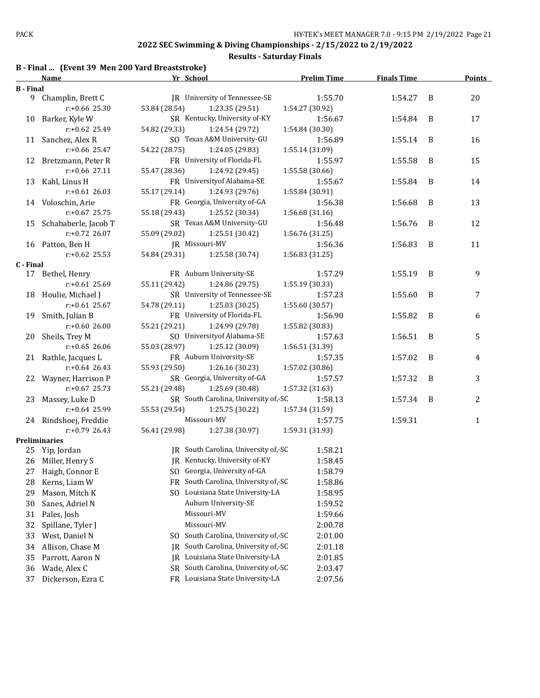#### **Results - Saturday Finals**

# **B - Final ... (Event 39 Men 200 Yard Breaststroke)**

|                  | <u>Name</u>             | Yr School     |                                      |                 | <b>Prelim Time</b> | <b>Finals Time</b> |   | <b>Points</b> |
|------------------|-------------------------|---------------|--------------------------------------|-----------------|--------------------|--------------------|---|---------------|
| <b>B</b> - Final |                         |               |                                      |                 |                    |                    |   |               |
|                  | 9 Champlin, Brett C     |               | JR University of Tennessee-SE        |                 | 1:55.70            | 1:54.27            | B | 20            |
|                  | r:+0.66 25.30           | 53.84 (28.54) | 1:23.35 (29.51)                      | 1:54.27 (30.92) |                    |                    |   |               |
|                  | 10 Barker, Kyle W       |               | SR Kentucky, University of-KY        |                 | 1:56.67            | 1:54.84            | B | 17            |
|                  | r:+0.62 25.49           | 54.82 (29.33) | 1:24.54 (29.72)                      | 1:54.84 (30.30) |                    |                    |   |               |
|                  | 11 Sanchez, Alex R      |               | SO Texas A&M University-GU           |                 | 1:56.89            | 1:55.14            | B | 16            |
|                  | r:+0.66 25.47           | 54.22 (28.75) | 1:24.05 (29.83)                      | 1:55.14 (31.09) |                    |                    |   |               |
|                  | 12 Bretzmann, Peter R   |               | FR University of Florida-FL          |                 | 1:55.97            | 1:55.58            | B | 15            |
|                  | r:+0.66 27.11           | 55.47 (28.36) | 1:24.92 (29.45)                      | 1:55.58 (30.66) |                    |                    |   |               |
| 13               | Kahl, Linus H           |               | FR University of Alabama-SE          |                 | 1:55.67            | 1:55.84            | B | 14            |
|                  | $r: +0.61$ 26.03        | 55.17 (29.14) | 1:24.93 (29.76)                      | 1:55.84 (30.91) |                    |                    |   |               |
|                  | 14 Voloschin, Arie      |               | FR Georgia, University of-GA         |                 | 1:56.38            | 1:56.68            | B | 13            |
|                  | $r: +0.67$ 25.75        | 55.18 (29.43) | 1:25.52 (30.34)                      | 1:56.68 (31.16) |                    |                    |   |               |
|                  | 15 Schababerle, Jacob T |               | SR Texas A&M University-GU           |                 | 1:56.48            | 1:56.76            | B | 12            |
|                  | r:+0.72 26.07           | 55.09 (29.02) | 1:25.51 (30.42)                      | 1:56.76 (31.25) |                    |                    |   |               |
|                  | 16 Patton, Ben H        |               | JR Missouri-MV                       |                 | 1:56.36            | 1:56.83            | B | 11            |
|                  | $r: +0.62$ 25.53        | 54.84 (29.31) | 1:25.58 (30.74)                      | 1:56.83 (31.25) |                    |                    |   |               |
| C - Final        |                         |               |                                      |                 |                    |                    |   |               |
|                  | 17 Bethel, Henry        |               | FR Auburn University-SE              |                 | 1:57.29            | 1:55.19            | B | 9             |
|                  | $r: +0.61$ 25.69        | 55.11 (29.42) | 1:24.86 (29.75)                      | 1:55.19 (30.33) |                    |                    |   |               |
|                  | 18 Houlie, Michael J    |               | SR University of Tennessee-SE        |                 | 1:57.23            | 1:55.60            | B | 7             |
|                  | $r: +0.61$ 25.67        | 54.78 (29.11) | 1:25.03 (30.25)                      | 1:55.60 (30.57) |                    |                    |   |               |
| 19               | Smith, Julian B         |               | FR University of Florida-FL          |                 | 1:56.90            | 1:55.82            | B | 6             |
|                  | $r: +0.6026.00$         | 55.21 (29.21) | 1:24.99 (29.78)                      | 1:55.82 (30.83) |                    |                    |   |               |
| 20               | Sheils, Trey M          |               | SO University of Alabama-SE          |                 | 1:57.63            | 1:56.51            | B | 5             |
|                  | $r: +0.65$ 26.06        | 55.03 (28.97) | 1:25.12 (30.09)                      | 1:56.51 (31.39) |                    |                    |   |               |
|                  | 21 Rathle, Jacques L    |               | FR Auburn University-SE              |                 | 1:57.35            | 1:57.02            | B | 4             |
|                  | $r: +0.64$ 26.43        | 55.93 (29.50) | 1:26.16 (30.23)                      | 1:57.02 (30.86) |                    |                    |   |               |
| 22               | Wayner, Harrison P      |               | SR Georgia, University of-GA         |                 | 1:57.57            | 1:57.32            | B | 3             |
|                  | $r: +0.67$ 25.73        | 55.21 (29.48) | 1:25.69 (30.48)                      | 1:57.32 (31.63) |                    |                    |   |               |
| 23               | Massey, Luke D          |               | SR South Carolina, University of,-SC |                 | 1:58.13            | 1:57.34            | B | 2             |
|                  | r:+0.64 25.99           | 55.53 (29.54) | 1:25.75 (30.22)                      | 1:57.34 (31.59) |                    |                    |   |               |
|                  | 24 Rindshoej, Freddie   |               | Missouri-MV                          |                 | 1:57.75            | 1:59.31            |   | $\mathbf{1}$  |
|                  | $r: +0.79$ 26.43        | 56.41 (29.98) | 1:27.38 (30.97)                      | 1:59.31 (31.93) |                    |                    |   |               |
|                  | Preliminaries           |               | JR South Carolina, University of,-SC |                 |                    |                    |   |               |
| 25               | Yip, Jordan             |               | JR Kentucky, University of-KY        |                 | 1:58.21<br>1:58.45 |                    |   |               |
|                  | 26 Miller, Henry S      |               |                                      |                 |                    |                    |   |               |
| 27               | Haigh, Connor E         |               | SO Georgia, University of-GA         |                 | 1:58.79            |                    |   |               |
| 28               | Kerns, Liam W           | FR            | South Carolina, University of,-SC    |                 | 1:58.86            |                    |   |               |
| 29               | Mason, Mitch K          |               | SO Louisiana State University-LA     |                 | 1:58.95            |                    |   |               |
| 30               | Sanes, Adriel N         |               | Auburn University-SE                 |                 | 1:59.52            |                    |   |               |
| 31               | Pales, Josh             |               | Missouri-MV                          |                 | 1:59.66            |                    |   |               |
| 32               | Spillane, Tyler J       |               | Missouri-MV                          |                 | 2:00.78            |                    |   |               |
| 33               | West, Daniel N          | SO.           | South Carolina, University of,-SC    |                 | 2:01.00            |                    |   |               |
| 34               | Allison, Chase M        | IR            | South Carolina, University of,-SC    |                 | 2:01.18            |                    |   |               |
| 35               | Parrott, Aaron N        |               | JR Louisiana State University-LA     |                 | 2:01.85            |                    |   |               |
| 36               | Wade, Alex C            | SR            | South Carolina, University of, SC    |                 | 2:03.47            |                    |   |               |
| 37               | Dickerson, Ezra C       |               | FR Louisiana State University-LA     |                 | 2:07.56            |                    |   |               |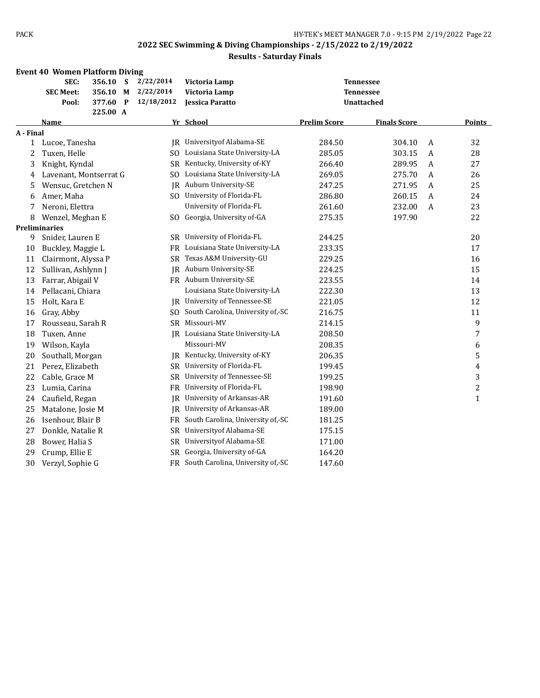|              | <b>Event 40 Women Platform Diving</b> |          |   |            |                                      |                     |                     |   |                         |
|--------------|---------------------------------------|----------|---|------------|--------------------------------------|---------------------|---------------------|---|-------------------------|
|              | SEC:                                  | 356.10   | S | 2/22/2014  | Victoria Lamp                        |                     | <b>Tennessee</b>    |   |                         |
|              | <b>SEC Meet:</b>                      | 356.10   | M | 2/22/2014  | Victoria Lamp                        |                     | <b>Tennessee</b>    |   |                         |
|              | Pool:                                 | 377.60   | P | 12/18/2012 | Jessica Paratto                      |                     | Unattached          |   |                         |
|              | <b>Name</b>                           | 225.00 A |   |            | Yr School                            | <b>Prelim Score</b> | <b>Finals Score</b> |   | Points                  |
| A - Final    |                                       |          |   |            |                                      |                     |                     |   |                         |
| $\mathbf{1}$ | Lucoe, Tanesha                        |          |   |            | JR University of Alabama-SE          | 284.50              | 304.10              | A | 32                      |
| 2            | Tuxen, Helle                          |          |   |            | SO Louisiana State University-LA     | 285.05              | 303.15              | A | 28                      |
| 3            | Knight, Kyndal                        |          |   |            | SR Kentucky, University of-KY        | 266.40              | 289.95              | A | 27                      |
| 4            | Lavenant, Montserrat G                |          |   |            | SO Louisiana State University-LA     | 269.05              | 275.70              | A | 26                      |
| 5            | Wensuc, Gretchen N                    |          |   | IR         | Auburn University-SE                 | 247.25              | 271.95              | A | 25                      |
| 6            | Amer, Maha                            |          |   |            | SO University of Florida-FL          | 286.80              | 260.15              | A | 24                      |
| 7            | Neroni, Elettra                       |          |   |            | University of Florida-FL             | 261.60              | 232.00              | A | 23                      |
| 8            | Wenzel, Meghan E                      |          |   |            | SO Georgia, University of-GA         | 275.35              | 197.90              |   | 22                      |
|              | <b>Preliminaries</b>                  |          |   |            |                                      |                     |                     |   |                         |
| 9            | Snider, Lauren E                      |          |   | SR.        | University of Florida-FL             | 244.25              |                     |   | 20                      |
| 10           | Buckley, Maggie L                     |          |   | FR         | Louisiana State University-LA        | 233.35              |                     |   | 17                      |
| 11           | Clairmont, Alyssa P                   |          |   | SR         | Texas A&M University-GU              | 229.25              |                     |   | 16                      |
| 12           | Sullivan, Ashlynn J                   |          |   |            | JR Auburn University-SE              | 224.25              |                     |   | 15                      |
| 13           | Farrar, Abigail V                     |          |   |            | FR Auburn University-SE              | 223.55              |                     |   | 14                      |
| 14           | Pellacani, Chiara                     |          |   |            | Louisiana State University-LA        | 222.30              |                     |   | 13                      |
| 15           | Holt, Kara E                          |          |   |            | JR University of Tennessee-SE        | 221.05              |                     |   | 12                      |
| 16           | Gray, Abby                            |          |   |            | SO South Carolina, University of,-SC | 216.75              |                     |   | 11                      |
| 17           | Rousseau, Sarah R                     |          |   |            | SR Missouri-MV                       | 214.15              |                     |   | 9                       |
| 18           | Tuxen, Anne                           |          |   |            | JR Louisiana State University-LA     | 208.50              |                     |   | 7                       |
| 19           | Wilson, Kayla                         |          |   |            | Missouri-MV                          | 208.35              |                     |   | 6                       |
| 20           | Southall, Morgan                      |          |   | IR         | Kentucky, University of-KY           | 206.35              |                     |   | 5                       |
| 21           | Perez, Elizabeth                      |          |   | SR         | University of Florida-FL             | 199.45              |                     |   | $\overline{\mathbf{4}}$ |
| 22           | Cable, Grace M                        |          |   | SR         | University of Tennessee-SE           | 199.25              |                     |   | 3                       |
| 23           | Lumia, Carina                         |          |   | FR         | University of Florida-FL             | 198.90              |                     |   | $\overline{\mathbf{c}}$ |
| 24           | Caufield, Regan                       |          |   | IR         | University of Arkansas-AR            | 191.60              |                     |   | $\mathbf{1}$            |
| 25           | Matalone, Josie M                     |          |   | IR         | University of Arkansas-AR            | 189.00              |                     |   |                         |
| 26           | Isenhour, Blair B                     |          |   | FR         | South Carolina, University of,-SC    | 181.25              |                     |   |                         |
| 27           | Donkle, Natalie R                     |          |   | SR         | University of Alabama-SE             | 175.15              |                     |   |                         |
| 28           | Bower, Halia S                        |          |   | SR         | Universityof Alabama-SE              | 171.00              |                     |   |                         |
| 29           | Crump, Ellie E                        |          |   | SR         | Georgia, University of-GA            | 164.20              |                     |   |                         |
| 30           | Verzyl, Sophie G                      |          |   |            | FR South Carolina, University of,-SC | 147.60              |                     |   |                         |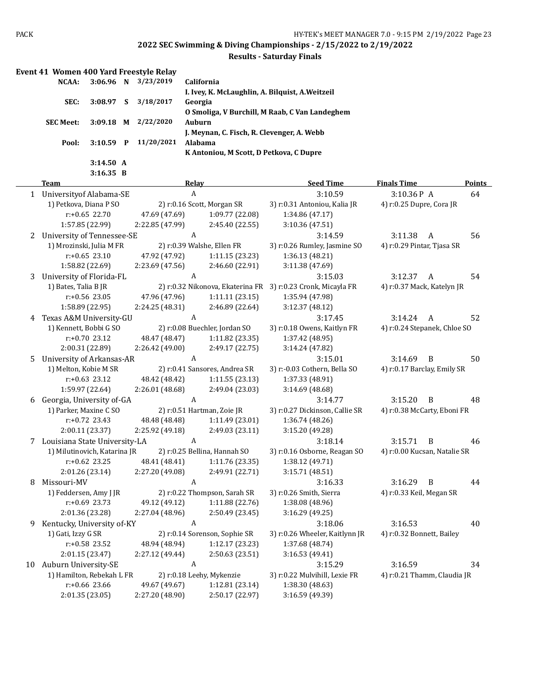|   | Event 41 Women 400 Yard Freestyle Relay |                      |                                                  |                                                              |                              |               |
|---|-----------------------------------------|----------------------|--------------------------------------------------|--------------------------------------------------------------|------------------------------|---------------|
|   | $3:06.96$ N<br>NCAA:                    | 3/23/2019            | California                                       |                                                              |                              |               |
|   |                                         |                      | I. Ivey, K. McLaughlin, A. Bilquist, A. Weitzeil |                                                              |                              |               |
|   | SEC:<br>3:08.97 S                       | 3/18/2017            | Georgia                                          |                                                              |                              |               |
|   |                                         |                      |                                                  | O Smoliga, V Burchill, M Raab, C Van Landeghem               |                              |               |
|   | $3:09.18$ M<br><b>SEC Meet:</b>         | 2/22/2020            | Auburn                                           |                                                              |                              |               |
|   |                                         |                      | J. Meynan, C. Fisch, R. Clevenger, A. Webb       |                                                              |                              |               |
|   | Pool:                                   | 3:10.59 P 11/20/2021 | Alabama                                          |                                                              |                              |               |
|   |                                         |                      | K Antoniou, M Scott, D Petkova, C Dupre          |                                                              |                              |               |
|   | 3:14.50 A                               |                      |                                                  |                                                              |                              |               |
|   | $3:16.35$ B                             |                      |                                                  |                                                              |                              |               |
|   | <b>Team</b>                             |                      | <b>Relay</b>                                     | <b>Seed Time</b>                                             | <b>Finals Time</b>           | <b>Points</b> |
|   | 1 University of Alabama-SE              |                      | $\boldsymbol{A}$                                 | 3:10.59                                                      | 3:10.36P A                   | 64            |
|   | 1) Petkova, Diana P SO                  |                      | 2) r:0.16 Scott, Morgan SR                       | 3) r:0.31 Antoniou, Kalia JR                                 | 4) r:0.25 Dupre, Cora JR     |               |
|   | r:+0.65 22.70                           | 47.69 (47.69)        | 1:09.77 (22.08)                                  | 1:34.86 (47.17)                                              |                              |               |
|   | 1:57.85 (22.99)                         | 2:22.85 (47.99)      | 2:45.40 (22.55)                                  | 3:10.36 (47.51)                                              |                              |               |
|   | 2 University of Tennessee-SE            |                      | $\boldsymbol{A}$                                 | 3:14.59                                                      | 3:11.38<br>A                 | 56            |
|   | 1) Mrozinski, Julia M FR                |                      | 2) r:0.39 Walshe, Ellen FR                       | 3) r:0.26 Rumley, Jasmine SO                                 | 4) r:0.29 Pintar, Tjasa SR   |               |
|   | $r: +0.65$ 23.10                        | 47.92 (47.92)        | 1:11.15(23.23)                                   | 1:36.13 (48.21)                                              |                              |               |
|   | 1:58.82 (22.69)                         | 2:23.69 (47.56)      | 2:46.60 (22.91)                                  | 3:11.38 (47.69)                                              |                              |               |
| 3 | University of Florida-FL                |                      | A                                                | 3:15.03                                                      | 3:12.37<br>A                 | 54            |
|   | 1) Bates, Talia B JR                    |                      |                                                  | 2) r:0.32 Nikonova, Ekaterina FR 3) r:0.23 Cronk, Micayla FR | 4) r:0.37 Mack, Katelyn JR   |               |
|   | r:+0.56 23.05                           | 47.96 (47.96)        | 1:11.11(23.15)                                   | 1:35.94 (47.98)                                              |                              |               |
|   | 1:58.89 (22.95)                         | 2:24.25 (48.31)      | 2:46.89 (22.64)                                  | 3:12.37(48.12)                                               |                              |               |
| 4 | Texas A&M University-GU                 |                      | A                                                | 3:17.45                                                      | 3:14.24<br>A                 | 52            |
|   | 1) Kennett, Bobbi G SO                  |                      | 2) r:0.08 Buechler, Jordan SO                    | 3) r:0.18 Owens, Kaitlyn FR                                  | 4) r:0.24 Stepanek, Chloe SO |               |
|   | r:+0.70 23.12                           | 48.47 (48.47)        | 1:11.82 (23.35)                                  | 1:37.42 (48.95)                                              |                              |               |
|   | 2:00.31 (22.89)                         | 2:26.42 (49.00)      | 2:49.17 (22.75)                                  | 3:14.24 (47.82)                                              |                              |               |
| 5 | <b>University of Arkansas-AR</b>        |                      | A                                                | 3:15.01                                                      | 3:14.69<br>B                 | 50            |
|   | 1) Melton, Kobie M SR                   |                      | 2) r:0.41 Sansores, Andrea SR                    | 3) r:-0.03 Cothern, Bella SO                                 | 4) r:0.17 Barclay, Emily SR  |               |
|   | r:+0.63 23.12                           | 48.42 (48.42)        | 1:11.55(23.13)                                   | 1:37.33 (48.91)                                              |                              |               |
|   | 1:59.97 (22.64)                         | 2:26.01 (48.68)      | 2:49.04 (23.03)                                  | 3:14.69 (48.68)                                              |                              |               |
| 6 | Georgia, University of-GA               |                      | $\boldsymbol{A}$                                 | 3:14.77                                                      | 3:15.20<br>$\overline{B}$    | 48            |
|   | 1) Parker, Maxine C SO                  |                      | 2) r:0.51 Hartman, Zoie JR                       | 3) r:0.27 Dickinson, Callie SR                               | 4) r:0.38 McCarty, Eboni FR  |               |
|   | $r: +0.72$ 23.43                        | 48.48 (48.48)        | 1:11.49 (23.01)                                  | 1:36.74 (48.26)                                              |                              |               |
|   | 2:00.11 (23.37)                         | 2:25.92 (49.18)      | 2:49.03 (23.11)                                  | 3:15.20 (49.28)                                              |                              |               |
|   | 7 Louisiana State University-LA         |                      | A                                                | 3:18.14                                                      | 3:15.71<br>B                 | 46            |
|   | 1) Milutinovich, Katarina JR            |                      | 2) r:0.25 Bellina, Hannah SO                     | 3) r:0.16 Osborne, Reagan SO                                 | 4) r:0.00 Kucsan, Natalie SR |               |
|   | $r$ :+0.62 23.25                        | 48.41 (48.41)        | 1:11.76 (23.35)                                  | 1:38.12 (49.71)                                              |                              |               |
|   | 2:01.26 (23.14)                         | 2:27.20 (49.08)      | 2:49.91 (22.71)                                  | 3:15.71 (48.51)                                              |                              |               |
| 8 | Missouri-MV                             |                      | A                                                | 3:16.33                                                      | $3:16.29$ B                  | 44            |
|   | 1) Feddersen, Amy J JR                  |                      | 2) r:0.22 Thompson, Sarah SR                     | 3) r:0.26 Smith, Sierra                                      | 4) r:0.33 Keil, Megan SR     |               |
|   | $r: +0.69$ 23.73                        | 49.12 (49.12)        | 1:11.88(22.76)                                   | 1:38.08 (48.96)                                              |                              |               |
|   | 2:01.36 (23.28)                         | 2:27.04 (48.96)      | 2:50.49 (23.45)                                  | 3:16.29 (49.25)                                              |                              |               |
| 9 | Kentucky, University of-KY              |                      | A                                                | 3:18.06                                                      | 3:16.53                      | 40            |
|   | 1) Gati, Izzy G SR                      |                      | 2) r:0.14 Sorenson, Sophie SR                    | 3) r:0.26 Wheeler, Kaitlynn JR                               | 4) r:0.32 Bonnett, Bailey    |               |
|   | r:+0.58 23.52                           | 48.94 (48.94)        | 1:12.17 (23.23)                                  | 1:37.68 (48.74)                                              |                              |               |
|   | 2:01.15 (23.47)                         | 2:27.12 (49.44)      | 2:50.63 (23.51)                                  | 3:16.53 (49.41)                                              |                              |               |
|   | 10 Auburn University-SE                 |                      | A                                                | 3:15.29                                                      | 3:16.59                      | 34            |
|   | 1) Hamilton, Rebekah L FR               |                      | 2) r:0.18 Leehy, Mykenzie                        | 3) r:0.22 Mulvihill, Lexie FR                                | 4) r:0.21 Thamm, Claudia JR  |               |
|   | r:+0.66 23.66                           | 49.67 (49.67)        | 1:12.81 (23.14)                                  | 1:38.30 (48.63)                                              |                              |               |
|   | 2:01.35 (23.05)                         | 2:27.20 (48.90)      | 2:50.17 (22.97)                                  | 3:16.59 (49.39)                                              |                              |               |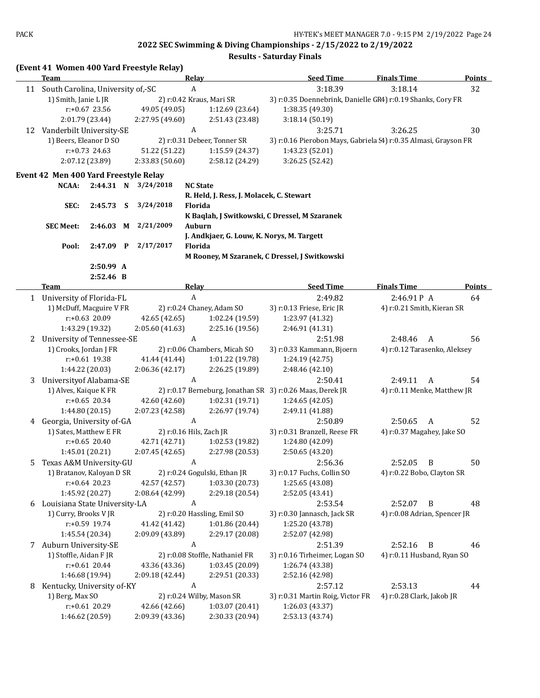| <b>Seed Time</b><br>Team<br>Relay<br><b>Finals Time</b><br><b>Points</b><br>A<br>3:18.39<br>3:18.14<br>32<br>South Carolina, University of,-SC<br>11<br>1) Smith, Janie L JR<br>2) r:0.42 Kraus, Mari SR<br>3) r:0.35 Doennebrink, Danielle GF4) r:0.19 Shanks, Cory FR<br>$r: +0.67$ 23.56<br>49.05 (49.05)<br>1:12.69 (23.64)<br>1:38.35 (49.30)<br>2:01.79 (23.44)<br>2:27.95 (49.60)<br>2:51.43 (23.48)<br>3:18.14(50.19)<br>12 Vanderbilt University-SE<br>A<br>3:25.71<br>3:26.25<br>30<br>1) Beers, Eleanor D SO<br>2) r:0.31 Debeer, Tonner SR<br>3) r:0.16 Pierobon Mays, Gabriela (4) r:0.35 Almasi, Grayson FR<br>$r: +0.73$ 24.63<br>51.22 (51.22)<br>1:15.59 (24.37)<br>1:43.23 (52.01)<br>2:07.12 (23.89)<br>2:33.83 (50.60)<br>2:58.12 (24.29)<br>3:26.25 (52.42)<br>Event 42 Men 400 Yard Freestyle Relay<br><b>NCAA:</b><br>2:44.31 N<br>3/24/2018<br><b>NC State</b><br>R. Held, J. Ress, J. Molacek, C. Stewart<br>3/24/2018<br>Florida<br>SEC:<br>$2:45.73$ S<br>K Baqlah, J Switkowski, C Dressel, M Szaranek<br>2/21/2009<br>Auburn<br><b>SEC Meet:</b><br>$2:46.03$ M<br>J. Andkjaer, G. Louw, K. Norys, M. Targett<br>2/17/2017<br>Florida<br>Pool:<br>2:47.09 P<br>M Rooney, M Szaranek, C Dressel, J Switkowski<br>2:50.99 A<br>2:52.46 B<br><b>Seed Time</b><br><b>Finals Time</b><br>Team<br><b>Relay</b><br>$\boldsymbol{A}$<br>2:49.82<br>2:46.91P A<br>1 University of Florida-FL<br>64<br>1) McDuff, Macguire V FR<br>2) r:0.24 Chaney, Adam SO<br>3) r:0.13 Friese, Eric JR<br>4) r:0.21 Smith, Kieran SR<br>r:+0.63 20.09<br>42.65 (42.65)<br>1:02.24 (19.59)<br>1:23.97 (41.32)<br>2:05.60 (41.63)<br>2:25.16 (19.56)<br>1:43.29 (19.32)<br>2:46.91 (41.31)<br>A<br>University of Tennessee-SE<br>2:51.98<br>2:48.46<br>$\mathbf{A}$<br>56<br>2<br>3) r:0.33 Kammann, Bjoern<br>4) r:0.12 Tarasenko, Aleksey<br>1) Crooks, Jordan J FR<br>2) r:0.06 Chambers, Micah SO<br>r:+0.61 19.38<br>41.44 (41.44)<br>1:01.22 (19.78)<br>1:24.19 (42.75)<br>1:44.22 (20.03)<br>2:06.36 (42.17)<br>2:26.25 (19.89)<br>2:48.46 (42.10)<br>A<br>Universityof Alabama-SE<br>2:50.41<br>2:49.11<br>$\mathbf{A}$<br>54<br>3<br>1) Alves, Kaique K FR<br>2) r:0.17 Berneburg, Jonathan SR 3) r:0.26 Maas, Derek JR<br>4) r:0.11 Menke, Matthew JR<br>$r: +0.65$ 20.34<br>42.60 (42.60)<br>1:02.31 (19.71)<br>1:24.65 (42.05)<br>2:26.97 (19.74)<br>1:44.80 (20.15)<br>2:07.23 (42.58)<br>2:49.11 (41.88)<br>$\boldsymbol{A}$<br>52<br>4 Georgia, University of-GA<br>2:50.89<br>2:50.65<br>A<br>1) Sates, Matthew E FR<br>2) r:0.16 Hils, Zach JR<br>3) r:0.31 Branzell, Reese FR<br>4) r:0.37 Magahey, Jake SO<br>$r: +0.65$ 20.40<br>42.71 (42.71)<br>1:02.53 (19.82)<br>1:24.80 (42.09)<br>1:45.01 (20.21)<br>2:07.45 (42.65)<br>2:27.98 (20.53)<br>2:50.65 (43.20)<br>$\boldsymbol{A}$<br>2:56.36<br>$\boldsymbol{B}$<br>50<br>Texas A&M University-GU<br>2:52.05<br>5<br>3) r:0.17 Fuchs, Collin SO<br>1) Bratanov, Kaloyan D SR<br>2) r:0.24 Gogulski, Ethan JR<br>4) r:0.22 Bobo, Clayton SR<br>$r: +0.64$ 20.23<br>42.57 (42.57)<br>1:03.30 (20.73)<br>1:25.65 (43.08)<br>2:08.64 (42.99)<br>2:29.18 (20.54)<br>1:45.92 (20.27)<br>2:52.05 (43.41)<br>$\boldsymbol{A}$<br>Louisiana State University-LA<br>2:53.54<br>2:52.07<br>B<br>48<br>6<br>1) Curry, Brooks V JR<br>2) r:0.20 Hassling, Emil SO<br>3) r:0.30 Jannasch, Jack SR<br>4) r:0.08 Adrian, Spencer JR<br>r:+0.59 19.74<br>41.42 (41.42)<br>1:01.86 (20.44)<br>1:25.20 (43.78)<br>2:29.17 (20.08)<br>1:45.54 (20.34)<br>2:09.09 (43.89)<br>2:52.07 (42.98)<br>Auburn University-SE<br>A<br>B<br>2:51.39<br>2:52.16<br>46<br>7<br>1) Stoffle, Aidan F JR<br>2) r:0.08 Stoffle, Nathaniel FR<br>3) r:0.16 Tirheimer, Logan SO<br>4) r:0.11 Husband, Ryan SO<br>$r.+0.61$ 20.44<br>43.36 (43.36)<br>1:03.45(20.09)<br>1:26.74 (43.38)<br>1:46.68 (19.94)<br>2:29.51 (20.33)<br>2:09.18 (42.44)<br>2:52.16 (42.98)<br>A<br>Kentucky, University of-KY<br>2:57.12<br>2:53.13<br>44<br>8<br>1) Berg, Max SO<br>2) r:0.24 Wilby, Mason SR<br>3) r:0.31 Martin Roig, Victor FR<br>4) r:0.28 Clark, Jakob JR<br>r:+0.61 20.29<br>42.66 (42.66)<br>1:26.03 (43.37)<br>1:03.07 (20.41)<br>1:46.62 (20.59)<br>2:09.39 (43.36)<br>2:30.33 (20.94)<br>2:53.13 (43.74) |  |  |  |  | (Event 41 Women 400 Yard Freestyle Relay) |  |  |  |  |  |  |
|-------------------------------------------------------------------------------------------------------------------------------------------------------------------------------------------------------------------------------------------------------------------------------------------------------------------------------------------------------------------------------------------------------------------------------------------------------------------------------------------------------------------------------------------------------------------------------------------------------------------------------------------------------------------------------------------------------------------------------------------------------------------------------------------------------------------------------------------------------------------------------------------------------------------------------------------------------------------------------------------------------------------------------------------------------------------------------------------------------------------------------------------------------------------------------------------------------------------------------------------------------------------------------------------------------------------------------------------------------------------------------------------------------------------------------------------------------------------------------------------------------------------------------------------------------------------------------------------------------------------------------------------------------------------------------------------------------------------------------------------------------------------------------------------------------------------------------------------------------------------------------------------------------------------------------------------------------------------------------------------------------------------------------------------------------------------------------------------------------------------------------------------------------------------------------------------------------------------------------------------------------------------------------------------------------------------------------------------------------------------------------------------------------------------------------------------------------------------------------------------------------------------------------------------------------------------------------------------------------------------------------------------------------------------------------------------------------------------------------------------------------------------------------------------------------------------------------------------------------------------------------------------------------------------------------------------------------------------------------------------------------------------------------------------------------------------------------------------------------------------------------------------------------------------------------------------------------------------------------------------------------------------------------------------------------------------------------------------------------------------------------------------------------------------------------------------------------------------------------------------------------------------------------------------------------------------------------------------------------------------------------------------------------------------------------------------------------------------------------------------------------------------------------------------------------------------------------------------------------------------------------------------------------------------------------------------------------------------------------------------------------------------------------------------------------------------------------------------------------------------------------------------------------------------------------------------------------------------------------------------------|--|--|--|--|-------------------------------------------|--|--|--|--|--|--|
|                                                                                                                                                                                                                                                                                                                                                                                                                                                                                                                                                                                                                                                                                                                                                                                                                                                                                                                                                                                                                                                                                                                                                                                                                                                                                                                                                                                                                                                                                                                                                                                                                                                                                                                                                                                                                                                                                                                                                                                                                                                                                                                                                                                                                                                                                                                                                                                                                                                                                                                                                                                                                                                                                                                                                                                                                                                                                                                                                                                                                                                                                                                                                                                                                                                                                                                                                                                                                                                                                                                                                                                                                                                                                                                                                                                                                                                                                                                                                                                                                                                                                                                                                                                                                                                 |  |  |  |  |                                           |  |  |  |  |  |  |
| <b>Points</b>                                                                                                                                                                                                                                                                                                                                                                                                                                                                                                                                                                                                                                                                                                                                                                                                                                                                                                                                                                                                                                                                                                                                                                                                                                                                                                                                                                                                                                                                                                                                                                                                                                                                                                                                                                                                                                                                                                                                                                                                                                                                                                                                                                                                                                                                                                                                                                                                                                                                                                                                                                                                                                                                                                                                                                                                                                                                                                                                                                                                                                                                                                                                                                                                                                                                                                                                                                                                                                                                                                                                                                                                                                                                                                                                                                                                                                                                                                                                                                                                                                                                                                                                                                                                                                   |  |  |  |  |                                           |  |  |  |  |  |  |
|                                                                                                                                                                                                                                                                                                                                                                                                                                                                                                                                                                                                                                                                                                                                                                                                                                                                                                                                                                                                                                                                                                                                                                                                                                                                                                                                                                                                                                                                                                                                                                                                                                                                                                                                                                                                                                                                                                                                                                                                                                                                                                                                                                                                                                                                                                                                                                                                                                                                                                                                                                                                                                                                                                                                                                                                                                                                                                                                                                                                                                                                                                                                                                                                                                                                                                                                                                                                                                                                                                                                                                                                                                                                                                                                                                                                                                                                                                                                                                                                                                                                                                                                                                                                                                                 |  |  |  |  |                                           |  |  |  |  |  |  |
|                                                                                                                                                                                                                                                                                                                                                                                                                                                                                                                                                                                                                                                                                                                                                                                                                                                                                                                                                                                                                                                                                                                                                                                                                                                                                                                                                                                                                                                                                                                                                                                                                                                                                                                                                                                                                                                                                                                                                                                                                                                                                                                                                                                                                                                                                                                                                                                                                                                                                                                                                                                                                                                                                                                                                                                                                                                                                                                                                                                                                                                                                                                                                                                                                                                                                                                                                                                                                                                                                                                                                                                                                                                                                                                                                                                                                                                                                                                                                                                                                                                                                                                                                                                                                                                 |  |  |  |  |                                           |  |  |  |  |  |  |
|                                                                                                                                                                                                                                                                                                                                                                                                                                                                                                                                                                                                                                                                                                                                                                                                                                                                                                                                                                                                                                                                                                                                                                                                                                                                                                                                                                                                                                                                                                                                                                                                                                                                                                                                                                                                                                                                                                                                                                                                                                                                                                                                                                                                                                                                                                                                                                                                                                                                                                                                                                                                                                                                                                                                                                                                                                                                                                                                                                                                                                                                                                                                                                                                                                                                                                                                                                                                                                                                                                                                                                                                                                                                                                                                                                                                                                                                                                                                                                                                                                                                                                                                                                                                                                                 |  |  |  |  |                                           |  |  |  |  |  |  |
|                                                                                                                                                                                                                                                                                                                                                                                                                                                                                                                                                                                                                                                                                                                                                                                                                                                                                                                                                                                                                                                                                                                                                                                                                                                                                                                                                                                                                                                                                                                                                                                                                                                                                                                                                                                                                                                                                                                                                                                                                                                                                                                                                                                                                                                                                                                                                                                                                                                                                                                                                                                                                                                                                                                                                                                                                                                                                                                                                                                                                                                                                                                                                                                                                                                                                                                                                                                                                                                                                                                                                                                                                                                                                                                                                                                                                                                                                                                                                                                                                                                                                                                                                                                                                                                 |  |  |  |  |                                           |  |  |  |  |  |  |
|                                                                                                                                                                                                                                                                                                                                                                                                                                                                                                                                                                                                                                                                                                                                                                                                                                                                                                                                                                                                                                                                                                                                                                                                                                                                                                                                                                                                                                                                                                                                                                                                                                                                                                                                                                                                                                                                                                                                                                                                                                                                                                                                                                                                                                                                                                                                                                                                                                                                                                                                                                                                                                                                                                                                                                                                                                                                                                                                                                                                                                                                                                                                                                                                                                                                                                                                                                                                                                                                                                                                                                                                                                                                                                                                                                                                                                                                                                                                                                                                                                                                                                                                                                                                                                                 |  |  |  |  |                                           |  |  |  |  |  |  |
|                                                                                                                                                                                                                                                                                                                                                                                                                                                                                                                                                                                                                                                                                                                                                                                                                                                                                                                                                                                                                                                                                                                                                                                                                                                                                                                                                                                                                                                                                                                                                                                                                                                                                                                                                                                                                                                                                                                                                                                                                                                                                                                                                                                                                                                                                                                                                                                                                                                                                                                                                                                                                                                                                                                                                                                                                                                                                                                                                                                                                                                                                                                                                                                                                                                                                                                                                                                                                                                                                                                                                                                                                                                                                                                                                                                                                                                                                                                                                                                                                                                                                                                                                                                                                                                 |  |  |  |  |                                           |  |  |  |  |  |  |
|                                                                                                                                                                                                                                                                                                                                                                                                                                                                                                                                                                                                                                                                                                                                                                                                                                                                                                                                                                                                                                                                                                                                                                                                                                                                                                                                                                                                                                                                                                                                                                                                                                                                                                                                                                                                                                                                                                                                                                                                                                                                                                                                                                                                                                                                                                                                                                                                                                                                                                                                                                                                                                                                                                                                                                                                                                                                                                                                                                                                                                                                                                                                                                                                                                                                                                                                                                                                                                                                                                                                                                                                                                                                                                                                                                                                                                                                                                                                                                                                                                                                                                                                                                                                                                                 |  |  |  |  |                                           |  |  |  |  |  |  |
|                                                                                                                                                                                                                                                                                                                                                                                                                                                                                                                                                                                                                                                                                                                                                                                                                                                                                                                                                                                                                                                                                                                                                                                                                                                                                                                                                                                                                                                                                                                                                                                                                                                                                                                                                                                                                                                                                                                                                                                                                                                                                                                                                                                                                                                                                                                                                                                                                                                                                                                                                                                                                                                                                                                                                                                                                                                                                                                                                                                                                                                                                                                                                                                                                                                                                                                                                                                                                                                                                                                                                                                                                                                                                                                                                                                                                                                                                                                                                                                                                                                                                                                                                                                                                                                 |  |  |  |  |                                           |  |  |  |  |  |  |
|                                                                                                                                                                                                                                                                                                                                                                                                                                                                                                                                                                                                                                                                                                                                                                                                                                                                                                                                                                                                                                                                                                                                                                                                                                                                                                                                                                                                                                                                                                                                                                                                                                                                                                                                                                                                                                                                                                                                                                                                                                                                                                                                                                                                                                                                                                                                                                                                                                                                                                                                                                                                                                                                                                                                                                                                                                                                                                                                                                                                                                                                                                                                                                                                                                                                                                                                                                                                                                                                                                                                                                                                                                                                                                                                                                                                                                                                                                                                                                                                                                                                                                                                                                                                                                                 |  |  |  |  |                                           |  |  |  |  |  |  |
|                                                                                                                                                                                                                                                                                                                                                                                                                                                                                                                                                                                                                                                                                                                                                                                                                                                                                                                                                                                                                                                                                                                                                                                                                                                                                                                                                                                                                                                                                                                                                                                                                                                                                                                                                                                                                                                                                                                                                                                                                                                                                                                                                                                                                                                                                                                                                                                                                                                                                                                                                                                                                                                                                                                                                                                                                                                                                                                                                                                                                                                                                                                                                                                                                                                                                                                                                                                                                                                                                                                                                                                                                                                                                                                                                                                                                                                                                                                                                                                                                                                                                                                                                                                                                                                 |  |  |  |  |                                           |  |  |  |  |  |  |
|                                                                                                                                                                                                                                                                                                                                                                                                                                                                                                                                                                                                                                                                                                                                                                                                                                                                                                                                                                                                                                                                                                                                                                                                                                                                                                                                                                                                                                                                                                                                                                                                                                                                                                                                                                                                                                                                                                                                                                                                                                                                                                                                                                                                                                                                                                                                                                                                                                                                                                                                                                                                                                                                                                                                                                                                                                                                                                                                                                                                                                                                                                                                                                                                                                                                                                                                                                                                                                                                                                                                                                                                                                                                                                                                                                                                                                                                                                                                                                                                                                                                                                                                                                                                                                                 |  |  |  |  |                                           |  |  |  |  |  |  |
|                                                                                                                                                                                                                                                                                                                                                                                                                                                                                                                                                                                                                                                                                                                                                                                                                                                                                                                                                                                                                                                                                                                                                                                                                                                                                                                                                                                                                                                                                                                                                                                                                                                                                                                                                                                                                                                                                                                                                                                                                                                                                                                                                                                                                                                                                                                                                                                                                                                                                                                                                                                                                                                                                                                                                                                                                                                                                                                                                                                                                                                                                                                                                                                                                                                                                                                                                                                                                                                                                                                                                                                                                                                                                                                                                                                                                                                                                                                                                                                                                                                                                                                                                                                                                                                 |  |  |  |  |                                           |  |  |  |  |  |  |
|                                                                                                                                                                                                                                                                                                                                                                                                                                                                                                                                                                                                                                                                                                                                                                                                                                                                                                                                                                                                                                                                                                                                                                                                                                                                                                                                                                                                                                                                                                                                                                                                                                                                                                                                                                                                                                                                                                                                                                                                                                                                                                                                                                                                                                                                                                                                                                                                                                                                                                                                                                                                                                                                                                                                                                                                                                                                                                                                                                                                                                                                                                                                                                                                                                                                                                                                                                                                                                                                                                                                                                                                                                                                                                                                                                                                                                                                                                                                                                                                                                                                                                                                                                                                                                                 |  |  |  |  |                                           |  |  |  |  |  |  |
|                                                                                                                                                                                                                                                                                                                                                                                                                                                                                                                                                                                                                                                                                                                                                                                                                                                                                                                                                                                                                                                                                                                                                                                                                                                                                                                                                                                                                                                                                                                                                                                                                                                                                                                                                                                                                                                                                                                                                                                                                                                                                                                                                                                                                                                                                                                                                                                                                                                                                                                                                                                                                                                                                                                                                                                                                                                                                                                                                                                                                                                                                                                                                                                                                                                                                                                                                                                                                                                                                                                                                                                                                                                                                                                                                                                                                                                                                                                                                                                                                                                                                                                                                                                                                                                 |  |  |  |  |                                           |  |  |  |  |  |  |
|                                                                                                                                                                                                                                                                                                                                                                                                                                                                                                                                                                                                                                                                                                                                                                                                                                                                                                                                                                                                                                                                                                                                                                                                                                                                                                                                                                                                                                                                                                                                                                                                                                                                                                                                                                                                                                                                                                                                                                                                                                                                                                                                                                                                                                                                                                                                                                                                                                                                                                                                                                                                                                                                                                                                                                                                                                                                                                                                                                                                                                                                                                                                                                                                                                                                                                                                                                                                                                                                                                                                                                                                                                                                                                                                                                                                                                                                                                                                                                                                                                                                                                                                                                                                                                                 |  |  |  |  |                                           |  |  |  |  |  |  |
|                                                                                                                                                                                                                                                                                                                                                                                                                                                                                                                                                                                                                                                                                                                                                                                                                                                                                                                                                                                                                                                                                                                                                                                                                                                                                                                                                                                                                                                                                                                                                                                                                                                                                                                                                                                                                                                                                                                                                                                                                                                                                                                                                                                                                                                                                                                                                                                                                                                                                                                                                                                                                                                                                                                                                                                                                                                                                                                                                                                                                                                                                                                                                                                                                                                                                                                                                                                                                                                                                                                                                                                                                                                                                                                                                                                                                                                                                                                                                                                                                                                                                                                                                                                                                                                 |  |  |  |  |                                           |  |  |  |  |  |  |
|                                                                                                                                                                                                                                                                                                                                                                                                                                                                                                                                                                                                                                                                                                                                                                                                                                                                                                                                                                                                                                                                                                                                                                                                                                                                                                                                                                                                                                                                                                                                                                                                                                                                                                                                                                                                                                                                                                                                                                                                                                                                                                                                                                                                                                                                                                                                                                                                                                                                                                                                                                                                                                                                                                                                                                                                                                                                                                                                                                                                                                                                                                                                                                                                                                                                                                                                                                                                                                                                                                                                                                                                                                                                                                                                                                                                                                                                                                                                                                                                                                                                                                                                                                                                                                                 |  |  |  |  |                                           |  |  |  |  |  |  |
|                                                                                                                                                                                                                                                                                                                                                                                                                                                                                                                                                                                                                                                                                                                                                                                                                                                                                                                                                                                                                                                                                                                                                                                                                                                                                                                                                                                                                                                                                                                                                                                                                                                                                                                                                                                                                                                                                                                                                                                                                                                                                                                                                                                                                                                                                                                                                                                                                                                                                                                                                                                                                                                                                                                                                                                                                                                                                                                                                                                                                                                                                                                                                                                                                                                                                                                                                                                                                                                                                                                                                                                                                                                                                                                                                                                                                                                                                                                                                                                                                                                                                                                                                                                                                                                 |  |  |  |  |                                           |  |  |  |  |  |  |
|                                                                                                                                                                                                                                                                                                                                                                                                                                                                                                                                                                                                                                                                                                                                                                                                                                                                                                                                                                                                                                                                                                                                                                                                                                                                                                                                                                                                                                                                                                                                                                                                                                                                                                                                                                                                                                                                                                                                                                                                                                                                                                                                                                                                                                                                                                                                                                                                                                                                                                                                                                                                                                                                                                                                                                                                                                                                                                                                                                                                                                                                                                                                                                                                                                                                                                                                                                                                                                                                                                                                                                                                                                                                                                                                                                                                                                                                                                                                                                                                                                                                                                                                                                                                                                                 |  |  |  |  |                                           |  |  |  |  |  |  |
|                                                                                                                                                                                                                                                                                                                                                                                                                                                                                                                                                                                                                                                                                                                                                                                                                                                                                                                                                                                                                                                                                                                                                                                                                                                                                                                                                                                                                                                                                                                                                                                                                                                                                                                                                                                                                                                                                                                                                                                                                                                                                                                                                                                                                                                                                                                                                                                                                                                                                                                                                                                                                                                                                                                                                                                                                                                                                                                                                                                                                                                                                                                                                                                                                                                                                                                                                                                                                                                                                                                                                                                                                                                                                                                                                                                                                                                                                                                                                                                                                                                                                                                                                                                                                                                 |  |  |  |  |                                           |  |  |  |  |  |  |
|                                                                                                                                                                                                                                                                                                                                                                                                                                                                                                                                                                                                                                                                                                                                                                                                                                                                                                                                                                                                                                                                                                                                                                                                                                                                                                                                                                                                                                                                                                                                                                                                                                                                                                                                                                                                                                                                                                                                                                                                                                                                                                                                                                                                                                                                                                                                                                                                                                                                                                                                                                                                                                                                                                                                                                                                                                                                                                                                                                                                                                                                                                                                                                                                                                                                                                                                                                                                                                                                                                                                                                                                                                                                                                                                                                                                                                                                                                                                                                                                                                                                                                                                                                                                                                                 |  |  |  |  |                                           |  |  |  |  |  |  |
|                                                                                                                                                                                                                                                                                                                                                                                                                                                                                                                                                                                                                                                                                                                                                                                                                                                                                                                                                                                                                                                                                                                                                                                                                                                                                                                                                                                                                                                                                                                                                                                                                                                                                                                                                                                                                                                                                                                                                                                                                                                                                                                                                                                                                                                                                                                                                                                                                                                                                                                                                                                                                                                                                                                                                                                                                                                                                                                                                                                                                                                                                                                                                                                                                                                                                                                                                                                                                                                                                                                                                                                                                                                                                                                                                                                                                                                                                                                                                                                                                                                                                                                                                                                                                                                 |  |  |  |  |                                           |  |  |  |  |  |  |
|                                                                                                                                                                                                                                                                                                                                                                                                                                                                                                                                                                                                                                                                                                                                                                                                                                                                                                                                                                                                                                                                                                                                                                                                                                                                                                                                                                                                                                                                                                                                                                                                                                                                                                                                                                                                                                                                                                                                                                                                                                                                                                                                                                                                                                                                                                                                                                                                                                                                                                                                                                                                                                                                                                                                                                                                                                                                                                                                                                                                                                                                                                                                                                                                                                                                                                                                                                                                                                                                                                                                                                                                                                                                                                                                                                                                                                                                                                                                                                                                                                                                                                                                                                                                                                                 |  |  |  |  |                                           |  |  |  |  |  |  |
|                                                                                                                                                                                                                                                                                                                                                                                                                                                                                                                                                                                                                                                                                                                                                                                                                                                                                                                                                                                                                                                                                                                                                                                                                                                                                                                                                                                                                                                                                                                                                                                                                                                                                                                                                                                                                                                                                                                                                                                                                                                                                                                                                                                                                                                                                                                                                                                                                                                                                                                                                                                                                                                                                                                                                                                                                                                                                                                                                                                                                                                                                                                                                                                                                                                                                                                                                                                                                                                                                                                                                                                                                                                                                                                                                                                                                                                                                                                                                                                                                                                                                                                                                                                                                                                 |  |  |  |  |                                           |  |  |  |  |  |  |
|                                                                                                                                                                                                                                                                                                                                                                                                                                                                                                                                                                                                                                                                                                                                                                                                                                                                                                                                                                                                                                                                                                                                                                                                                                                                                                                                                                                                                                                                                                                                                                                                                                                                                                                                                                                                                                                                                                                                                                                                                                                                                                                                                                                                                                                                                                                                                                                                                                                                                                                                                                                                                                                                                                                                                                                                                                                                                                                                                                                                                                                                                                                                                                                                                                                                                                                                                                                                                                                                                                                                                                                                                                                                                                                                                                                                                                                                                                                                                                                                                                                                                                                                                                                                                                                 |  |  |  |  |                                           |  |  |  |  |  |  |
|                                                                                                                                                                                                                                                                                                                                                                                                                                                                                                                                                                                                                                                                                                                                                                                                                                                                                                                                                                                                                                                                                                                                                                                                                                                                                                                                                                                                                                                                                                                                                                                                                                                                                                                                                                                                                                                                                                                                                                                                                                                                                                                                                                                                                                                                                                                                                                                                                                                                                                                                                                                                                                                                                                                                                                                                                                                                                                                                                                                                                                                                                                                                                                                                                                                                                                                                                                                                                                                                                                                                                                                                                                                                                                                                                                                                                                                                                                                                                                                                                                                                                                                                                                                                                                                 |  |  |  |  |                                           |  |  |  |  |  |  |
|                                                                                                                                                                                                                                                                                                                                                                                                                                                                                                                                                                                                                                                                                                                                                                                                                                                                                                                                                                                                                                                                                                                                                                                                                                                                                                                                                                                                                                                                                                                                                                                                                                                                                                                                                                                                                                                                                                                                                                                                                                                                                                                                                                                                                                                                                                                                                                                                                                                                                                                                                                                                                                                                                                                                                                                                                                                                                                                                                                                                                                                                                                                                                                                                                                                                                                                                                                                                                                                                                                                                                                                                                                                                                                                                                                                                                                                                                                                                                                                                                                                                                                                                                                                                                                                 |  |  |  |  |                                           |  |  |  |  |  |  |
|                                                                                                                                                                                                                                                                                                                                                                                                                                                                                                                                                                                                                                                                                                                                                                                                                                                                                                                                                                                                                                                                                                                                                                                                                                                                                                                                                                                                                                                                                                                                                                                                                                                                                                                                                                                                                                                                                                                                                                                                                                                                                                                                                                                                                                                                                                                                                                                                                                                                                                                                                                                                                                                                                                                                                                                                                                                                                                                                                                                                                                                                                                                                                                                                                                                                                                                                                                                                                                                                                                                                                                                                                                                                                                                                                                                                                                                                                                                                                                                                                                                                                                                                                                                                                                                 |  |  |  |  |                                           |  |  |  |  |  |  |
|                                                                                                                                                                                                                                                                                                                                                                                                                                                                                                                                                                                                                                                                                                                                                                                                                                                                                                                                                                                                                                                                                                                                                                                                                                                                                                                                                                                                                                                                                                                                                                                                                                                                                                                                                                                                                                                                                                                                                                                                                                                                                                                                                                                                                                                                                                                                                                                                                                                                                                                                                                                                                                                                                                                                                                                                                                                                                                                                                                                                                                                                                                                                                                                                                                                                                                                                                                                                                                                                                                                                                                                                                                                                                                                                                                                                                                                                                                                                                                                                                                                                                                                                                                                                                                                 |  |  |  |  |                                           |  |  |  |  |  |  |
|                                                                                                                                                                                                                                                                                                                                                                                                                                                                                                                                                                                                                                                                                                                                                                                                                                                                                                                                                                                                                                                                                                                                                                                                                                                                                                                                                                                                                                                                                                                                                                                                                                                                                                                                                                                                                                                                                                                                                                                                                                                                                                                                                                                                                                                                                                                                                                                                                                                                                                                                                                                                                                                                                                                                                                                                                                                                                                                                                                                                                                                                                                                                                                                                                                                                                                                                                                                                                                                                                                                                                                                                                                                                                                                                                                                                                                                                                                                                                                                                                                                                                                                                                                                                                                                 |  |  |  |  |                                           |  |  |  |  |  |  |
|                                                                                                                                                                                                                                                                                                                                                                                                                                                                                                                                                                                                                                                                                                                                                                                                                                                                                                                                                                                                                                                                                                                                                                                                                                                                                                                                                                                                                                                                                                                                                                                                                                                                                                                                                                                                                                                                                                                                                                                                                                                                                                                                                                                                                                                                                                                                                                                                                                                                                                                                                                                                                                                                                                                                                                                                                                                                                                                                                                                                                                                                                                                                                                                                                                                                                                                                                                                                                                                                                                                                                                                                                                                                                                                                                                                                                                                                                                                                                                                                                                                                                                                                                                                                                                                 |  |  |  |  |                                           |  |  |  |  |  |  |
|                                                                                                                                                                                                                                                                                                                                                                                                                                                                                                                                                                                                                                                                                                                                                                                                                                                                                                                                                                                                                                                                                                                                                                                                                                                                                                                                                                                                                                                                                                                                                                                                                                                                                                                                                                                                                                                                                                                                                                                                                                                                                                                                                                                                                                                                                                                                                                                                                                                                                                                                                                                                                                                                                                                                                                                                                                                                                                                                                                                                                                                                                                                                                                                                                                                                                                                                                                                                                                                                                                                                                                                                                                                                                                                                                                                                                                                                                                                                                                                                                                                                                                                                                                                                                                                 |  |  |  |  |                                           |  |  |  |  |  |  |
|                                                                                                                                                                                                                                                                                                                                                                                                                                                                                                                                                                                                                                                                                                                                                                                                                                                                                                                                                                                                                                                                                                                                                                                                                                                                                                                                                                                                                                                                                                                                                                                                                                                                                                                                                                                                                                                                                                                                                                                                                                                                                                                                                                                                                                                                                                                                                                                                                                                                                                                                                                                                                                                                                                                                                                                                                                                                                                                                                                                                                                                                                                                                                                                                                                                                                                                                                                                                                                                                                                                                                                                                                                                                                                                                                                                                                                                                                                                                                                                                                                                                                                                                                                                                                                                 |  |  |  |  |                                           |  |  |  |  |  |  |
|                                                                                                                                                                                                                                                                                                                                                                                                                                                                                                                                                                                                                                                                                                                                                                                                                                                                                                                                                                                                                                                                                                                                                                                                                                                                                                                                                                                                                                                                                                                                                                                                                                                                                                                                                                                                                                                                                                                                                                                                                                                                                                                                                                                                                                                                                                                                                                                                                                                                                                                                                                                                                                                                                                                                                                                                                                                                                                                                                                                                                                                                                                                                                                                                                                                                                                                                                                                                                                                                                                                                                                                                                                                                                                                                                                                                                                                                                                                                                                                                                                                                                                                                                                                                                                                 |  |  |  |  |                                           |  |  |  |  |  |  |
|                                                                                                                                                                                                                                                                                                                                                                                                                                                                                                                                                                                                                                                                                                                                                                                                                                                                                                                                                                                                                                                                                                                                                                                                                                                                                                                                                                                                                                                                                                                                                                                                                                                                                                                                                                                                                                                                                                                                                                                                                                                                                                                                                                                                                                                                                                                                                                                                                                                                                                                                                                                                                                                                                                                                                                                                                                                                                                                                                                                                                                                                                                                                                                                                                                                                                                                                                                                                                                                                                                                                                                                                                                                                                                                                                                                                                                                                                                                                                                                                                                                                                                                                                                                                                                                 |  |  |  |  |                                           |  |  |  |  |  |  |
|                                                                                                                                                                                                                                                                                                                                                                                                                                                                                                                                                                                                                                                                                                                                                                                                                                                                                                                                                                                                                                                                                                                                                                                                                                                                                                                                                                                                                                                                                                                                                                                                                                                                                                                                                                                                                                                                                                                                                                                                                                                                                                                                                                                                                                                                                                                                                                                                                                                                                                                                                                                                                                                                                                                                                                                                                                                                                                                                                                                                                                                                                                                                                                                                                                                                                                                                                                                                                                                                                                                                                                                                                                                                                                                                                                                                                                                                                                                                                                                                                                                                                                                                                                                                                                                 |  |  |  |  |                                           |  |  |  |  |  |  |
|                                                                                                                                                                                                                                                                                                                                                                                                                                                                                                                                                                                                                                                                                                                                                                                                                                                                                                                                                                                                                                                                                                                                                                                                                                                                                                                                                                                                                                                                                                                                                                                                                                                                                                                                                                                                                                                                                                                                                                                                                                                                                                                                                                                                                                                                                                                                                                                                                                                                                                                                                                                                                                                                                                                                                                                                                                                                                                                                                                                                                                                                                                                                                                                                                                                                                                                                                                                                                                                                                                                                                                                                                                                                                                                                                                                                                                                                                                                                                                                                                                                                                                                                                                                                                                                 |  |  |  |  |                                           |  |  |  |  |  |  |
|                                                                                                                                                                                                                                                                                                                                                                                                                                                                                                                                                                                                                                                                                                                                                                                                                                                                                                                                                                                                                                                                                                                                                                                                                                                                                                                                                                                                                                                                                                                                                                                                                                                                                                                                                                                                                                                                                                                                                                                                                                                                                                                                                                                                                                                                                                                                                                                                                                                                                                                                                                                                                                                                                                                                                                                                                                                                                                                                                                                                                                                                                                                                                                                                                                                                                                                                                                                                                                                                                                                                                                                                                                                                                                                                                                                                                                                                                                                                                                                                                                                                                                                                                                                                                                                 |  |  |  |  |                                           |  |  |  |  |  |  |
|                                                                                                                                                                                                                                                                                                                                                                                                                                                                                                                                                                                                                                                                                                                                                                                                                                                                                                                                                                                                                                                                                                                                                                                                                                                                                                                                                                                                                                                                                                                                                                                                                                                                                                                                                                                                                                                                                                                                                                                                                                                                                                                                                                                                                                                                                                                                                                                                                                                                                                                                                                                                                                                                                                                                                                                                                                                                                                                                                                                                                                                                                                                                                                                                                                                                                                                                                                                                                                                                                                                                                                                                                                                                                                                                                                                                                                                                                                                                                                                                                                                                                                                                                                                                                                                 |  |  |  |  |                                           |  |  |  |  |  |  |
|                                                                                                                                                                                                                                                                                                                                                                                                                                                                                                                                                                                                                                                                                                                                                                                                                                                                                                                                                                                                                                                                                                                                                                                                                                                                                                                                                                                                                                                                                                                                                                                                                                                                                                                                                                                                                                                                                                                                                                                                                                                                                                                                                                                                                                                                                                                                                                                                                                                                                                                                                                                                                                                                                                                                                                                                                                                                                                                                                                                                                                                                                                                                                                                                                                                                                                                                                                                                                                                                                                                                                                                                                                                                                                                                                                                                                                                                                                                                                                                                                                                                                                                                                                                                                                                 |  |  |  |  |                                           |  |  |  |  |  |  |
|                                                                                                                                                                                                                                                                                                                                                                                                                                                                                                                                                                                                                                                                                                                                                                                                                                                                                                                                                                                                                                                                                                                                                                                                                                                                                                                                                                                                                                                                                                                                                                                                                                                                                                                                                                                                                                                                                                                                                                                                                                                                                                                                                                                                                                                                                                                                                                                                                                                                                                                                                                                                                                                                                                                                                                                                                                                                                                                                                                                                                                                                                                                                                                                                                                                                                                                                                                                                                                                                                                                                                                                                                                                                                                                                                                                                                                                                                                                                                                                                                                                                                                                                                                                                                                                 |  |  |  |  |                                           |  |  |  |  |  |  |
|                                                                                                                                                                                                                                                                                                                                                                                                                                                                                                                                                                                                                                                                                                                                                                                                                                                                                                                                                                                                                                                                                                                                                                                                                                                                                                                                                                                                                                                                                                                                                                                                                                                                                                                                                                                                                                                                                                                                                                                                                                                                                                                                                                                                                                                                                                                                                                                                                                                                                                                                                                                                                                                                                                                                                                                                                                                                                                                                                                                                                                                                                                                                                                                                                                                                                                                                                                                                                                                                                                                                                                                                                                                                                                                                                                                                                                                                                                                                                                                                                                                                                                                                                                                                                                                 |  |  |  |  |                                           |  |  |  |  |  |  |
|                                                                                                                                                                                                                                                                                                                                                                                                                                                                                                                                                                                                                                                                                                                                                                                                                                                                                                                                                                                                                                                                                                                                                                                                                                                                                                                                                                                                                                                                                                                                                                                                                                                                                                                                                                                                                                                                                                                                                                                                                                                                                                                                                                                                                                                                                                                                                                                                                                                                                                                                                                                                                                                                                                                                                                                                                                                                                                                                                                                                                                                                                                                                                                                                                                                                                                                                                                                                                                                                                                                                                                                                                                                                                                                                                                                                                                                                                                                                                                                                                                                                                                                                                                                                                                                 |  |  |  |  |                                           |  |  |  |  |  |  |
|                                                                                                                                                                                                                                                                                                                                                                                                                                                                                                                                                                                                                                                                                                                                                                                                                                                                                                                                                                                                                                                                                                                                                                                                                                                                                                                                                                                                                                                                                                                                                                                                                                                                                                                                                                                                                                                                                                                                                                                                                                                                                                                                                                                                                                                                                                                                                                                                                                                                                                                                                                                                                                                                                                                                                                                                                                                                                                                                                                                                                                                                                                                                                                                                                                                                                                                                                                                                                                                                                                                                                                                                                                                                                                                                                                                                                                                                                                                                                                                                                                                                                                                                                                                                                                                 |  |  |  |  |                                           |  |  |  |  |  |  |
|                                                                                                                                                                                                                                                                                                                                                                                                                                                                                                                                                                                                                                                                                                                                                                                                                                                                                                                                                                                                                                                                                                                                                                                                                                                                                                                                                                                                                                                                                                                                                                                                                                                                                                                                                                                                                                                                                                                                                                                                                                                                                                                                                                                                                                                                                                                                                                                                                                                                                                                                                                                                                                                                                                                                                                                                                                                                                                                                                                                                                                                                                                                                                                                                                                                                                                                                                                                                                                                                                                                                                                                                                                                                                                                                                                                                                                                                                                                                                                                                                                                                                                                                                                                                                                                 |  |  |  |  |                                           |  |  |  |  |  |  |
|                                                                                                                                                                                                                                                                                                                                                                                                                                                                                                                                                                                                                                                                                                                                                                                                                                                                                                                                                                                                                                                                                                                                                                                                                                                                                                                                                                                                                                                                                                                                                                                                                                                                                                                                                                                                                                                                                                                                                                                                                                                                                                                                                                                                                                                                                                                                                                                                                                                                                                                                                                                                                                                                                                                                                                                                                                                                                                                                                                                                                                                                                                                                                                                                                                                                                                                                                                                                                                                                                                                                                                                                                                                                                                                                                                                                                                                                                                                                                                                                                                                                                                                                                                                                                                                 |  |  |  |  |                                           |  |  |  |  |  |  |
|                                                                                                                                                                                                                                                                                                                                                                                                                                                                                                                                                                                                                                                                                                                                                                                                                                                                                                                                                                                                                                                                                                                                                                                                                                                                                                                                                                                                                                                                                                                                                                                                                                                                                                                                                                                                                                                                                                                                                                                                                                                                                                                                                                                                                                                                                                                                                                                                                                                                                                                                                                                                                                                                                                                                                                                                                                                                                                                                                                                                                                                                                                                                                                                                                                                                                                                                                                                                                                                                                                                                                                                                                                                                                                                                                                                                                                                                                                                                                                                                                                                                                                                                                                                                                                                 |  |  |  |  |                                           |  |  |  |  |  |  |
|                                                                                                                                                                                                                                                                                                                                                                                                                                                                                                                                                                                                                                                                                                                                                                                                                                                                                                                                                                                                                                                                                                                                                                                                                                                                                                                                                                                                                                                                                                                                                                                                                                                                                                                                                                                                                                                                                                                                                                                                                                                                                                                                                                                                                                                                                                                                                                                                                                                                                                                                                                                                                                                                                                                                                                                                                                                                                                                                                                                                                                                                                                                                                                                                                                                                                                                                                                                                                                                                                                                                                                                                                                                                                                                                                                                                                                                                                                                                                                                                                                                                                                                                                                                                                                                 |  |  |  |  |                                           |  |  |  |  |  |  |
|                                                                                                                                                                                                                                                                                                                                                                                                                                                                                                                                                                                                                                                                                                                                                                                                                                                                                                                                                                                                                                                                                                                                                                                                                                                                                                                                                                                                                                                                                                                                                                                                                                                                                                                                                                                                                                                                                                                                                                                                                                                                                                                                                                                                                                                                                                                                                                                                                                                                                                                                                                                                                                                                                                                                                                                                                                                                                                                                                                                                                                                                                                                                                                                                                                                                                                                                                                                                                                                                                                                                                                                                                                                                                                                                                                                                                                                                                                                                                                                                                                                                                                                                                                                                                                                 |  |  |  |  |                                           |  |  |  |  |  |  |
|                                                                                                                                                                                                                                                                                                                                                                                                                                                                                                                                                                                                                                                                                                                                                                                                                                                                                                                                                                                                                                                                                                                                                                                                                                                                                                                                                                                                                                                                                                                                                                                                                                                                                                                                                                                                                                                                                                                                                                                                                                                                                                                                                                                                                                                                                                                                                                                                                                                                                                                                                                                                                                                                                                                                                                                                                                                                                                                                                                                                                                                                                                                                                                                                                                                                                                                                                                                                                                                                                                                                                                                                                                                                                                                                                                                                                                                                                                                                                                                                                                                                                                                                                                                                                                                 |  |  |  |  |                                           |  |  |  |  |  |  |
|                                                                                                                                                                                                                                                                                                                                                                                                                                                                                                                                                                                                                                                                                                                                                                                                                                                                                                                                                                                                                                                                                                                                                                                                                                                                                                                                                                                                                                                                                                                                                                                                                                                                                                                                                                                                                                                                                                                                                                                                                                                                                                                                                                                                                                                                                                                                                                                                                                                                                                                                                                                                                                                                                                                                                                                                                                                                                                                                                                                                                                                                                                                                                                                                                                                                                                                                                                                                                                                                                                                                                                                                                                                                                                                                                                                                                                                                                                                                                                                                                                                                                                                                                                                                                                                 |  |  |  |  |                                           |  |  |  |  |  |  |
|                                                                                                                                                                                                                                                                                                                                                                                                                                                                                                                                                                                                                                                                                                                                                                                                                                                                                                                                                                                                                                                                                                                                                                                                                                                                                                                                                                                                                                                                                                                                                                                                                                                                                                                                                                                                                                                                                                                                                                                                                                                                                                                                                                                                                                                                                                                                                                                                                                                                                                                                                                                                                                                                                                                                                                                                                                                                                                                                                                                                                                                                                                                                                                                                                                                                                                                                                                                                                                                                                                                                                                                                                                                                                                                                                                                                                                                                                                                                                                                                                                                                                                                                                                                                                                                 |  |  |  |  |                                           |  |  |  |  |  |  |